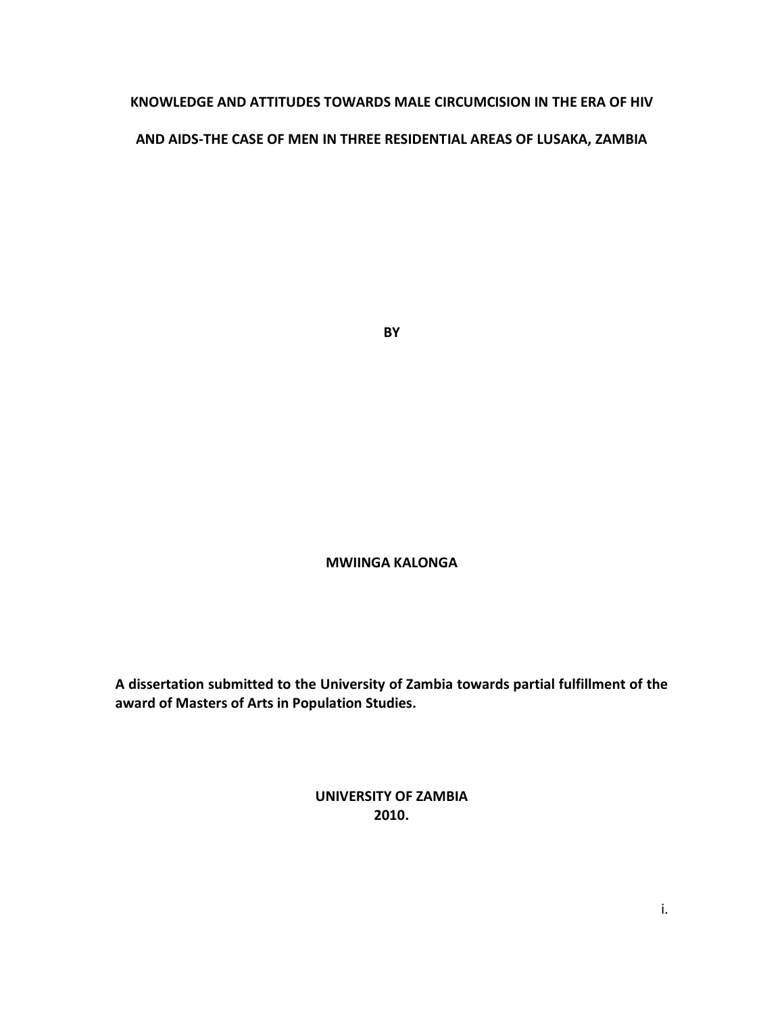# **KNOWLEDGE AND ATTITUDES TOWARDS MALE CIRCUMCISION IN THE ERA OF HIV**

## **AND AIDS-THE CASE OF MEN IN THREE RESIDENTIAL AREAS OF LUSAKA, ZAMBIA**

**BY**

## **MWIINGA KALONGA**

**A dissertation submitted to the University of Zambia towards partial fulfillment of the award of Masters of Arts in Population Studies.**

> **UNIVERSITY OF ZAMBIA 2010.**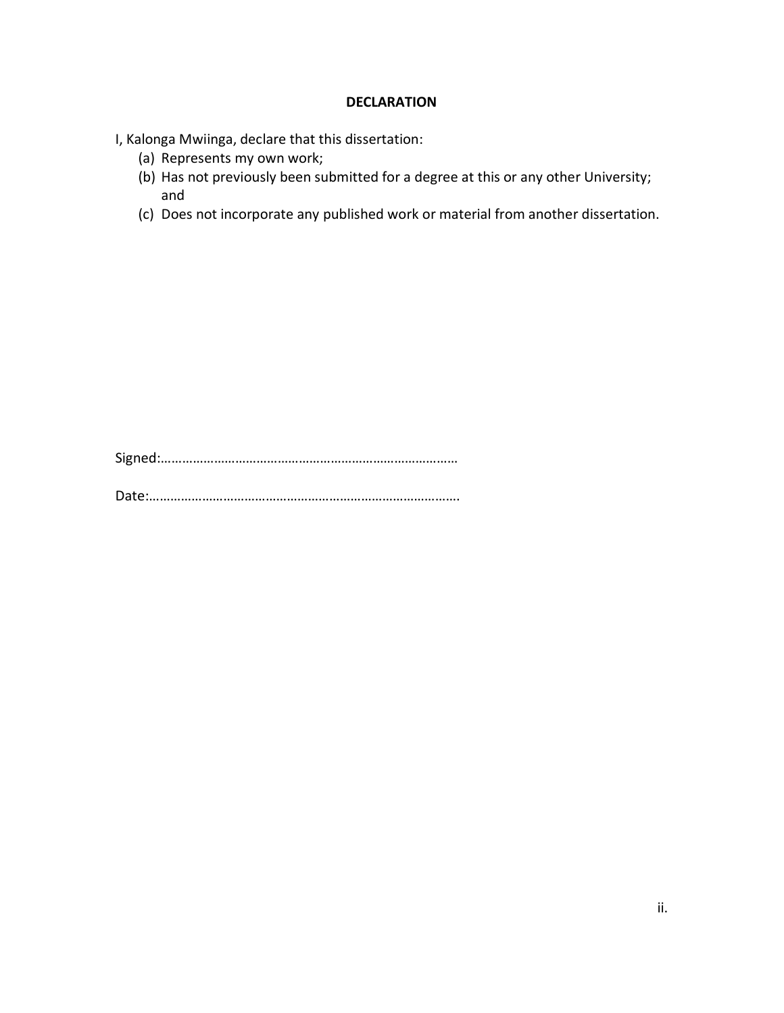## **DECLARATION**

I, Kalonga Mwiinga, declare that this dissertation:

- (a) Represents my own work;
- (b) Has not previously been submitted for a degree at this or any other University; and
- (c) Does not incorporate any published work or material from another dissertation.

Signed:…………………………………………………………………………

Date:…………………………………………………………………………….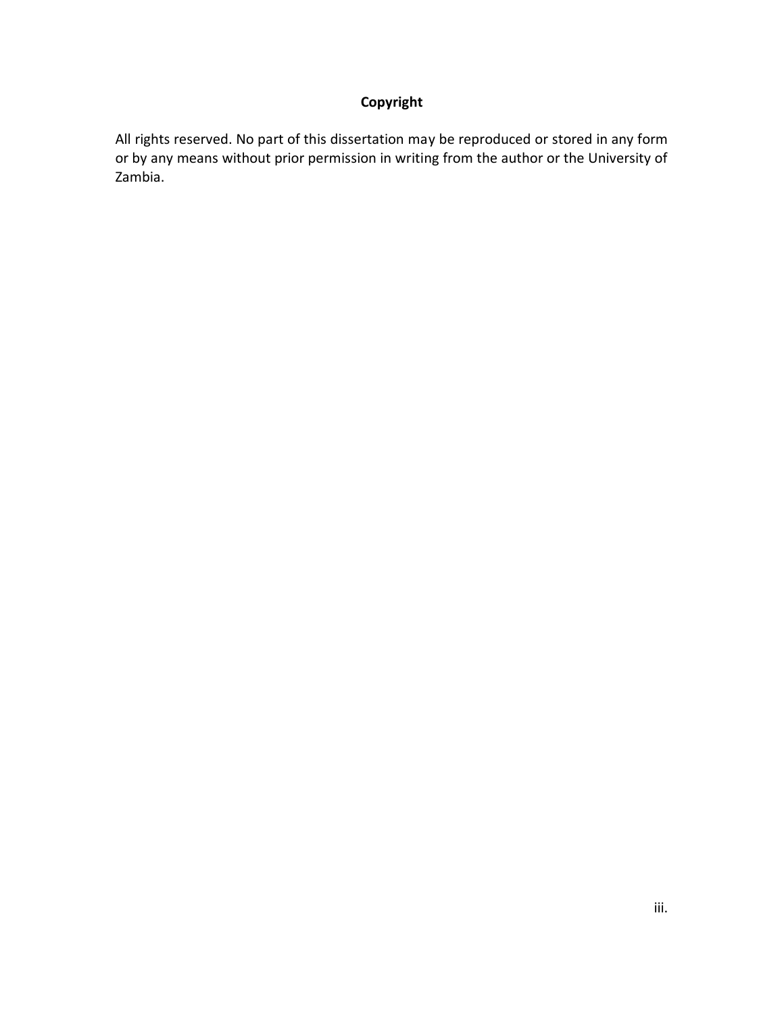# **Copyright**

All rights reserved. No part of this dissertation may be reproduced or stored in any form or by any means without prior permission in writing from the author or the University of Zambia.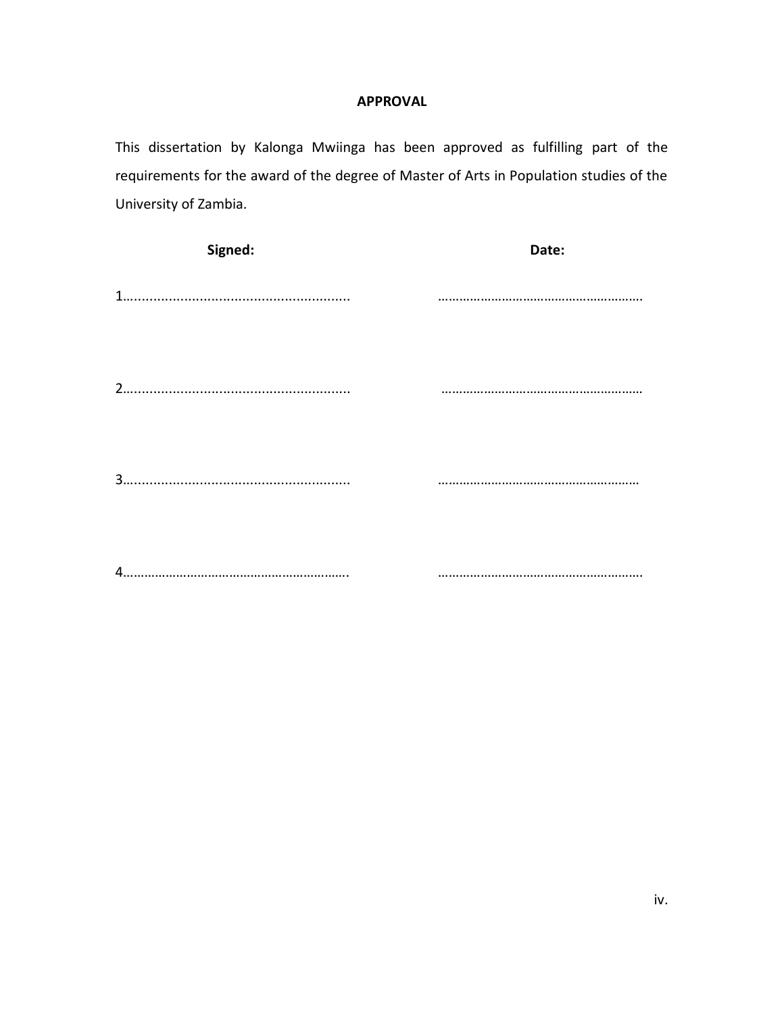# **APPROVAL**

This dissertation by Kalonga Mwiinga has been approved as fulfilling part of the requirements for the award of the degree of Master of Arts in Population studies of the University of Zambia.

| Signed: | Date: |
|---------|-------|
|         |       |
|         |       |
|         |       |
|         |       |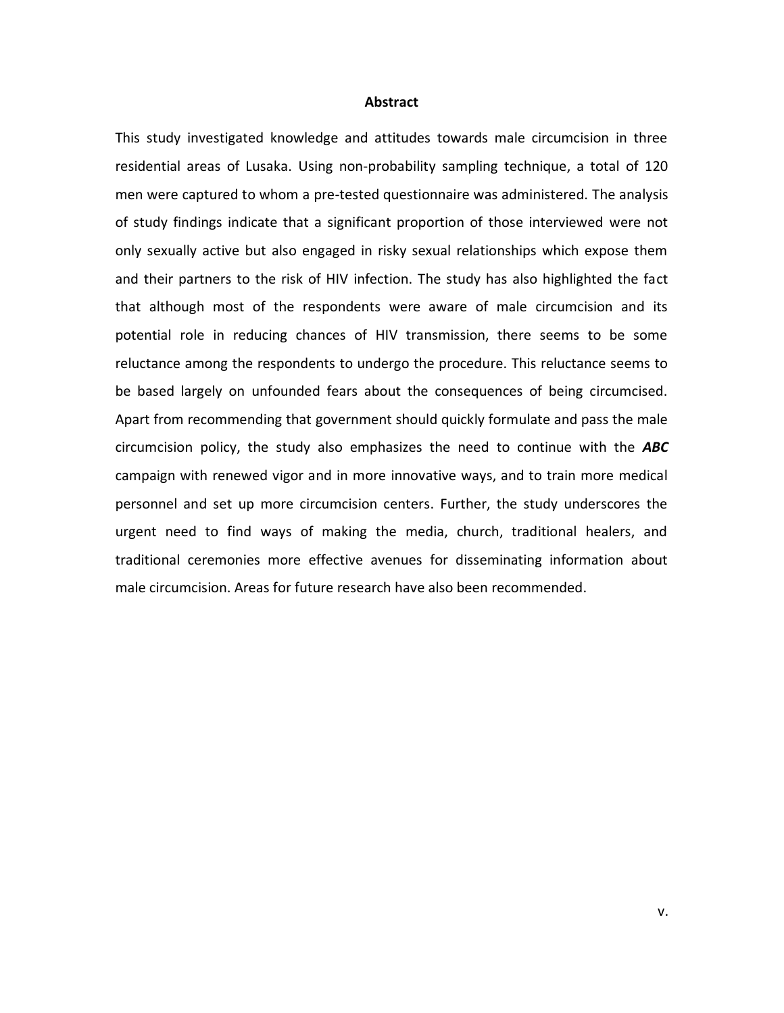#### **Abstract**

This study investigated knowledge and attitudes towards male circumcision in three residential areas of Lusaka. Using non-probability sampling technique, a total of 120 men were captured to whom a pre-tested questionnaire was administered. The analysis of study findings indicate that a significant proportion of those interviewed were not only sexually active but also engaged in risky sexual relationships which expose them and their partners to the risk of HIV infection. The study has also highlighted the fact that although most of the respondents were aware of male circumcision and its potential role in reducing chances of HIV transmission, there seems to be some reluctance among the respondents to undergo the procedure. This reluctance seems to be based largely on unfounded fears about the consequences of being circumcised. Apart from recommending that government should quickly formulate and pass the male circumcision policy, the study also emphasizes the need to continue with the *ABC*  campaign with renewed vigor and in more innovative ways, and to train more medical personnel and set up more circumcision centers. Further, the study underscores the urgent need to find ways of making the media, church, traditional healers, and traditional ceremonies more effective avenues for disseminating information about male circumcision. Areas for future research have also been recommended.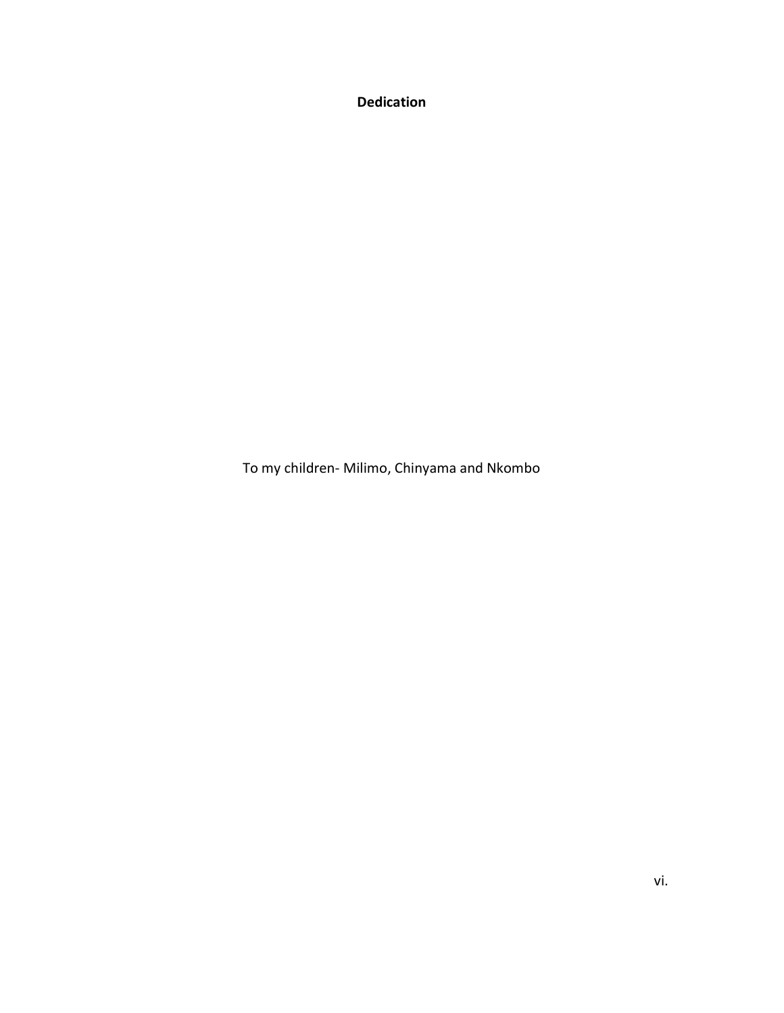**Dedication**

To my children- Milimo, Chinyama and Nkombo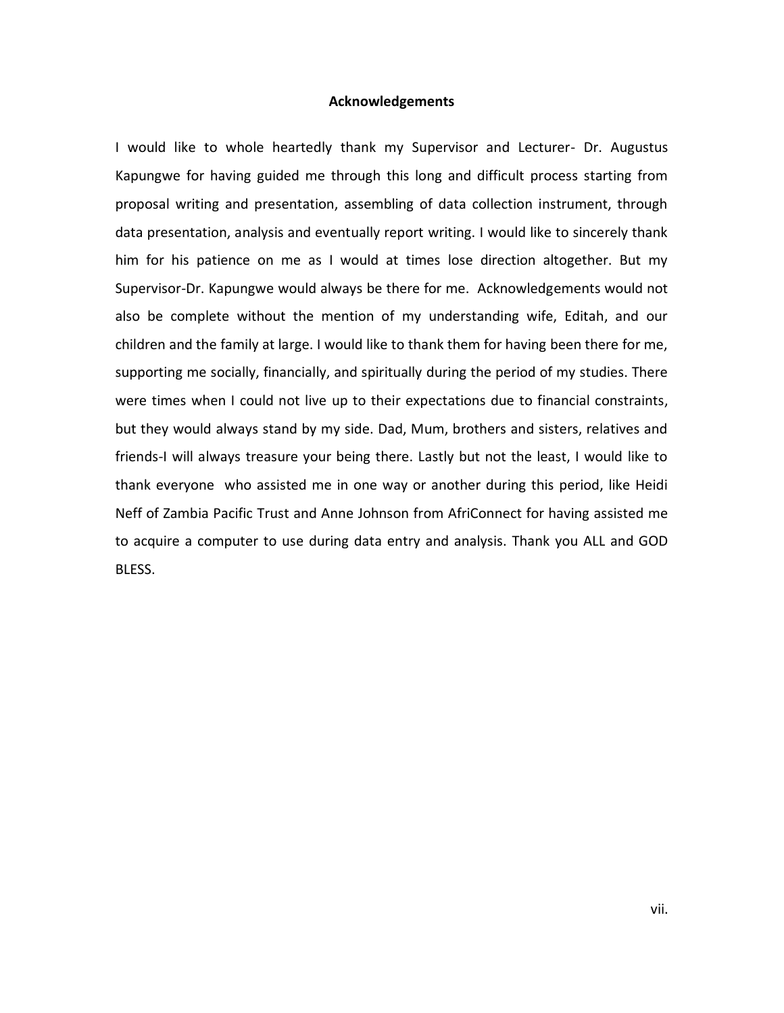#### **Acknowledgements**

I would like to whole heartedly thank my Supervisor and Lecturer- Dr. Augustus Kapungwe for having guided me through this long and difficult process starting from proposal writing and presentation, assembling of data collection instrument, through data presentation, analysis and eventually report writing. I would like to sincerely thank him for his patience on me as I would at times lose direction altogether. But my Supervisor-Dr. Kapungwe would always be there for me. Acknowledgements would not also be complete without the mention of my understanding wife, Editah, and our children and the family at large. I would like to thank them for having been there for me, supporting me socially, financially, and spiritually during the period of my studies. There were times when I could not live up to their expectations due to financial constraints, but they would always stand by my side. Dad, Mum, brothers and sisters, relatives and friends-I will always treasure your being there. Lastly but not the least, I would like to thank everyone who assisted me in one way or another during this period, like Heidi Neff of Zambia Pacific Trust and Anne Johnson from AfriConnect for having assisted me to acquire a computer to use during data entry and analysis. Thank you ALL and GOD BLESS.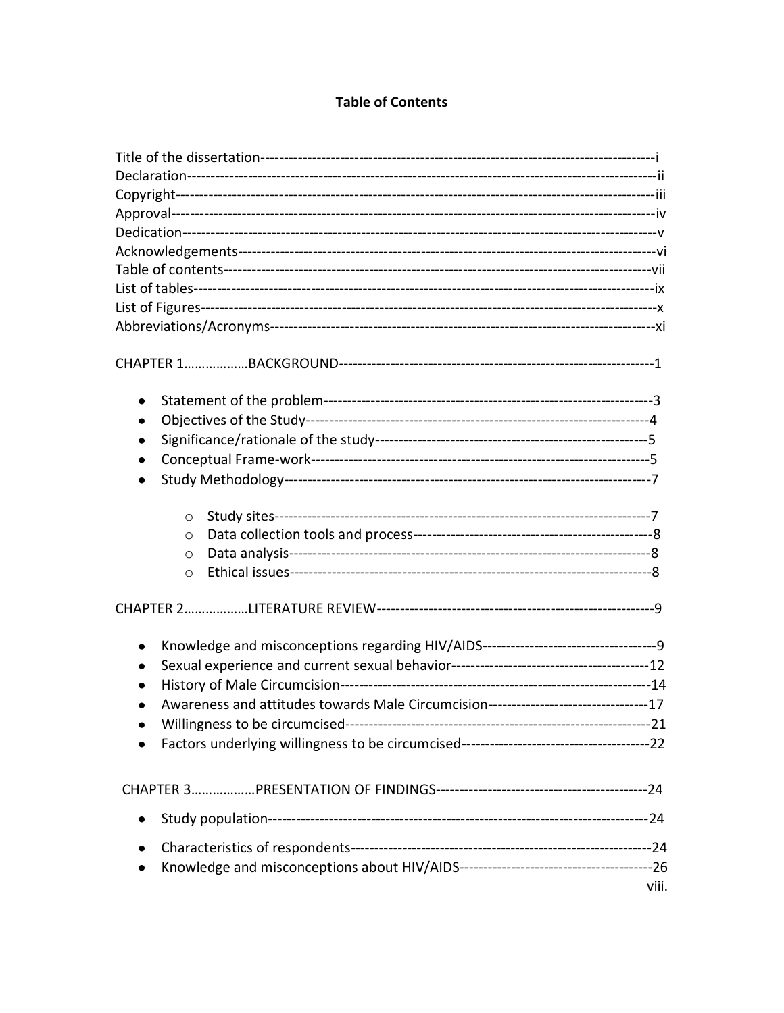# **Table of Contents**

| ٠                                                                                    |       |
|--------------------------------------------------------------------------------------|-------|
| ٠                                                                                    |       |
|                                                                                      |       |
|                                                                                      |       |
|                                                                                      |       |
| $\circ$                                                                              |       |
| O                                                                                    |       |
| $\circ$                                                                              |       |
| $\circ$                                                                              |       |
|                                                                                      |       |
| Knowledge and misconceptions regarding HIV/AIDS-----------------------------------9  |       |
|                                                                                      |       |
|                                                                                      |       |
| Awareness and attitudes towards Male Circumcision---------------------------------17 |       |
|                                                                                      | $-21$ |
|                                                                                      |       |
|                                                                                      |       |
|                                                                                      |       |
|                                                                                      |       |
|                                                                                      |       |
|                                                                                      | viii  |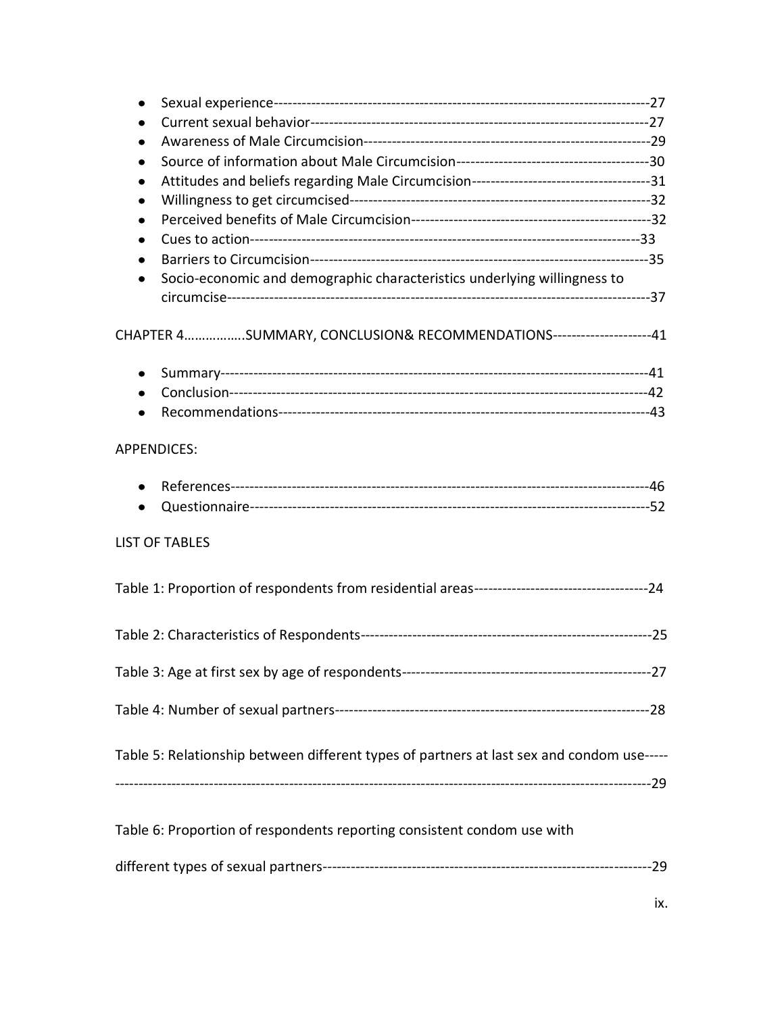| ٠                                                                                         |  |
|-------------------------------------------------------------------------------------------|--|
|                                                                                           |  |
| ٠                                                                                         |  |
|                                                                                           |  |
|                                                                                           |  |
| ٠                                                                                         |  |
| Socio-economic and demographic characteristics underlying willingness to<br>$\bullet$     |  |
|                                                                                           |  |
| CHAPTER 4SUMMARY, CONCLUSION& RECOMMENDATIONS--------------------41                       |  |
| $\bullet$                                                                                 |  |
| $\bullet$                                                                                 |  |
|                                                                                           |  |
| <b>APPENDICES:</b>                                                                        |  |
| $\bullet$                                                                                 |  |
|                                                                                           |  |
| <b>LIST OF TABLES</b>                                                                     |  |
|                                                                                           |  |
|                                                                                           |  |
|                                                                                           |  |
|                                                                                           |  |
| Table 5: Relationship between different types of partners at last sex and condom use----- |  |
|                                                                                           |  |
| Table 6: Proportion of respondents reporting consistent condom use with                   |  |
|                                                                                           |  |
|                                                                                           |  |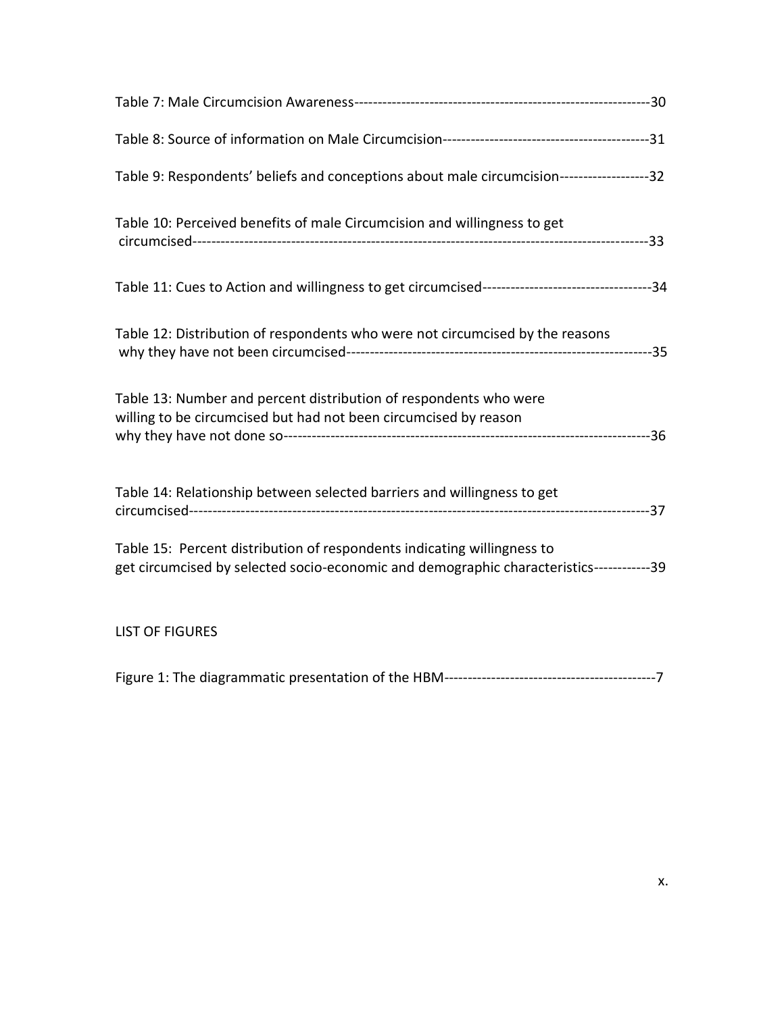| Table 9: Respondents' beliefs and conceptions about male circumcision------------------32                                                                           |  |
|---------------------------------------------------------------------------------------------------------------------------------------------------------------------|--|
| Table 10: Perceived benefits of male Circumcision and willingness to get                                                                                            |  |
|                                                                                                                                                                     |  |
| Table 12: Distribution of respondents who were not circumcised by the reasons                                                                                       |  |
| Table 13: Number and percent distribution of respondents who were<br>willing to be circumcised but had not been circumcised by reason                               |  |
| Table 14: Relationship between selected barriers and willingness to get                                                                                             |  |
| Table 15: Percent distribution of respondents indicating willingness to<br>get circumcised by selected socio-economic and demographic characteristics------------39 |  |
| <b>LIST OF FIGURES</b>                                                                                                                                              |  |
|                                                                                                                                                                     |  |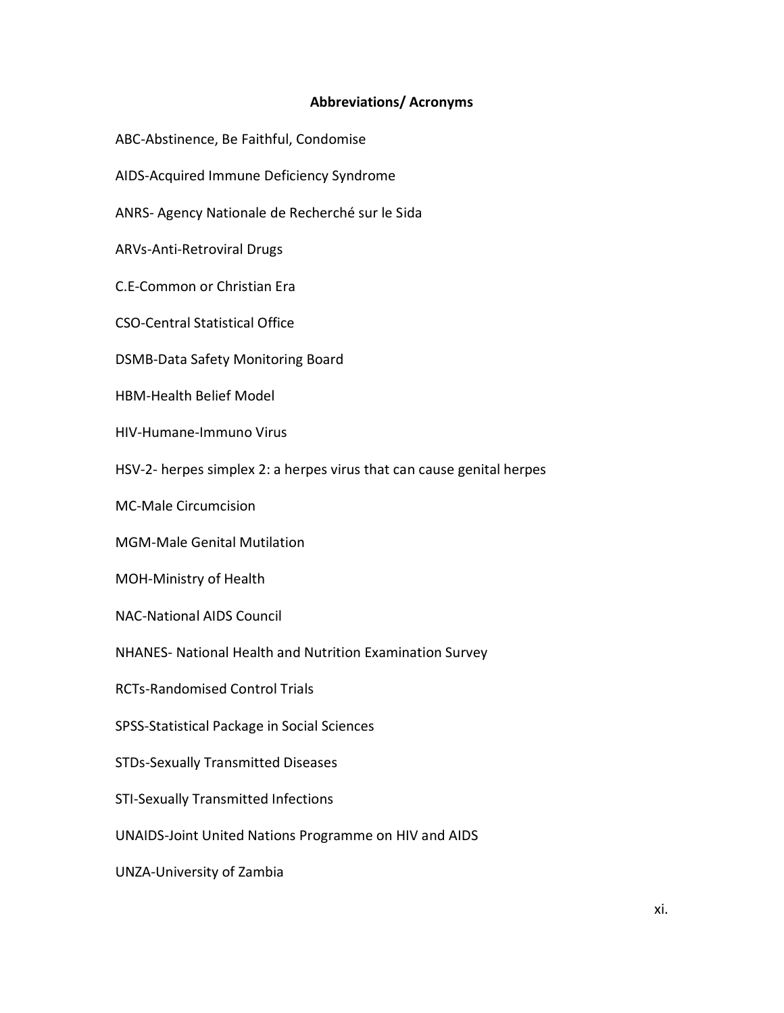# **Abbreviations/ Acronyms**

- ABC-Abstinence, Be Faithful, Condomise
- AIDS-Acquired Immune Deficiency Syndrome
- ANRS- Agency Nationale de Recherché sur le Sida
- ARVs-Anti-Retroviral Drugs
- C.E-Common or Christian Era
- CSO-Central Statistical Office
- DSMB-Data Safety Monitoring Board
- HBM-Health Belief Model
- HIV-Humane-Immuno Virus
- HSV-2- herpes simplex 2: a herpes virus that can cause genital herpes
- MC-Male Circumcision
- MGM-Male Genital Mutilation
- MOH-Ministry of Health
- NAC-National AIDS Council
- NHANES- National Health and Nutrition Examination Survey
- RCTs-Randomised Control Trials
- SPSS-Statistical Package in Social Sciences
- STDs-Sexually Transmitted Diseases
- STI-Sexually Transmitted Infections
- UNAIDS-Joint United Nations Programme on HIV and AIDS
- UNZA-University of Zambia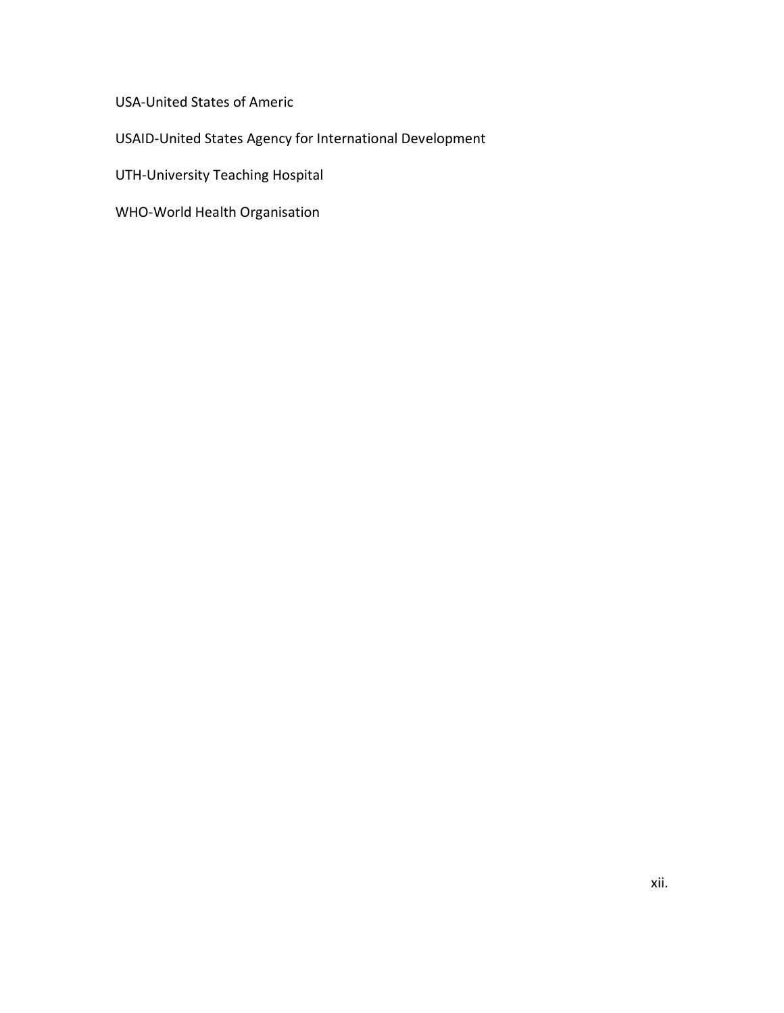USA-United States of Americ

USAID-United States Agency for International Development

UTH-University Teaching Hospital

WHO-World Health Organisation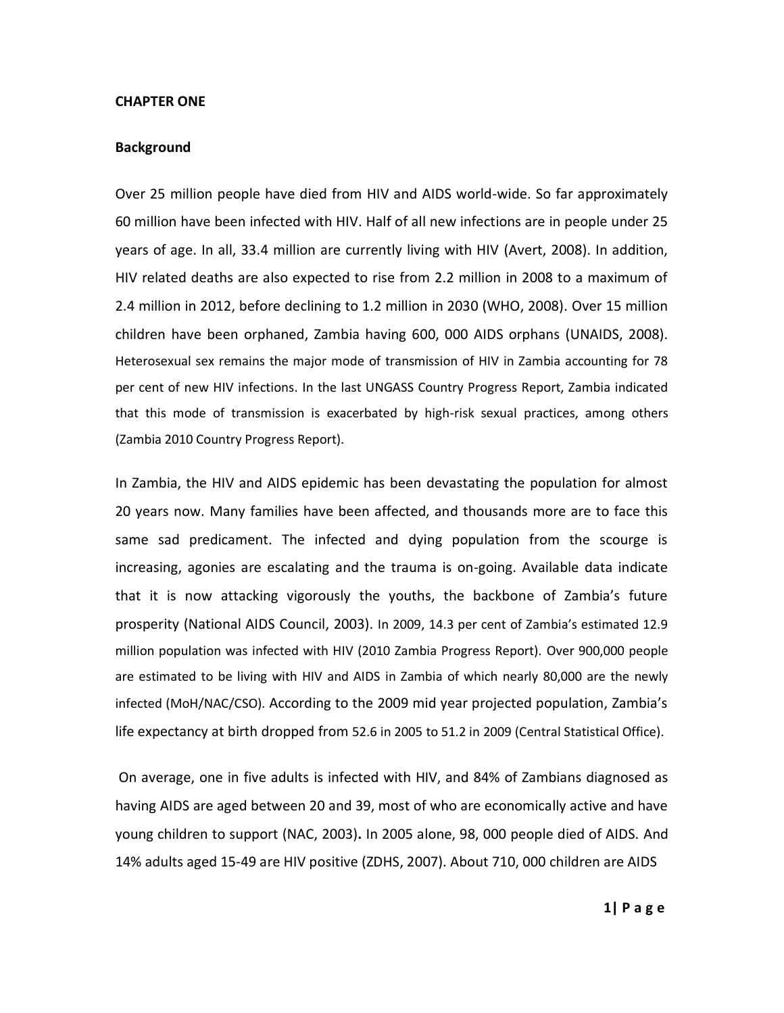#### **CHAPTER ONE**

## **Background**

Over 25 million people have died from HIV and AIDS world-wide. So far approximately 60 million have been infected with HIV. Half of all new infections are in people under 25 years of age. In all, 33.4 million are currently living with HIV (Avert, 2008). In addition, HIV related deaths are also expected to rise from 2.2 million in 2008 to a maximum of 2.4 million in 2012, before declining to 1.2 million in 2030 (WHO, 2008). Over 15 million children have been orphaned, Zambia having 600, 000 AIDS orphans (UNAIDS, 2008). Heterosexual sex remains the major mode of transmission of HIV in Zambia accounting for 78 per cent of new HIV infections. In the last UNGASS Country Progress Report, Zambia indicated that this mode of transmission is exacerbated by high-risk sexual practices, among others (Zambia 2010 Country Progress Report).

In Zambia, the HIV and AIDS epidemic has been devastating the population for almost 20 years now. Many families have been affected, and thousands more are to face this same sad predicament. The infected and dying population from the scourge is increasing, agonies are escalating and the trauma is on-going. Available data indicate that it is now attacking vigorously the youths, the backbone of Zambia's future prosperity (National AIDS Council, 2003). In 2009, 14.3 per cent of Zambia's estimated 12.9 million population was infected with HIV (2010 Zambia Progress Report). Over 900,000 people are estimated to be living with HIV and AIDS in Zambia of which nearly 80,000 are the newly infected (MoH/NAC/CSO). According to the 2009 mid year projected population, Zambia's life expectancy at birth dropped from 52.6 in 2005 to 51.2 in 2009 (Central Statistical Office).

On average, one in five adults is infected with HIV, and 84% of Zambians diagnosed as having AIDS are aged between 20 and 39, most of who are economically active and have young children to support (NAC, 2003)**.** In 2005 alone, 98, 000 people died of AIDS. And 14% adults aged 15-49 are HIV positive (ZDHS, 2007). About 710, 000 children are AIDS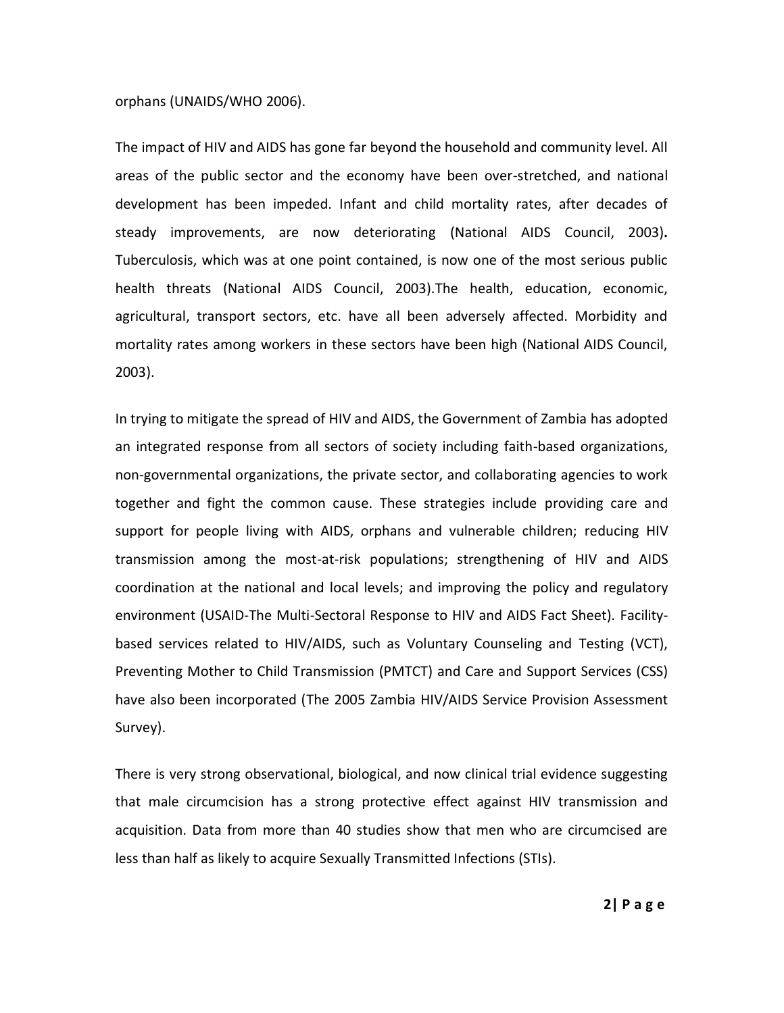#### orphans (UNAIDS/WHO 2006).

The impact of HIV and AIDS has gone far beyond the household and community level. All areas of the public sector and the economy have been over-stretched, and national development has been impeded. Infant and child mortality rates, after decades of steady improvements, are now deteriorating (National AIDS Council, 2003)**.** Tuberculosis, which was at one point contained, is now one of the most serious public health threats (National AIDS Council, 2003).The health, education, economic, agricultural, transport sectors, etc. have all been adversely affected. Morbidity and mortality rates among workers in these sectors have been high (National AIDS Council, 2003).

In trying to mitigate the spread of HIV and AIDS, the Government of Zambia has adopted an integrated response from all sectors of society including faith-based organizations, non-governmental organizations, the private sector, and collaborating agencies to work together and fight the common cause. These strategies include providing care and support for people living with AIDS, orphans and vulnerable children; reducing HIV transmission among the most-at-risk populations; strengthening of HIV and AIDS coordination at the national and local levels; and improving the policy and regulatory environment (USAID-The Multi-Sectoral Response to HIV and AIDS Fact Sheet). Facilitybased services related to HIV/AIDS, such as Voluntary Counseling and Testing (VCT), Preventing Mother to Child Transmission (PMTCT) and Care and Support Services (CSS) have also been incorporated (The 2005 Zambia HIV/AIDS Service Provision Assessment Survey).

There is very strong observational, biological, and now clinical trial evidence suggesting that male circumcision has a strong protective effect against HIV transmission and acquisition. Data from more than 40 studies show that men who are circumcised are less than half as likely to acquire Sexually Transmitted Infections (STIs).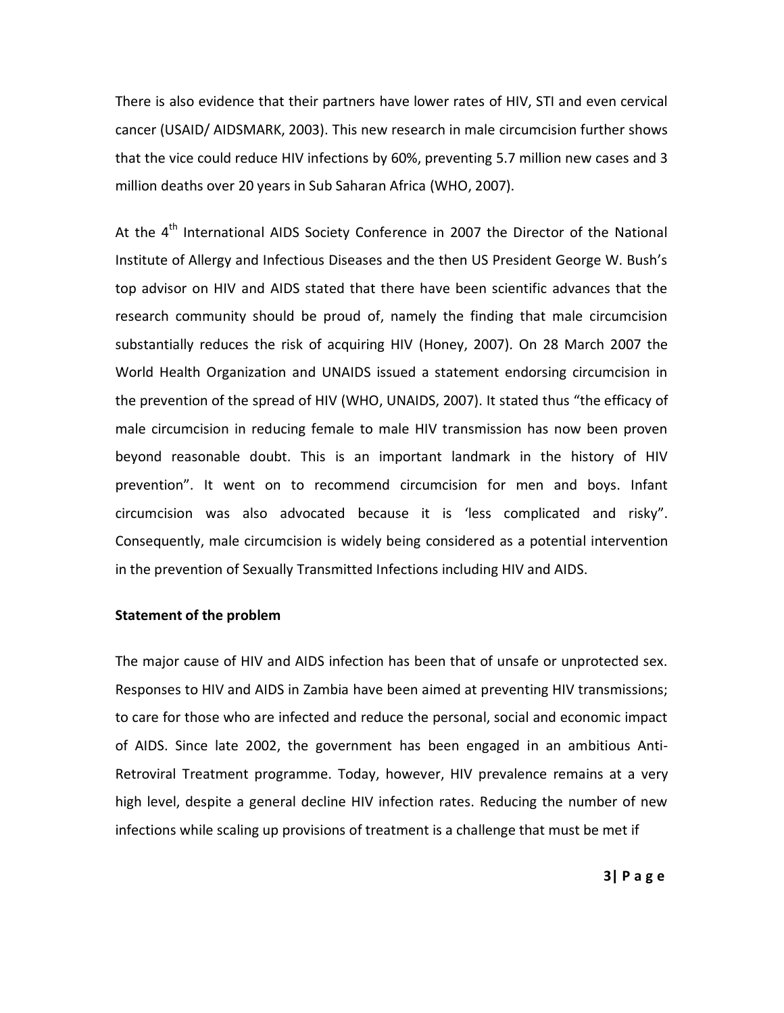There is also evidence that their partners have lower rates of HIV, STI and even cervical cancer (USAID/ AIDSMARK, 2003). This new research in male circumcision further shows that the vice could reduce HIV infections by 60%, preventing 5.7 million new cases and 3 million deaths over 20 years in Sub Saharan Africa (WHO, 2007).

At the 4<sup>th</sup> International AIDS Society Conference in 2007 the Director of the National Institute of Allergy and Infectious Diseases and the then US President George W. Bush's top advisor on HIV and AIDS stated that there have been scientific advances that the research community should be proud of, namely the finding that male circumcision substantially reduces the risk of acquiring HIV (Honey, 2007). On 28 March 2007 the World Health Organization and UNAIDS issued a statement endorsing circumcision in the prevention of the spread of HIV (WHO, UNAIDS, 2007). It stated thus "the efficacy of male circumcision in reducing female to male HIV transmission has now been proven beyond reasonable doubt. This is an important landmark in the history of HIV prevention". It went on to recommend circumcision for men and boys. Infant circumcision was also advocated because it is 'less complicated and risky". Consequently, male circumcision is widely being considered as a potential intervention in the prevention of Sexually Transmitted Infections including HIV and AIDS.

#### **Statement of the problem**

The major cause of HIV and AIDS infection has been that of unsafe or unprotected sex. Responses to HIV and AIDS in Zambia have been aimed at preventing HIV transmissions; to care for those who are infected and reduce the personal, social and economic impact of AIDS. Since late 2002, the government has been engaged in an ambitious Anti-Retroviral Treatment programme. Today, however, HIV prevalence remains at a very high level, despite a general decline HIV infection rates. Reducing the number of new infections while scaling up provisions of treatment is a challenge that must be met if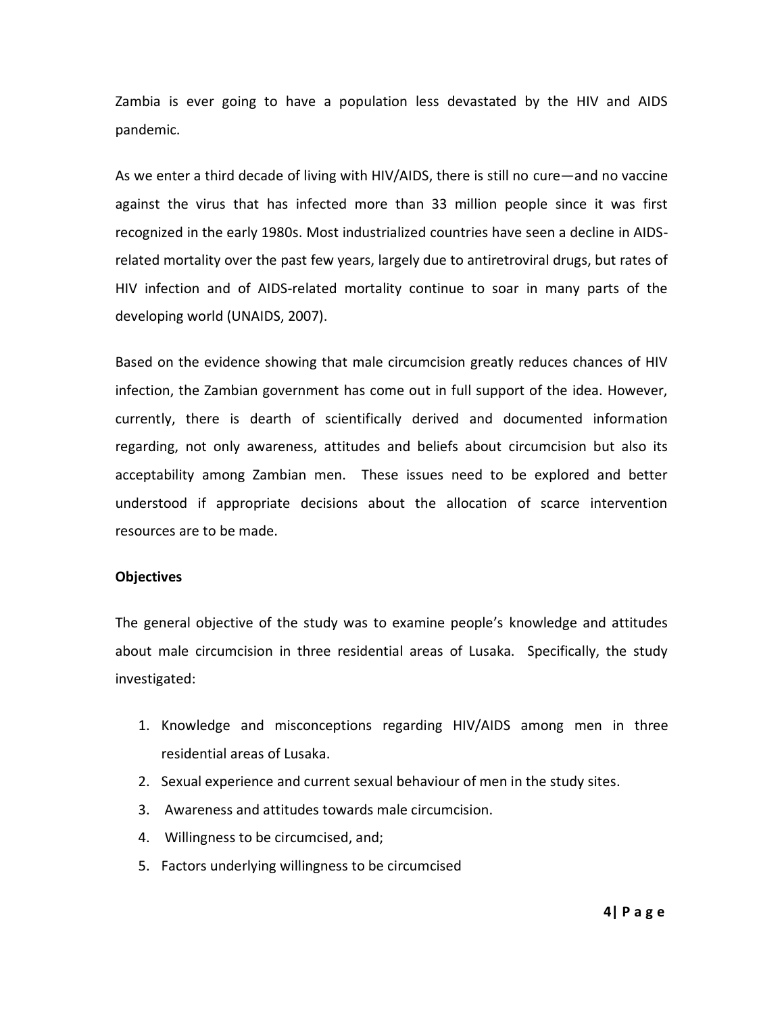Zambia is ever going to have a population less devastated by the HIV and AIDS pandemic.

As we enter a third decade of living with HIV/AIDS, there is still no cure—and no vaccine against the virus that has infected more than 33 million people since it was first recognized in the early 1980s. Most industrialized countries have seen a decline in AIDSrelated mortality over the past few years, largely due to antiretroviral drugs, but rates of HIV infection and of AIDS-related mortality continue to soar in many parts of the developing world (UNAIDS, 2007).

Based on the evidence showing that male circumcision greatly reduces chances of HIV infection, the Zambian government has come out in full support of the idea. However, currently, there is dearth of scientifically derived and documented information regarding, not only awareness, attitudes and beliefs about circumcision but also its acceptability among Zambian men. These issues need to be explored and better understood if appropriate decisions about the allocation of scarce intervention resources are to be made.

## **Objectives**

The general objective of the study was to examine people's knowledge and attitudes about male circumcision in three residential areas of Lusaka. Specifically, the study investigated:

- 1. Knowledge and misconceptions regarding HIV/AIDS among men in three residential areas of Lusaka.
- 2. Sexual experience and current sexual behaviour of men in the study sites.
- 3. Awareness and attitudes towards male circumcision.
- 4. Willingness to be circumcised, and;
- 5. Factors underlying willingness to be circumcised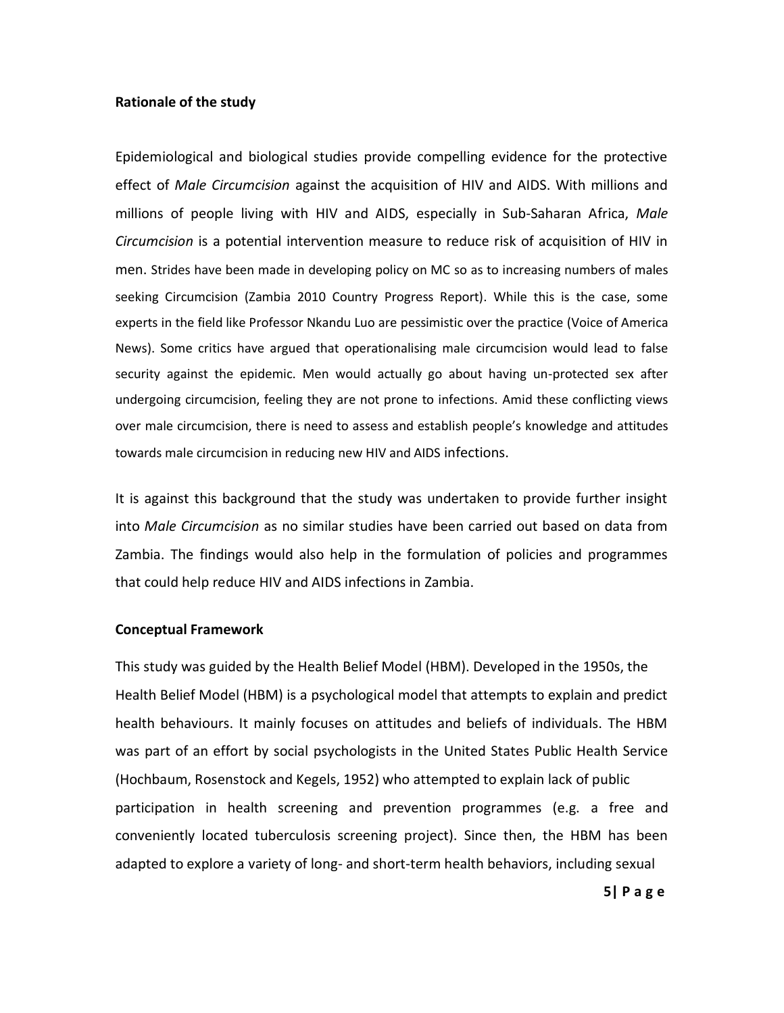## **Rationale of the study**

Epidemiological and biological studies provide compelling evidence for the protective effect of *Male Circumcision* against the acquisition of HIV and AIDS. With millions and millions of people living with HIV and AIDS, especially in Sub-Saharan Africa, *Male Circumcision* is a potential intervention measure to reduce risk of acquisition of HIV in men. Strides have been made in developing policy on MC so as to increasing numbers of males seeking Circumcision (Zambia 2010 Country Progress Report). While this is the case, some experts in the field like Professor Nkandu Luo are pessimistic over the practice (Voice of America News). Some critics have argued that operationalising male circumcision would lead to false security against the epidemic. Men would actually go about having un-protected sex after undergoing circumcision, feeling they are not prone to infections. Amid these conflicting views over male circumcision, there is need to assess and establish people's knowledge and attitudes towards male circumcision in reducing new HIV and AIDS infections.

It is against this background that the study was undertaken to provide further insight into *Male Circumcision* as no similar studies have been carried out based on data from Zambia. The findings would also help in the formulation of policies and programmes that could help reduce HIV and AIDS infections in Zambia.

## **Conceptual Framework**

This study was guided by the Health Belief Model (HBM). Developed in the 1950s, the Health Belief Model (HBM) is a psychological model that attempts to explain and predict health behaviours. It mainly focuses on attitudes and beliefs of individuals. The HBM was part of an effort by social psychologists in the United States Public Health Service (Hochbaum, Rosenstock and Kegels, 1952) who attempted to explain lack of public participation in health screening and prevention programmes (e.g. a free and conveniently located tuberculosis screening project). Since then, the HBM has been adapted to explore a variety of long- and short-term health behaviors, including sexual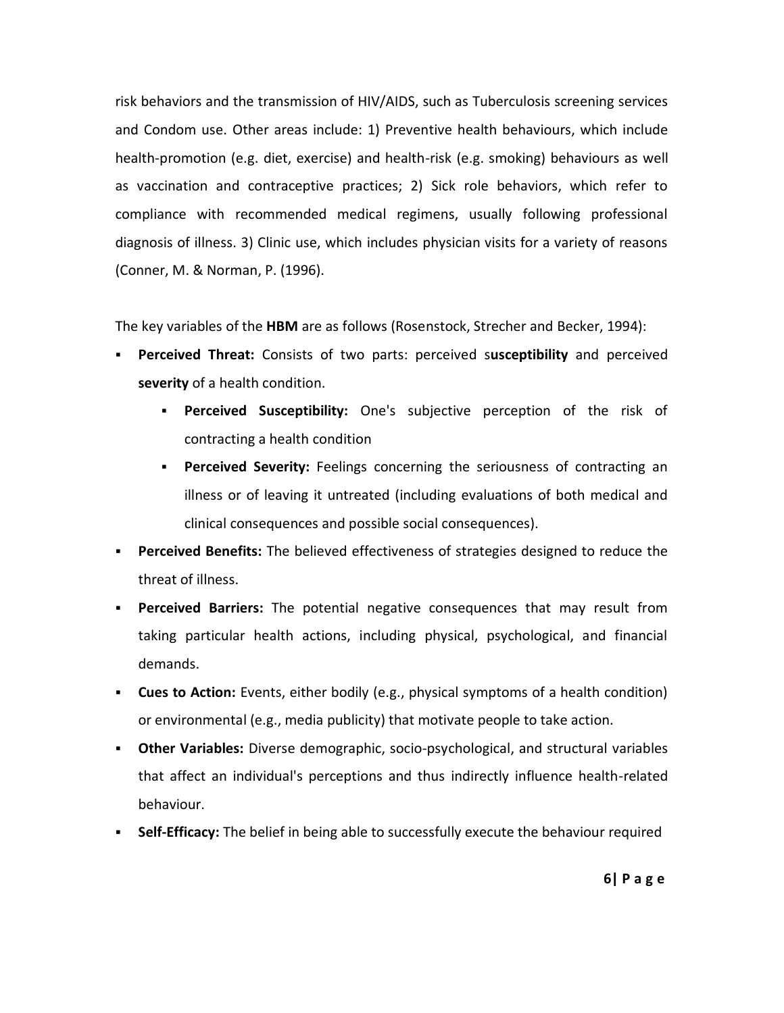risk behaviors and the transmission of HIV/AIDS, such as Tuberculosis screening services and Condom use. Other areas include: 1) Preventive health behaviours, which include health-promotion (e.g. diet, exercise) and health-risk (e.g. smoking) behaviours as well as vaccination and contraceptive practices; 2) Sick role behaviors, which refer to compliance with recommended medical regimens, usually following professional diagnosis of illness. 3) Clinic use, which includes physician visits for a variety of reasons (Conner, M. & Norman, P. (1996).

The key variables of the **HBM** are as follows (Rosenstock, Strecher and Becker, 1994):

- **Perceived Threat:** Consists of two parts: perceived s**usceptibility** and perceived **severity** of a health condition.
	- **Perceived Susceptibility:** One's subjective perception of the risk of contracting a health condition
	- **Perceived Severity:** Feelings concerning the seriousness of contracting an illness or of leaving it untreated (including evaluations of both medical and clinical consequences and possible social consequences).
- **Perceived Benefits:** The believed effectiveness of strategies designed to reduce the threat of illness.
- **Perceived Barriers:** The potential negative consequences that may result from taking particular health actions, including physical, psychological, and financial demands.
- **Cues to Action:** Events, either bodily (e.g., physical symptoms of a health condition) or environmental (e.g., media publicity) that motivate people to take action.
- **Other Variables:** Diverse demographic, socio-psychological, and structural variables that affect an individual's perceptions and thus indirectly influence health-related behaviour.
- **Self-Efficacy:** The belief in being able to successfully execute the behaviour required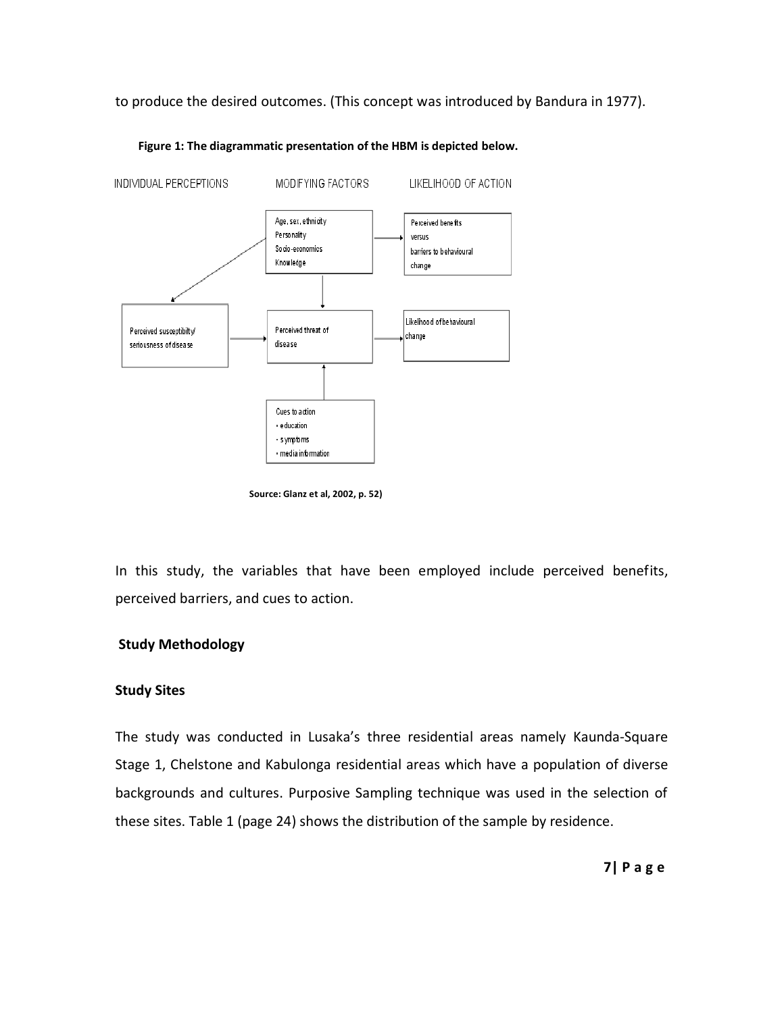to produce the desired outcomes. (This concept was introduced by Bandura in 1977).



**Figure 1: The diagrammatic presentation of the HBM is depicted below.** 

 **Source: Glanz et al, 2002, p. 52)** 

In this study, the variables that have been employed include perceived benefits, perceived barriers, and cues to action.

# **Study Methodology**

## **Study Sites**

The study was conducted in Lusaka's three residential areas namely Kaunda-Square Stage 1, Chelstone and Kabulonga residential areas which have a population of diverse backgrounds and cultures. Purposive Sampling technique was used in the selection of these sites. Table 1 (page 24) shows the distribution of the sample by residence.

**7| P a g e**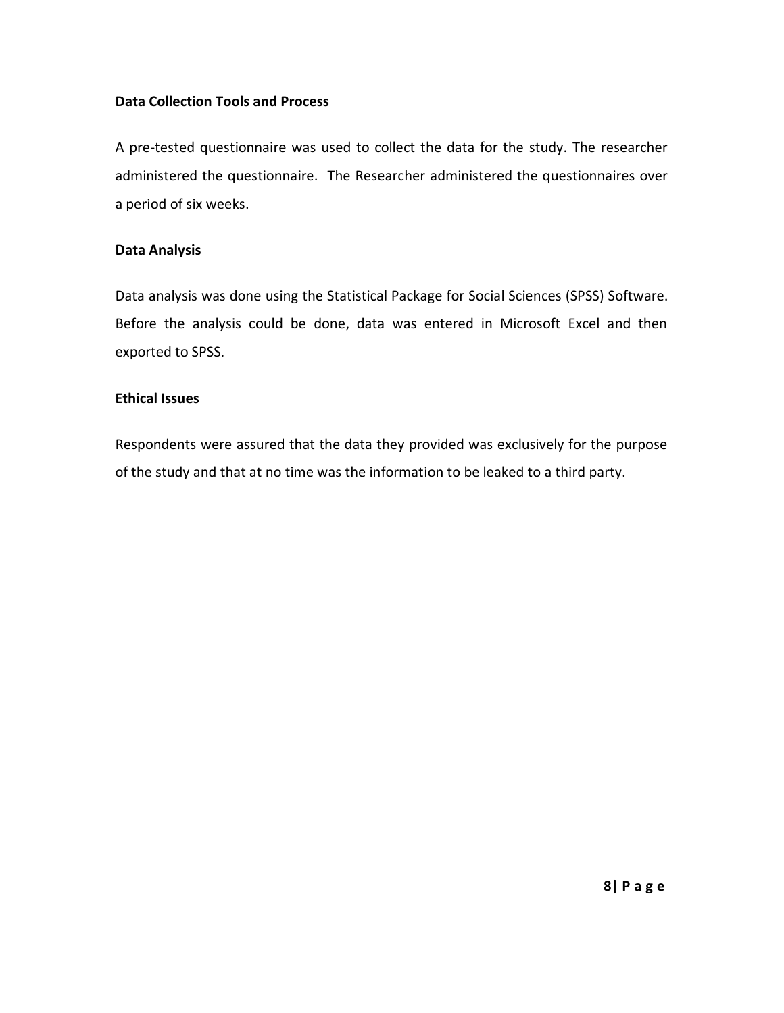# **Data Collection Tools and Process**

A pre-tested questionnaire was used to collect the data for the study. The researcher administered the questionnaire. The Researcher administered the questionnaires over a period of six weeks.

# **Data Analysis**

Data analysis was done using the Statistical Package for Social Sciences (SPSS) Software. Before the analysis could be done, data was entered in Microsoft Excel and then exported to SPSS.

# **Ethical Issues**

Respondents were assured that the data they provided was exclusively for the purpose of the study and that at no time was the information to be leaked to a third party.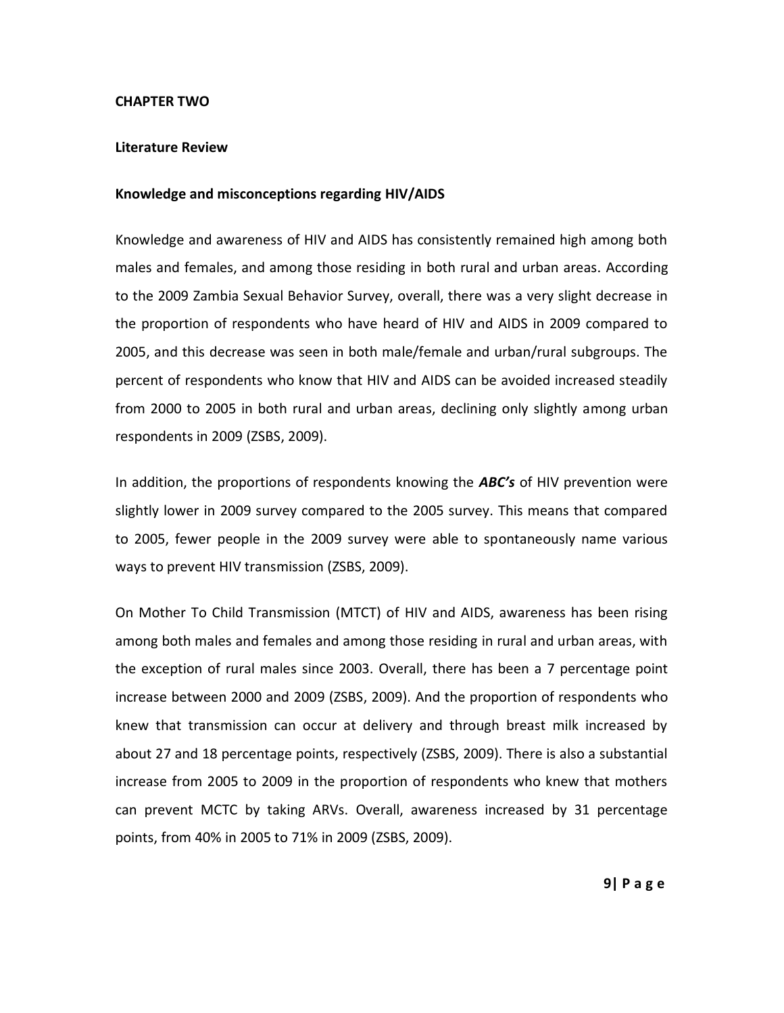## **CHAPTER TWO**

## **Literature Review**

## **Knowledge and misconceptions regarding HIV/AIDS**

Knowledge and awareness of HIV and AIDS has consistently remained high among both males and females, and among those residing in both rural and urban areas. According to the 2009 Zambia Sexual Behavior Survey, overall, there was a very slight decrease in the proportion of respondents who have heard of HIV and AIDS in 2009 compared to 2005, and this decrease was seen in both male/female and urban/rural subgroups. The percent of respondents who know that HIV and AIDS can be avoided increased steadily from 2000 to 2005 in both rural and urban areas, declining only slightly among urban respondents in 2009 (ZSBS, 2009).

In addition, the proportions of respondents knowing the *ABC's* of HIV prevention were slightly lower in 2009 survey compared to the 2005 survey. This means that compared to 2005, fewer people in the 2009 survey were able to spontaneously name various ways to prevent HIV transmission (ZSBS, 2009).

On Mother To Child Transmission (MTCT) of HIV and AIDS, awareness has been rising among both males and females and among those residing in rural and urban areas, with the exception of rural males since 2003. Overall, there has been a 7 percentage point increase between 2000 and 2009 (ZSBS, 2009). And the proportion of respondents who knew that transmission can occur at delivery and through breast milk increased by about 27 and 18 percentage points, respectively (ZSBS, 2009). There is also a substantial increase from 2005 to 2009 in the proportion of respondents who knew that mothers can prevent MCTC by taking ARVs. Overall, awareness increased by 31 percentage points, from 40% in 2005 to 71% in 2009 (ZSBS, 2009).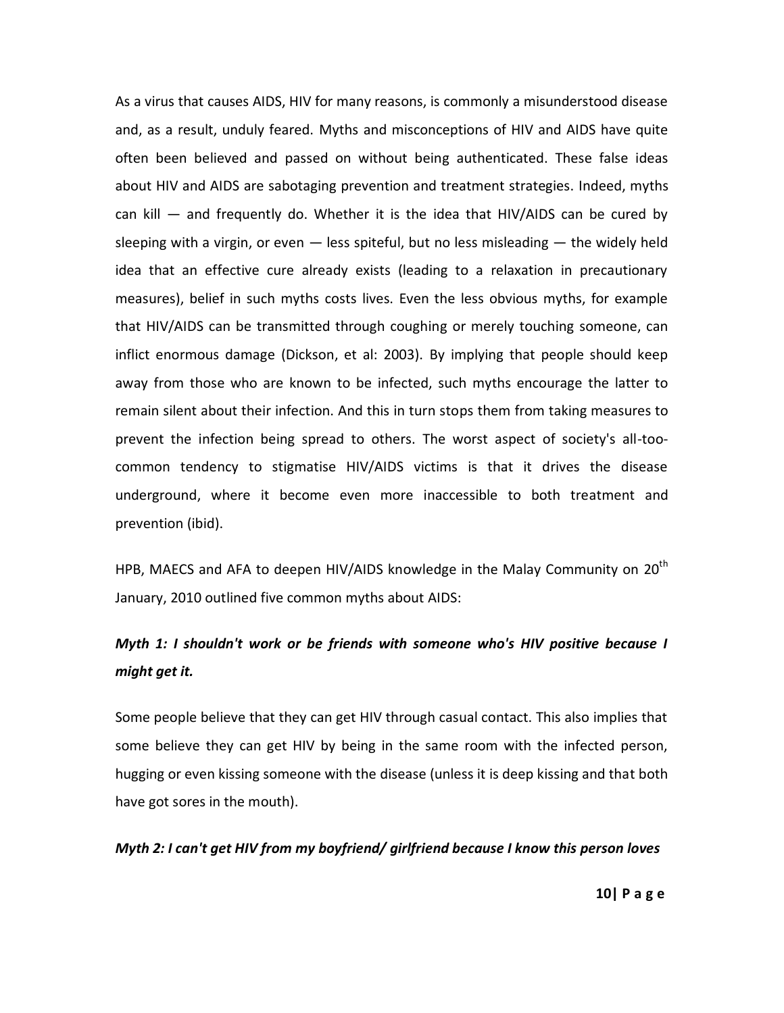As a virus that causes AIDS, HIV for many reasons, is commonly a misunderstood disease and, as a result, unduly feared. Myths and misconceptions of HIV and AIDS have quite often been believed and passed on without being authenticated. These false ideas about HIV and AIDS are sabotaging prevention and treatment strategies. Indeed, myths can kill  $-$  and frequently do. Whether it is the idea that HIV/AIDS can be cured by sleeping with a virgin, or even  $-$  less spiteful, but no less misleading  $-$  the widely held idea that an effective cure already exists (leading to a relaxation in precautionary measures), belief in such myths costs lives. Even the less obvious myths, for example that HIV/AIDS can be transmitted through coughing or merely touching someone, can inflict enormous damage (Dickson, et al: 2003). By implying that people should keep away from those who are known to be infected, such myths encourage the latter to remain silent about their infection. And this in turn stops them from taking measures to prevent the infection being spread to others. The worst aspect of society's all-toocommon tendency to stigmatise HIV/AIDS victims is that it drives the disease underground, where it become even more inaccessible to both treatment and prevention (ibid).

HPB, MAECS and AFA to deepen HIV/AIDS knowledge in the Malay Community on  $20^{th}$ January, 2010 outlined five common myths about AIDS:

# *Myth 1: I shouldn't work or be friends with someone who's HIV positive because I might get it.*

Some people believe that they can get HIV through casual contact. This also implies that some believe they can get HIV by being in the same room with the infected person, hugging or even kissing someone with the disease (unless it is deep kissing and that both have got sores in the mouth).

## *Myth 2: I can't get HIV from my boyfriend/ girlfriend because I know this person loves*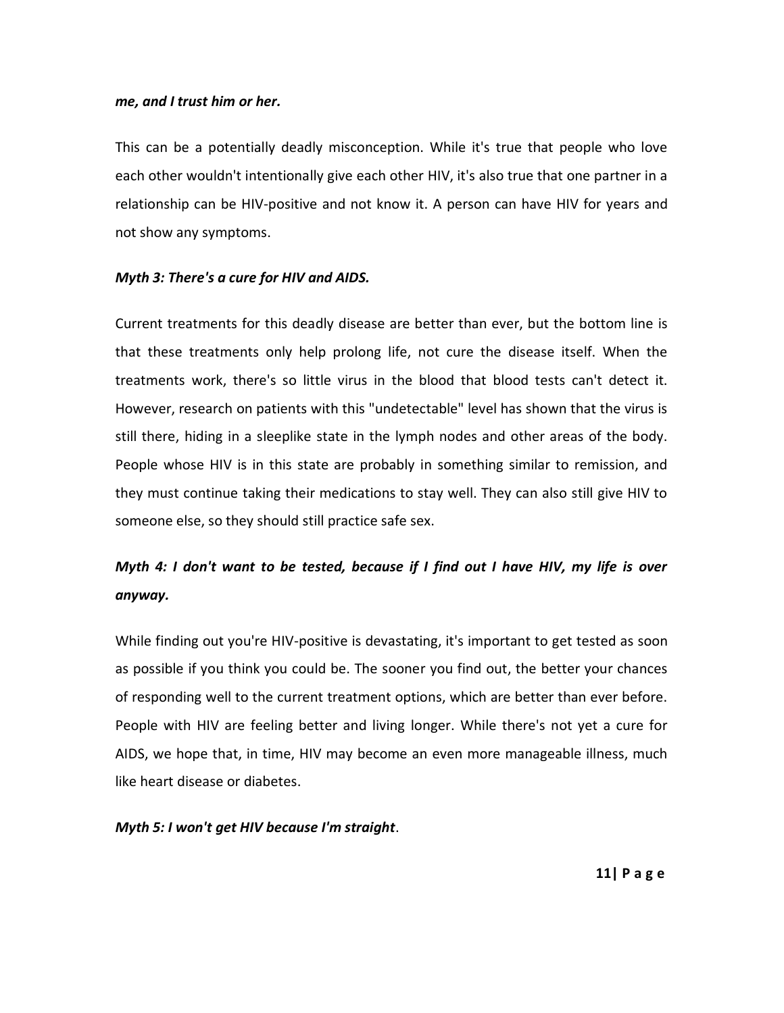## *me, and I trust him or her.*

This can be a potentially deadly misconception. While it's true that people who love each other wouldn't intentionally give each other HIV, it's also true that one partner in a relationship can be HIV-positive and not know it. A person can have HIV for years and not show any symptoms.

## *Myth 3: There's a cure for HIV and AIDS.*

Current treatments for this deadly disease are better than ever, but the bottom line is that these treatments only help prolong life, not cure the disease itself. When the treatments work, there's so little virus in the blood that blood tests can't detect it. However, research on patients with this "undetectable" level has shown that the virus is still there, hiding in a sleeplike state in the lymph nodes and other areas of the body. People whose HIV is in this state are probably in something similar to remission, and they must continue taking their medications to stay well. They can also still give HIV to someone else, so they should still practice safe sex.

# *Myth 4: I don't want to be tested, because if I find out I have HIV, my life is over anyway.*

While finding out you're HIV-positive is devastating, it's important to get tested as soon as possible if you think you could be. The sooner you find out, the better your chances of responding well to the current treatment options, which are better than ever before. People with HIV are feeling better and living longer. While there's not yet a cure for AIDS, we hope that, in time, HIV may become an even more manageable illness, much like heart disease or diabetes.

## *Myth 5: I won't get HIV because I'm straight*.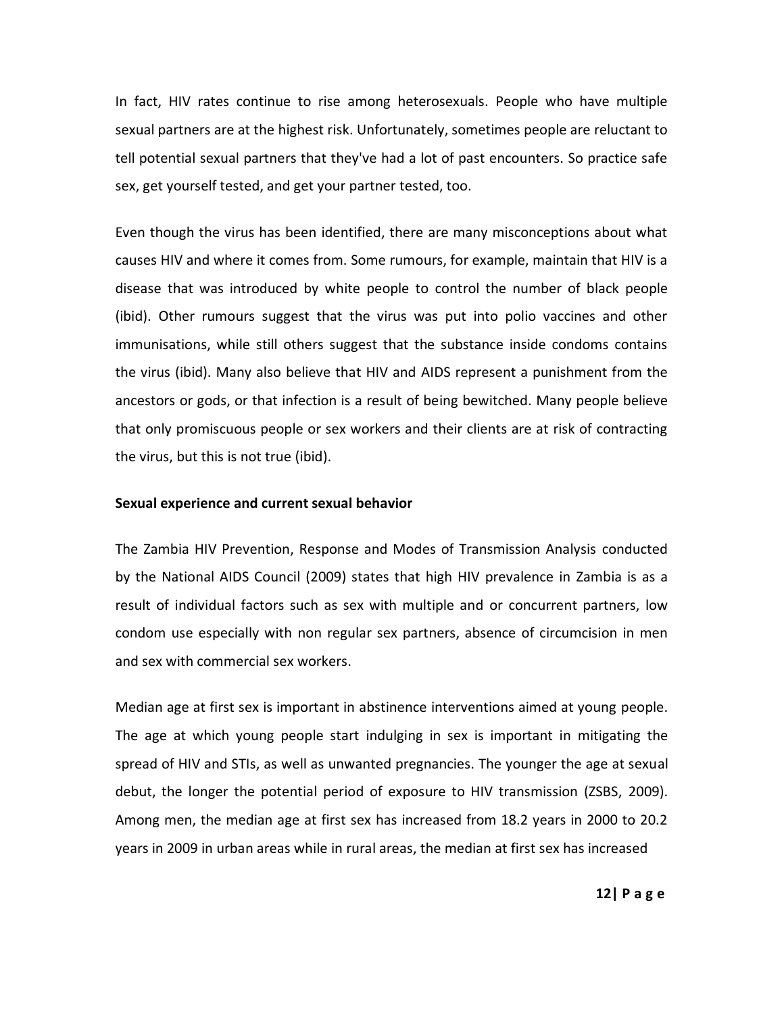In fact, HIV rates continue to rise among heterosexuals. People who have multiple sexual partners are at the highest risk. Unfortunately, sometimes people are reluctant to tell potential sexual partners that they've had a lot of past encounters. So practice safe sex, get yourself tested, and get your partner tested, too.

Even though the virus has been identified, there are many misconceptions about what causes HIV and where it comes from. Some rumours, for example, maintain that HIV is a disease that was introduced by white people to control the number of black people (ibid). Other rumours suggest that the virus was put into polio vaccines and other immunisations, while still others suggest that the substance inside condoms contains the virus (ibid). Many also believe that HIV and AIDS represent a punishment from the ancestors or gods, or that infection is a result of being bewitched. Many people believe that only promiscuous people or sex workers and their clients are at risk of contracting the virus, but this is not true (ibid).

#### **Sexual experience and current sexual behavior**

The Zambia HIV Prevention, Response and Modes of Transmission Analysis conducted by the National AIDS Council (2009) states that high HIV prevalence in Zambia is as a result of individual factors such as sex with multiple and or concurrent partners, low condom use especially with non regular sex partners, absence of circumcision in men and sex with commercial sex workers.

Median age at first sex is important in abstinence interventions aimed at young people. The age at which young people start indulging in sex is important in mitigating the spread of HIV and STIs, as well as unwanted pregnancies. The younger the age at sexual debut, the longer the potential period of exposure to HIV transmission (ZSBS, 2009). Among men, the median age at first sex has increased from 18.2 years in 2000 to 20.2 years in 2009 in urban areas while in rural areas, the median at first sex has increased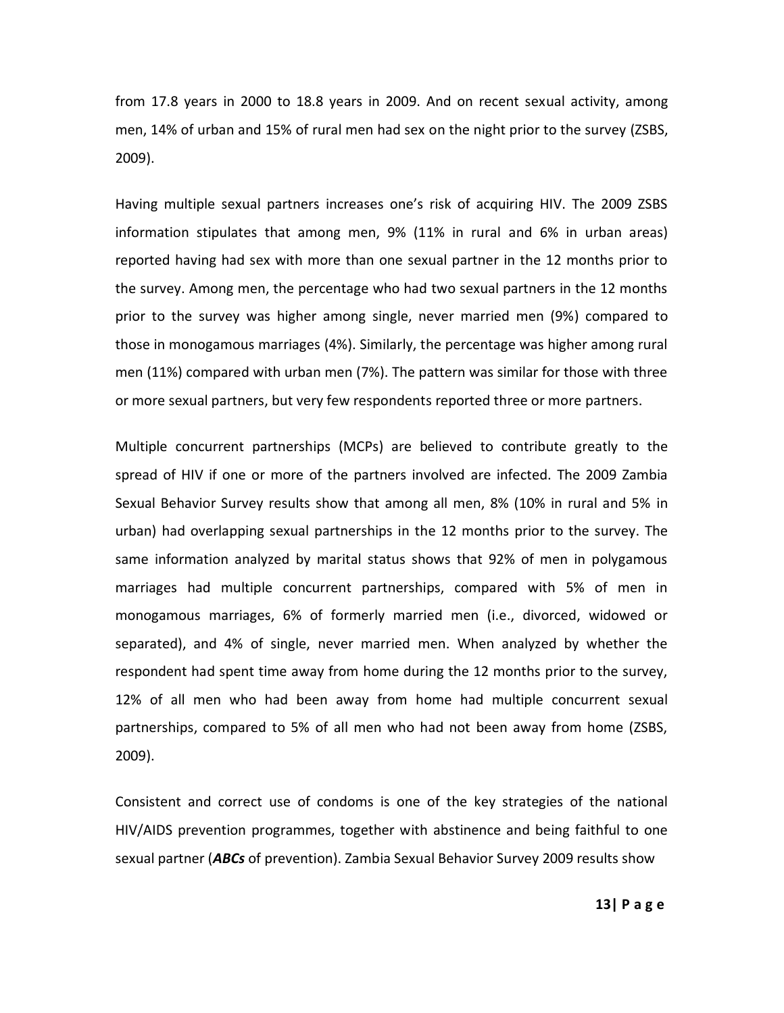from 17.8 years in 2000 to 18.8 years in 2009. And on recent sexual activity, among men, 14% of urban and 15% of rural men had sex on the night prior to the survey (ZSBS, 2009).

Having multiple sexual partners increases one's risk of acquiring HIV. The 2009 ZSBS information stipulates that among men, 9% (11% in rural and 6% in urban areas) reported having had sex with more than one sexual partner in the 12 months prior to the survey. Among men, the percentage who had two sexual partners in the 12 months prior to the survey was higher among single, never married men (9%) compared to those in monogamous marriages (4%). Similarly, the percentage was higher among rural men (11%) compared with urban men (7%). The pattern was similar for those with three or more sexual partners, but very few respondents reported three or more partners.

Multiple concurrent partnerships (MCPs) are believed to contribute greatly to the spread of HIV if one or more of the partners involved are infected. The 2009 Zambia Sexual Behavior Survey results show that among all men, 8% (10% in rural and 5% in urban) had overlapping sexual partnerships in the 12 months prior to the survey. The same information analyzed by marital status shows that 92% of men in polygamous marriages had multiple concurrent partnerships, compared with 5% of men in monogamous marriages, 6% of formerly married men (i.e., divorced, widowed or separated), and 4% of single, never married men. When analyzed by whether the respondent had spent time away from home during the 12 months prior to the survey, 12% of all men who had been away from home had multiple concurrent sexual partnerships, compared to 5% of all men who had not been away from home (ZSBS, 2009).

Consistent and correct use of condoms is one of the key strategies of the national HIV/AIDS prevention programmes, together with abstinence and being faithful to one sexual partner (*ABCs* of prevention). Zambia Sexual Behavior Survey 2009 results show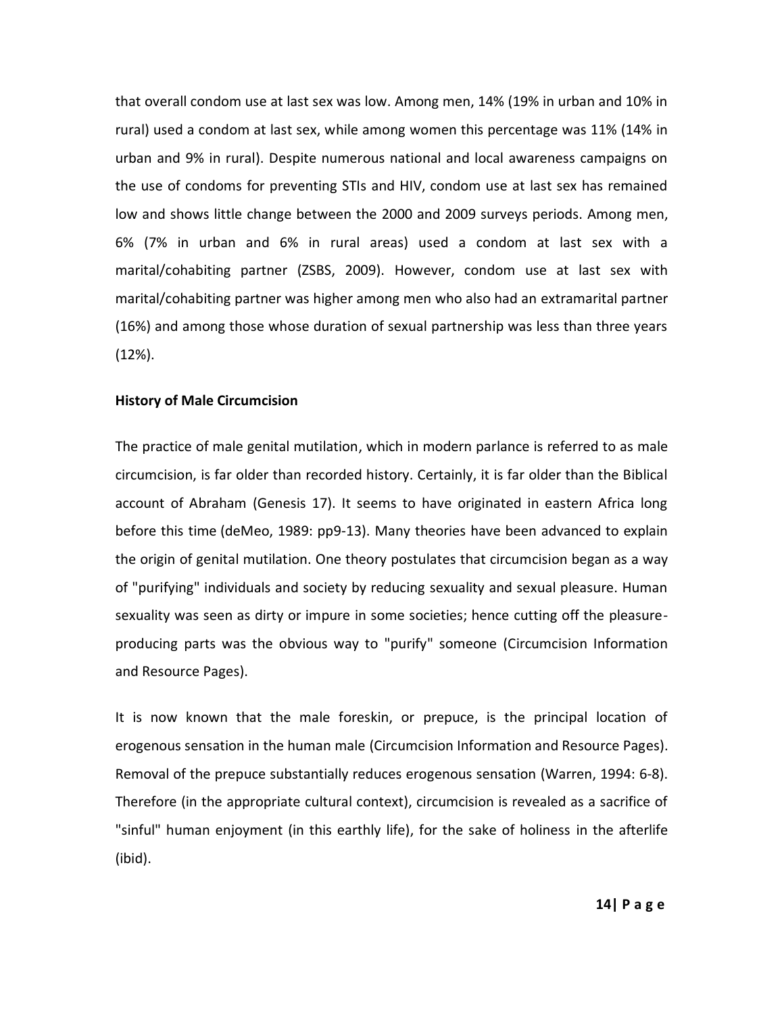that overall condom use at last sex was low. Among men, 14% (19% in urban and 10% in rural) used a condom at last sex, while among women this percentage was 11% (14% in urban and 9% in rural). Despite numerous national and local awareness campaigns on the use of condoms for preventing STIs and HIV, condom use at last sex has remained low and shows little change between the 2000 and 2009 surveys periods. Among men, 6% (7% in urban and 6% in rural areas) used a condom at last sex with a marital/cohabiting partner (ZSBS, 2009). However, condom use at last sex with marital/cohabiting partner was higher among men who also had an extramarital partner (16%) and among those whose duration of sexual partnership was less than three years (12%).

## **History of Male Circumcision**

The practice of male genital mutilation, which in modern parlance is referred to as male circumcision, is far older than recorded history. Certainly, it is far older than the Biblical account of Abraham (Genesis 17). It seems to have originated in eastern Africa long before this time (deMeo, 1989: pp9-13). Many theories have been advanced to explain the origin of genital mutilation. One theory postulates that circumcision began as a way of "purifying" individuals and society by reducing sexuality and sexual pleasure. Human sexuality was seen as dirty or impure in some societies; hence cutting off the pleasureproducing parts was the obvious way to "purify" someone (Circumcision Information and Resource Pages).

It is now known that the male foreskin, or prepuce, is the principal location of erogenous sensation in the human male (Circumcision Information and Resource Pages). Removal of the prepuce substantially reduces erogenous sensation (Warren, 1994: 6-8). Therefore (in the appropriate cultural context), circumcision is revealed as a sacrifice of "sinful" human enjoyment (in this earthly life), for the sake of holiness in the afterlife (ibid).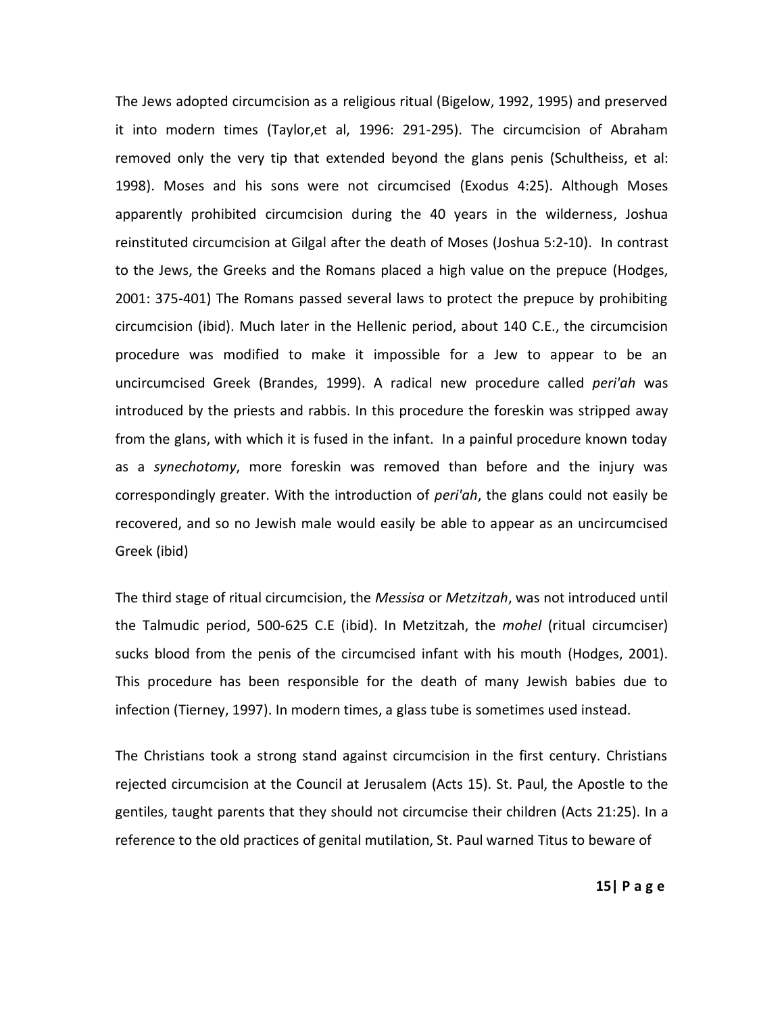The Jews adopted circumcision as a religious ritual (Bigelow, 1992, 1995) and preserved it into modern times (Taylor,et al, 1996: 291-295). The circumcision of Abraham removed only the very tip that extended beyond the glans penis (Schultheiss, et al: 1998). Moses and his sons were not circumcised (Exodus 4:25). Although Moses apparently prohibited circumcision during the 40 years in the wilderness, Joshua reinstituted circumcision at Gilgal after the death of Moses (Joshua 5:2-10). In contrast to the Jews, the Greeks and the Romans placed a high value on the prepuce (Hodges, 2001: 375-401) The Romans passed several laws to protect the prepuce by prohibiting circumcision (ibid). Much later in the Hellenic period, about 140 C.E., the circumcision procedure was modified to make it impossible for a Jew to appear to be an uncircumcised Greek (Brandes, 1999). A radical new procedure called *peri'ah* was introduced by the priests and rabbis. In this procedure the foreskin was stripped away from the glans, with which it is fused in the infant. In a painful procedure known today as a *synechotomy*, more foreskin was removed than before and the injury was correspondingly greater. With the introduction of *peri'ah*, the glans could not easily be recovered, and so no Jewish male would easily be able to appear as an uncircumcised Greek (ibid)

The third stage of ritual circumcision, the *Messisa* or *Metzitzah*, was not introduced until the Talmudic period, 500-625 C.E (ibid). In Metzitzah, the *mohel* (ritual circumciser) sucks blood from the penis of the circumcised infant with his mouth (Hodges, 2001). This procedure has been responsible for the death of many Jewish babies due to infection (Tierney, 1997). In modern times, a glass tube is sometimes used instead.

The Christians took a strong stand against circumcision in the first century. Christians rejected circumcision at the Council at Jerusalem [\(Acts 15\)](http://www.cirp.org/pages/cultural/christian.html#ACTS15). St. Paul, the Apostle to the gentiles, taught parents that they should not circumcise their children [\(Acts 21:25\)](http://www.cirp.org/pages/cultural/christian.html#ACTS21). In a reference to the old practices of genital mutilation, St. Paul warned Titus to beware of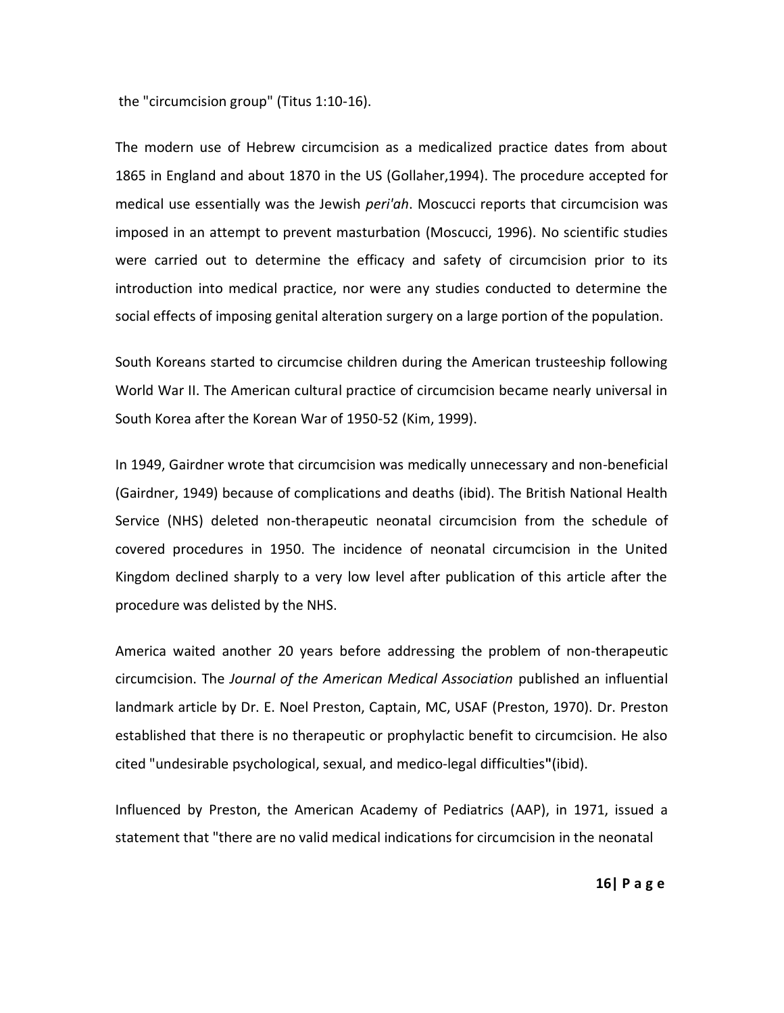the "circumcision group" [\(Titus 1:10-16\)](http://www.cirp.org/pages/cultural/christian.html#TIT1).

The modern use of Hebrew circumcision as a medicalized practice dates from about 1865 in England and about 1870 in the US (Gollaher,1994). The procedure accepted for medical use essentially was the Jewish *peri'ah*. Moscucci reports that circumcision was imposed in an attempt to prevent masturbation (Moscucci, 1996). No scientific studies were carried out to determine the efficacy and safety of circumcision prior to its introduction into medical practice, nor were any studies conducted to determine the social effects of imposing genital alteration surgery on a large portion of the population.

South Koreans started to circumcise children during the American trusteeship following World War II. The American cultural practice of circumcision became nearly universal in South Korea after the Korean War of 1950-52 (Kim, 1999).

In 1949, [Gairdner](http://www.cirp.org/library/general/gairdner/) wrote that circumcision was medically unnecessary and non-beneficial (Gairdner, 1949) because of complications and deaths (ibid). The British National Health Service (NHS) deleted non-therapeutic neonatal circumcision from the schedule of covered procedures in 1950. The incidence of neonatal circumcision in the United Kingdom declined sharply to a very low level after publication of this article after the procedure was delisted by the NHS.

America waited another 20 years before addressing the problem of non-therapeutic circumcision. The *Journal of the American Medical Association* published an influential [landmark article](http://www.cirp.org/library/general/preston/) by Dr. E. Noel Preston, Captain, MC, USAF (Preston, 1970). Dr. Preston established that there is no therapeutic or prophylactic benefit to circumcision. He also cited "undesirable psychological, sexual, and medico-legal difficulties**"**(ibid).

Influenced by Preston, the American Academy of Pediatrics (AAP), in 1971, issued a [statement](http://www.cirp.org/library/statements/aap#1971) that "there are no valid medical indications for circumcision in the neonatal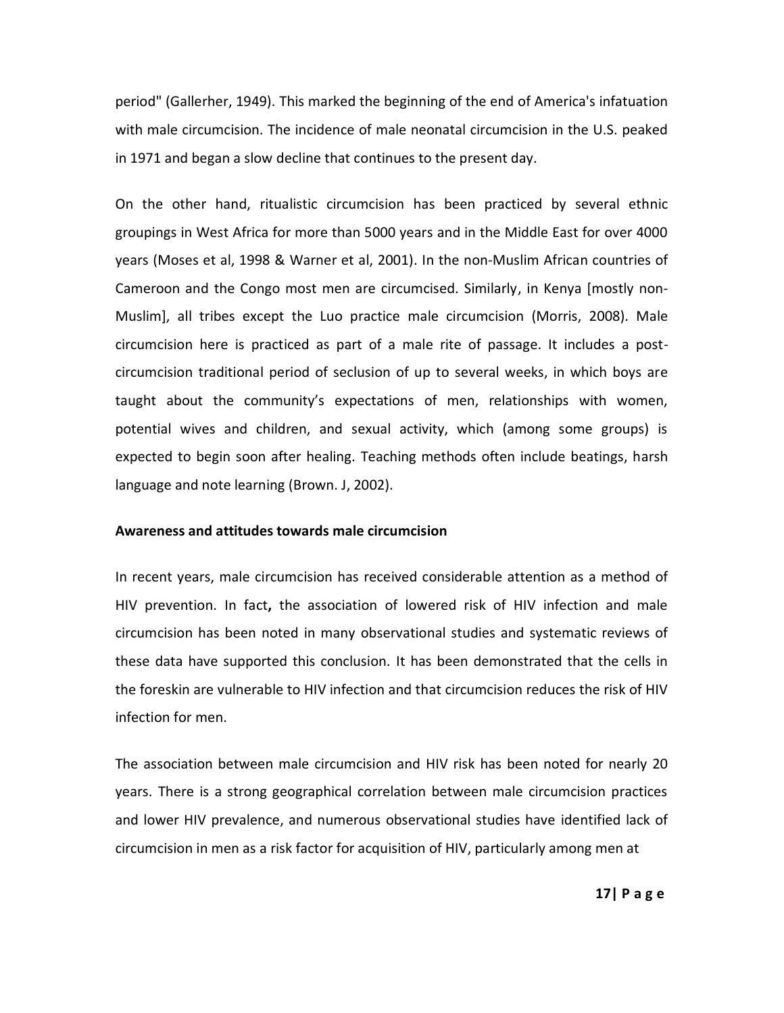period" (Gallerher, 1949). This marked the beginning of the end of America's infatuation with male circumcision. The incidence of male neonatal circumcision in the U.S. peaked in 1971 and began a slow decline that continues to the present day.

On the other hand, ritualistic circumcision has been practiced by several ethnic groupings in West Africa for more than 5000 years and in the Middle East for over 4000 years (Moses et al, 1998 & Warner et al, 2001). In the non-Muslim African countries of Cameroon and the Congo most men are circumcised. Similarly, in Kenya [mostly non-Muslim], all tribes except the Luo practice male circumcision (Morris, 2008). Male circumcision here is practiced as part of a male rite of passage. It includes a postcircumcision traditional period of seclusion of up to several weeks, in which boys are taught about the community's expectations of men, relationships with women, potential wives and children, and sexual activity, which (among some groups) is expected to begin soon after healing. Teaching methods often include beatings, harsh language and note learning (Brown. J, 2002).

#### **Awareness and attitudes towards male circumcision**

In recent years, male circumcision has received considerable attention as a method of HIV prevention. In fact**,** the association of lowered risk of HIV infection and male circumcision has been noted in many observational studies and systematic reviews of these data have supported this conclusion. It has been demonstrated that the cells in the foreskin are vulnerable to HIV infection and that circumcision reduces the risk of HIV infection for men.

The association between male circumcision and HIV risk has been noted for nearly 20 years. There is a strong geographical correlation between male circumcision practices and lower HIV prevalence, and numerous observational studies have identified lack of circumcision in men as a risk factor for acquisition of HIV, particularly among men at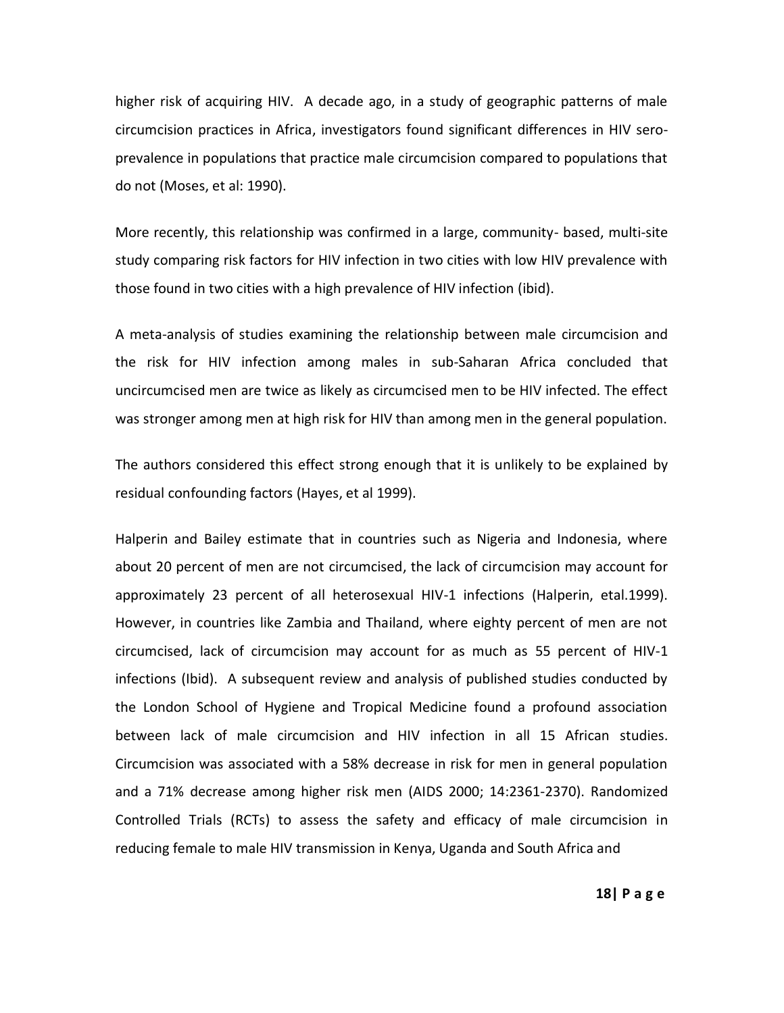higher risk of acquiring HIV. A decade ago, in a study of geographic patterns of male circumcision practices in Africa, investigators found significant differences in HIV seroprevalence in populations that practice male circumcision compared to populations that do not (Moses, et al: 1990).

More recently, this relationship was confirmed in a large, community- based, multi-site study comparing risk factors for HIV infection in two cities with low HIV prevalence with those found in two cities with a high prevalence of HIV infection (ibid).

A meta-analysis of studies examining the relationship between male circumcision and the risk for HIV infection among males in sub-Saharan Africa concluded that uncircumcised men are twice as likely as circumcised men to be HIV infected. The effect was stronger among men at high risk for HIV than among men in the general population.

The authors considered this effect strong enough that it is unlikely to be explained by residual confounding factors (Hayes, et al 1999).

Halperin and Bailey estimate that in countries such as Nigeria and Indonesia, where about 20 percent of men are not circumcised, the lack of circumcision may account for approximately 23 percent of all heterosexual HIV-1 infections (Halperin, etal.1999). However, in countries like Zambia and Thailand, where eighty percent of men are not circumcised, lack of circumcision may account for as much as 55 percent of HIV-1 infections (Ibid). A subsequent review and analysis of published studies conducted by the London School of Hygiene and Tropical Medicine found a profound association between lack of male circumcision and HIV infection in all 15 African studies. Circumcision was associated with a 58% decrease in risk for men in general population and a 71% decrease among higher risk men (AIDS 2000; 14:2361-2370). Randomized Controlled Trials (RCTs) to assess the safety and efficacy of male circumcision in reducing female to male HIV transmission in Kenya, Uganda and South Africa and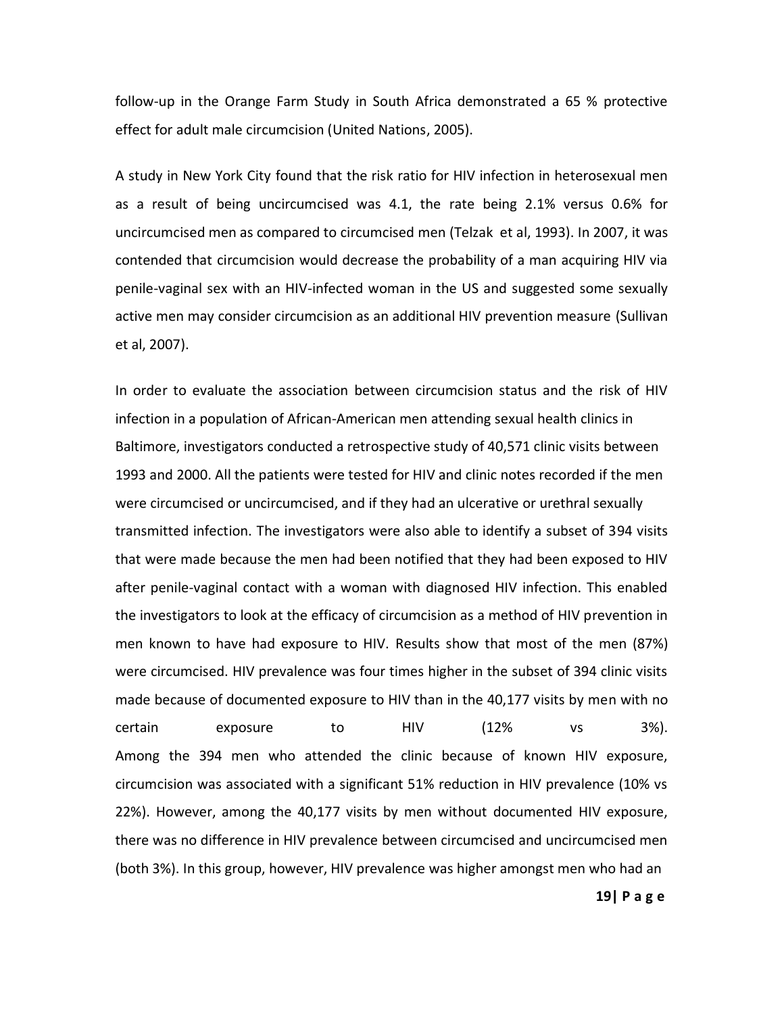follow-up in the Orange Farm Study in South Africa demonstrated a 65 % protective effect for adult male circumcision (United Nations, 2005).

A study in New York City found that the risk ratio for HIV infection in heterosexual men as a result of being uncircumcised was 4.1, the rate being 2.1% versus 0.6% for uncircumcised men as compared to circumcised men (Telzak et al, 1993). In 2007, it was contended that circumcision would decrease the probability of a man acquiring HIV via penile-vaginal sex with an HIV-infected woman in the US and suggested some sexually active men may consider circumcision as an additional HIV prevention measure (Sullivan et al, 2007).

In order to evaluate the association between circumcision status and the risk of HIV infection in a population of African-American men attending sexual health clinics in Baltimore, investigators conducted a retrospective study of 40,571 clinic visits between 1993 and 2000. All the patients were tested for HIV and clinic notes recorded if the men were circumcised or uncircumcised, and if they had an ulcerative or urethral sexually transmitted infection. The investigators were also able to identify a subset of 394 visits that were made because the men had been notified that they had been exposed to HIV after penile-vaginal contact with a woman with diagnosed HIV infection. This enabled the investigators to look at the efficacy of circumcision as a method of HIV prevention in men known to have had exposure to HIV. Results show that most of the men (87%) were circumcised. HIV prevalence was four times higher in the subset of 394 clinic visits made because of documented exposure to HIV than in the 40,177 visits by men with no certain exposure to HIV (12% vs 3%). Among the 394 men who attended the clinic because of known HIV exposure, circumcision was associated with a significant 51% reduction in HIV prevalence (10% vs 22%). However, among the 40,177 visits by men without documented HIV exposure, there was no difference in HIV prevalence between circumcised and uncircumcised men (both 3%). In this group, however, HIV prevalence was higher amongst men who had an

**19| P a g e**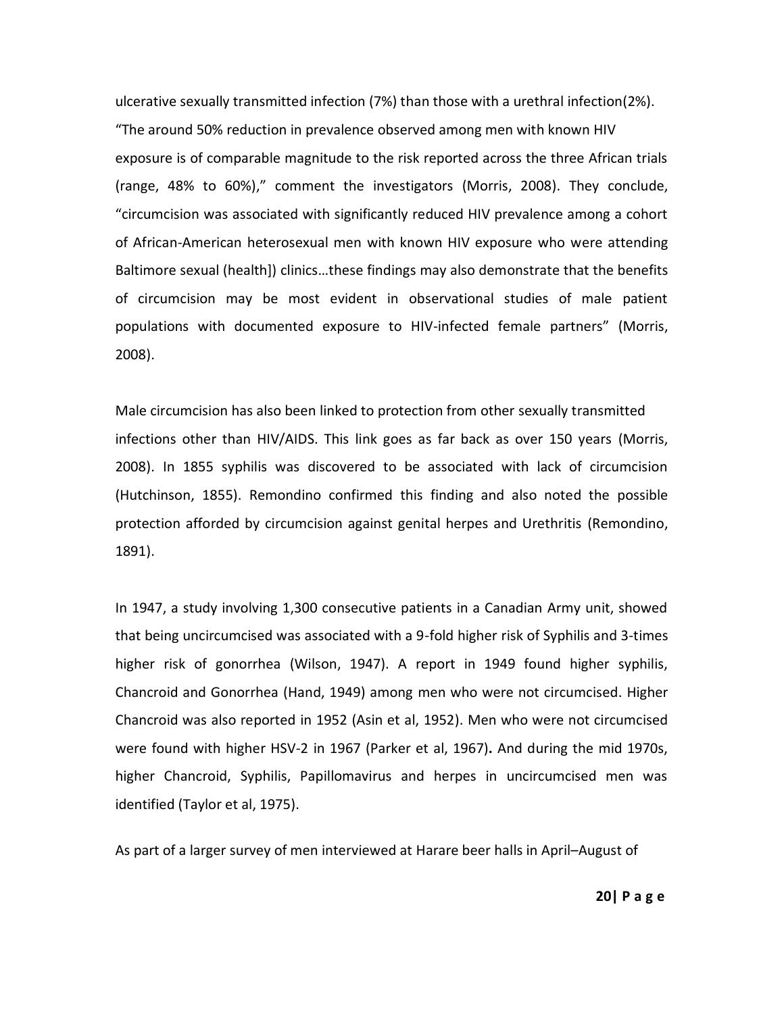ulcerative sexually transmitted infection (7%) than those with a urethral infection(2%). "The around 50% reduction in prevalence observed among men with known HIV exposure is of comparable magnitude to the risk reported across the three African trials (range, 48% to 60%)," comment the investigators (Morris, 2008). They conclude, "circumcision was associated with significantly reduced HIV prevalence among a cohort of African-American heterosexual men with known HIV exposure who were attending Baltimore sexual (health]) clinics…these findings may also demonstrate that the benefits of circumcision may be most evident in observational studies of male patient populations with documented exposure to HIV-infected female partners" (Morris, 2008).

Male circumcision has also been linked to protection from other sexually transmitted infections other than HIV/AIDS. This link goes as far back as over 150 years (Morris, 2008). In 1855 syphilis was discovered to be associated with lack of circumcision (Hutchinson, 1855). Remondino confirmed this finding and also noted the possible protection afforded by circumcision against genital herpes and Urethritis (Remondino, 1891).

In 1947, a study involving 1,300 consecutive patients in a Canadian Army unit, showed that being uncircumcised was associated with a 9-fold higher risk of Syphilis and 3-times higher risk of gonorrhea (Wilson, 1947). A report in 1949 found higher syphilis, Chancroid and Gonorrhea (Hand, 1949) among men who were not circumcised. Higher Chancroid was also reported in 1952 (Asin et al, 1952). Men who were not circumcised were found with higher HSV-2 in 1967 (Parker et al, 1967)**.** And during the mid 1970s, higher Chancroid, Syphilis, Papillomavirus and herpes in uncircumcised men was identified (Taylor et al, 1975).

As part of a larger survey of men interviewed at Harare beer halls in April–August of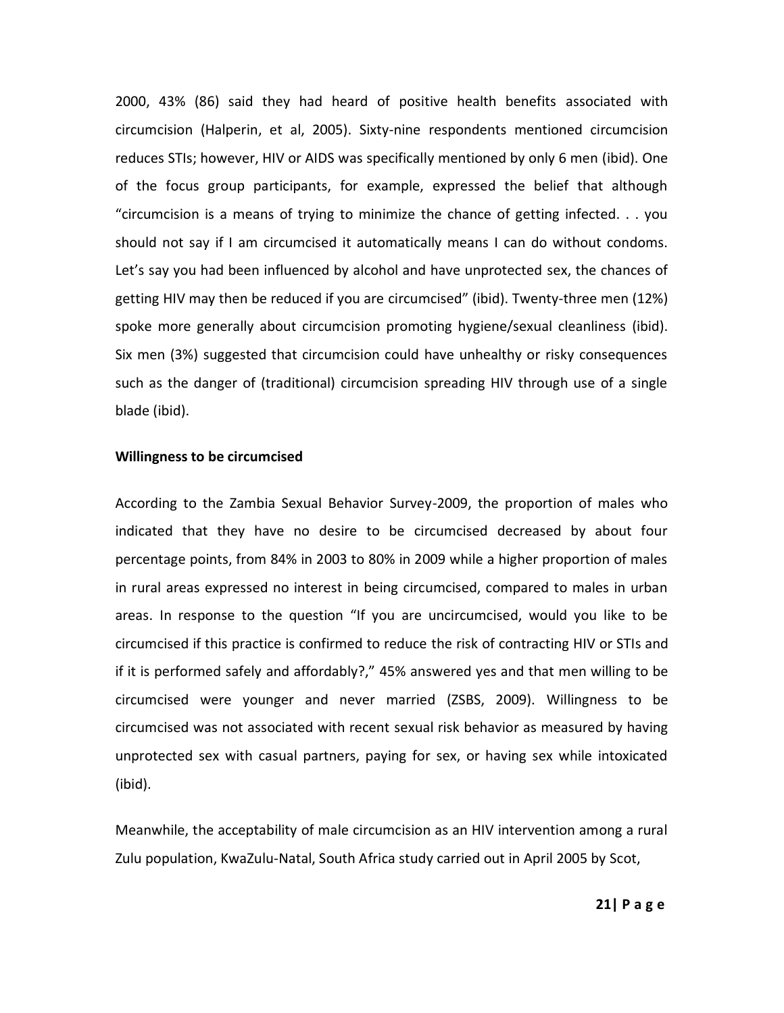2000, 43% (86) said they had heard of positive health benefits associated with circumcision (Halperin, et al, 2005). Sixty-nine respondents mentioned circumcision reduces STIs; however, HIV or AIDS was specifically mentioned by only 6 men (ibid). One of the focus group participants, for example, expressed the belief that although "circumcision is a means of trying to minimize the chance of getting infected. . . you should not say if I am circumcised it automatically means I can do without condoms. Let's say you had been influenced by alcohol and have unprotected sex, the chances of getting HIV may then be reduced if you are circumcised" (ibid). Twenty-three men (12%) spoke more generally about circumcision promoting hygiene/sexual cleanliness (ibid). Six men (3%) suggested that circumcision could have unhealthy or risky consequences such as the danger of (traditional) circumcision spreading HIV through use of a single blade (ibid).

## **Willingness to be circumcised**

According to the Zambia Sexual Behavior Survey-2009, the proportion of males who indicated that they have no desire to be circumcised decreased by about four percentage points, from 84% in 2003 to 80% in 2009 while a higher proportion of males in rural areas expressed no interest in being circumcised, compared to males in urban areas. In response to the question "If you are uncircumcised, would you like to be circumcised if this practice is confirmed to reduce the risk of contracting HIV or STIs and if it is performed safely and affordably?," 45% answered yes and that men willing to be circumcised were younger and never married (ZSBS, 2009). Willingness to be circumcised was not associated with recent sexual risk behavior as measured by having unprotected sex with casual partners, paying for sex, or having sex while intoxicated (ibid).

Meanwhile, the acceptability of male circumcision as an HIV intervention among a rural Zulu population, KwaZulu-Natal, South Africa study carried out in April 2005 by Scot,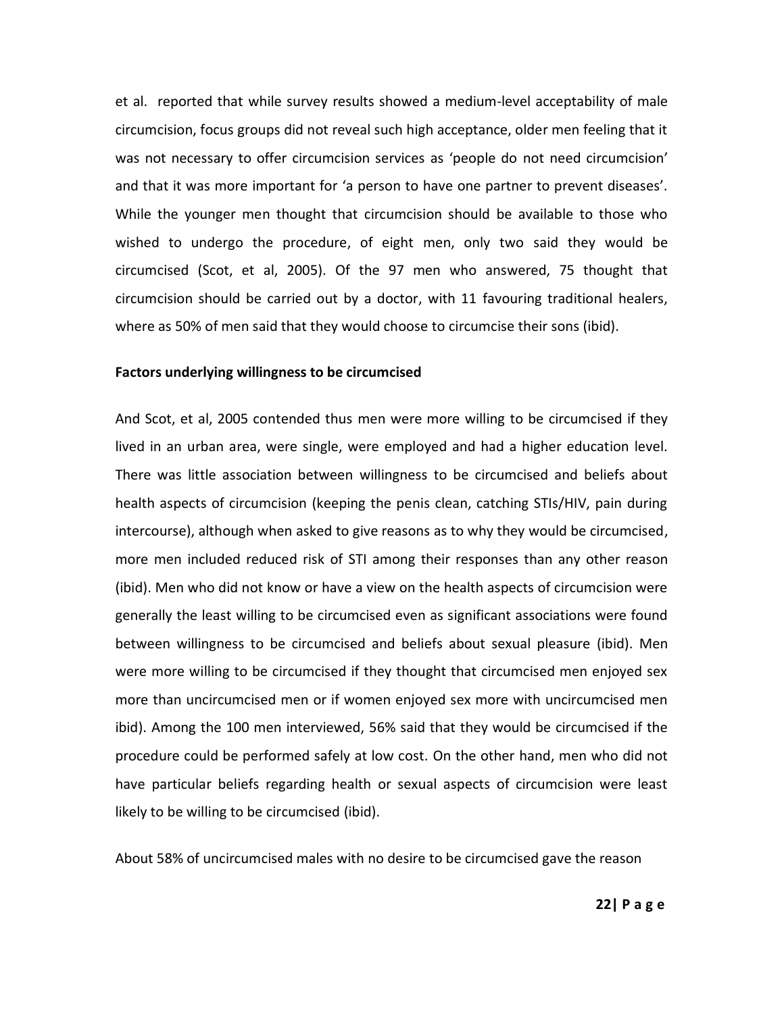et al. reported that while survey results showed a medium-level acceptability of male circumcision, focus groups did not reveal such high acceptance, older men feeling that it was not necessary to offer circumcision services as 'people do not need circumcision' and that it was more important for 'a person to have one partner to prevent diseases'. While the younger men thought that circumcision should be available to those who wished to undergo the procedure, of eight men, only two said they would be circumcised (Scot, et al, 2005). Of the 97 men who answered, 75 thought that circumcision should be carried out by a doctor, with 11 favouring traditional healers, where as 50% of men said that they would choose to circumcise their sons (ibid).

## **Factors underlying willingness to be circumcised**

And Scot, et al, 2005 contended thus men were more willing to be circumcised if they lived in an urban area, were single, were employed and had a higher education level. There was little association between willingness to be circumcised and beliefs about health aspects of circumcision (keeping the penis clean, catching STIs/HIV, pain during intercourse), although when asked to give reasons as to why they would be circumcised, more men included reduced risk of STI among their responses than any other reason (ibid). Men who did not know or have a view on the health aspects of circumcision were generally the least willing to be circumcised even as significant associations were found between willingness to be circumcised and beliefs about sexual pleasure (ibid). Men were more willing to be circumcised if they thought that circumcised men enjoyed sex more than uncircumcised men or if women enjoyed sex more with uncircumcised men ibid). Among the 100 men interviewed, 56% said that they would be circumcised if the procedure could be performed safely at low cost. On the other hand, men who did not have particular beliefs regarding health or sexual aspects of circumcision were least likely to be willing to be circumcised (ibid).

About 58% of uncircumcised males with no desire to be circumcised gave the reason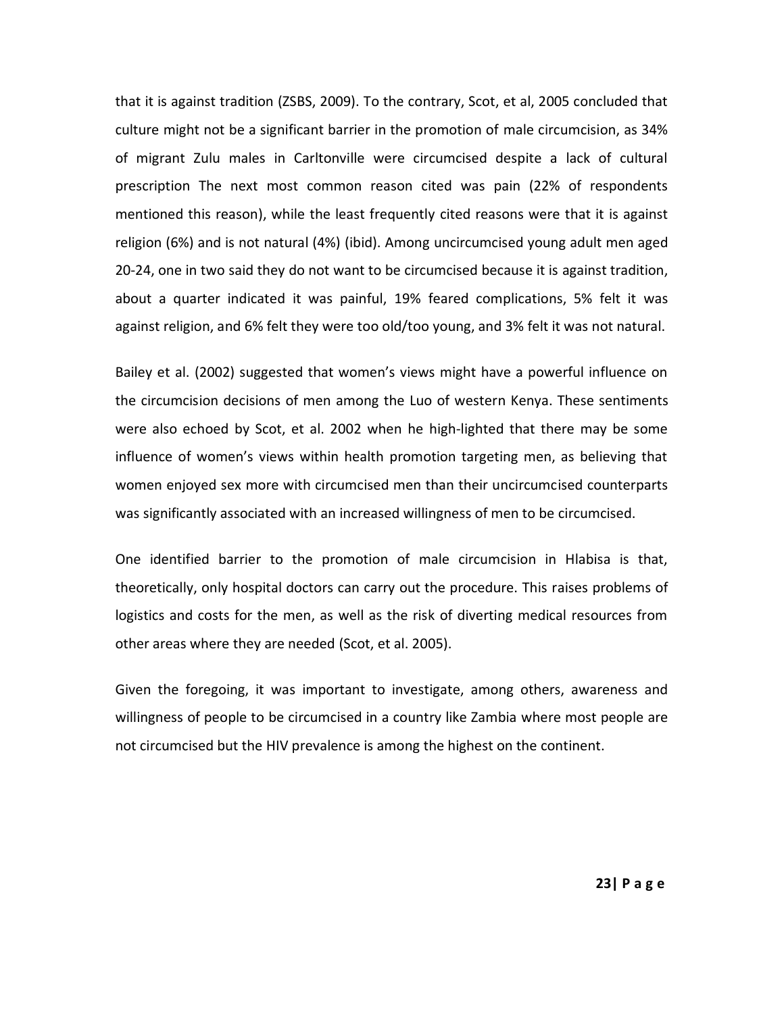that it is against tradition (ZSBS, 2009). To the contrary, Scot, et al, 2005 concluded that culture might not be a significant barrier in the promotion of male circumcision, as 34% of migrant Zulu males in Carltonville were circumcised despite a lack of cultural prescription The next most common reason cited was pain (22% of respondents mentioned this reason), while the least frequently cited reasons were that it is against religion (6%) and is not natural (4%) (ibid). Among uncircumcised young adult men aged 20-24, one in two said they do not want to be circumcised because it is against tradition, about a quarter indicated it was painful, 19% feared complications, 5% felt it was against religion, and 6% felt they were too old/too young, and 3% felt it was not natural.

Bailey et al. (2002) suggested that women's views might have a powerful influence on the circumcision decisions of men among the Luo of western Kenya. These sentiments were also echoed by Scot, et al. 2002 when he high-lighted that there may be some influence of women's views within health promotion targeting men, as believing that women enjoyed sex more with circumcised men than their uncircumcised counterparts was significantly associated with an increased willingness of men to be circumcised.

One identified barrier to the promotion of male circumcision in Hlabisa is that, theoretically, only hospital doctors can carry out the procedure. This raises problems of logistics and costs for the men, as well as the risk of diverting medical resources from other areas where they are needed (Scot, et al. 2005).

Given the foregoing, it was important to investigate, among others, awareness and willingness of people to be circumcised in a country like Zambia where most people are not circumcised but the HIV prevalence is among the highest on the continent.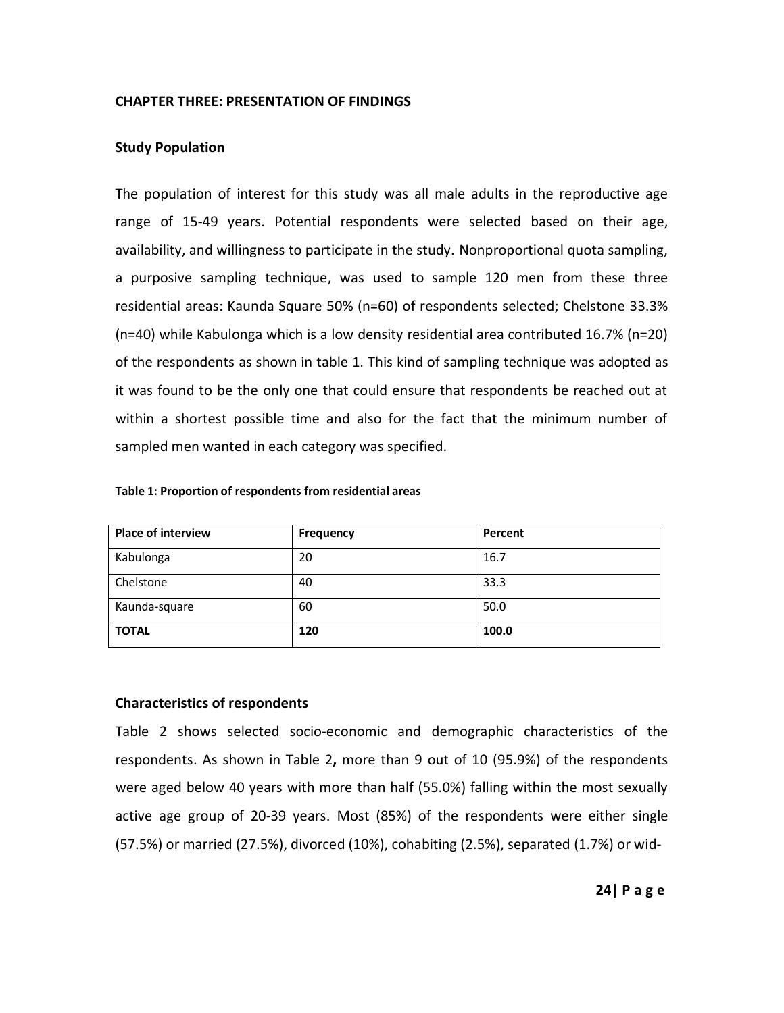## **CHAPTER THREE: PRESENTATION OF FINDINGS**

## **Study Population**

The population of interest for this study was all male adults in the reproductive age range of 15-49 years. Potential respondents were selected based on their age, availability, and willingness to participate in the study. Nonproportional quota sampling, a purposive sampling technique, was used to sample 120 men from these three residential areas: Kaunda Square 50% (n=60) of respondents selected; Chelstone 33.3% (n=40) while Kabulonga which is a low density residential area contributed 16.7% (n=20) of the respondents as shown in table 1. This kind of sampling technique was adopted as it was found to be the only one that could ensure that respondents be reached out at within a shortest possible time and also for the fact that the minimum number of sampled men wanted in each category was specified.

| <b>Place of interview</b> | Frequency | Percent |
|---------------------------|-----------|---------|
| Kabulonga                 | 20        | 16.7    |
| Chelstone                 | 40        | 33.3    |
| Kaunda-square             | 60        | 50.0    |
| <b>TOTAL</b>              | 120       | 100.0   |

#### **Table 1: Proportion of respondents from residential areas**

## **Characteristics of respondents**

Table 2 shows selected socio-economic and demographic characteristics of the respondents. As shown in Table 2**,** more than 9 out of 10 (95.9%) of the respondents were aged below 40 years with more than half (55.0%) falling within the most sexually active age group of 20-39 years. Most (85%) of the respondents were either single (57.5%) or married (27.5%), divorced (10%), cohabiting (2.5%), separated (1.7%) or wid-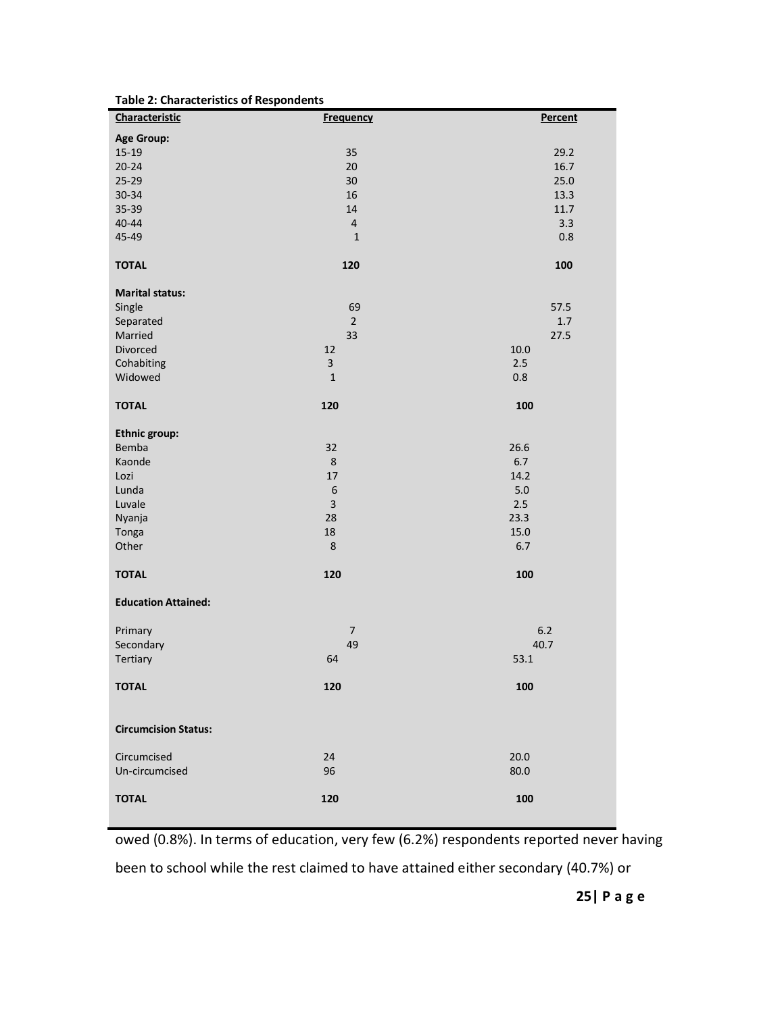| Characteristic              | <b>Frequency</b>        | Percent |
|-----------------------------|-------------------------|---------|
| <b>Age Group:</b>           |                         |         |
| $15-19$                     | 35                      | 29.2    |
| $20 - 24$                   | 20                      | 16.7    |
| $25 - 29$                   | 30                      | 25.0    |
| 30-34                       | 16                      | 13.3    |
| 35-39                       | 14                      | 11.7    |
| $40 - 44$                   | $\overline{4}$          | 3.3     |
| 45-49                       | $\mathbf 1$             | 0.8     |
| <b>TOTAL</b>                | 120                     | 100     |
| <b>Marital status:</b>      |                         |         |
| Single                      | 69                      | 57.5    |
| Separated                   | $\overline{2}$          | $1.7\,$ |
| Married                     | 33                      | 27.5    |
| Divorced                    | 12                      | 10.0    |
| Cohabiting                  | 3                       | 2.5     |
| Widowed                     | $\mathbf{1}$            | 0.8     |
| <b>TOTAL</b>                | 120                     | 100     |
| Ethnic group:               |                         |         |
| Bemba                       | 32                      | 26.6    |
| Kaonde                      | 8                       | 6.7     |
| Lozi                        | 17                      | 14.2    |
| Lunda                       | $\,$ 6 $\,$             | 5.0     |
| Luvale                      | $\overline{\mathbf{3}}$ | 2.5     |
| Nyanja                      | 28                      | 23.3    |
| Tonga                       | 18                      | 15.0    |
| Other                       | 8                       | 6.7     |
| <b>TOTAL</b>                | 120                     | 100     |
| <b>Education Attained:</b>  |                         |         |
| Primary                     | $\overline{7}$          | $6.2$   |
| Secondary                   | 49                      | 40.7    |
| Tertiary                    | 64                      | 53.1    |
| <b>TOTAL</b>                | 120                     | 100     |
| <b>Circumcision Status:</b> |                         |         |
| Circumcised                 | 24                      | 20.0    |
| Un-circumcised              | 96                      | 80.0    |
| <b>TOTAL</b>                | 120                     | 100     |
|                             |                         |         |

**Table 2: Characteristics of Respondents**

owed (0.8%). In terms of education, very few (6.2%) respondents reported never having

been to school while the rest claimed to have attained either secondary (40.7%) or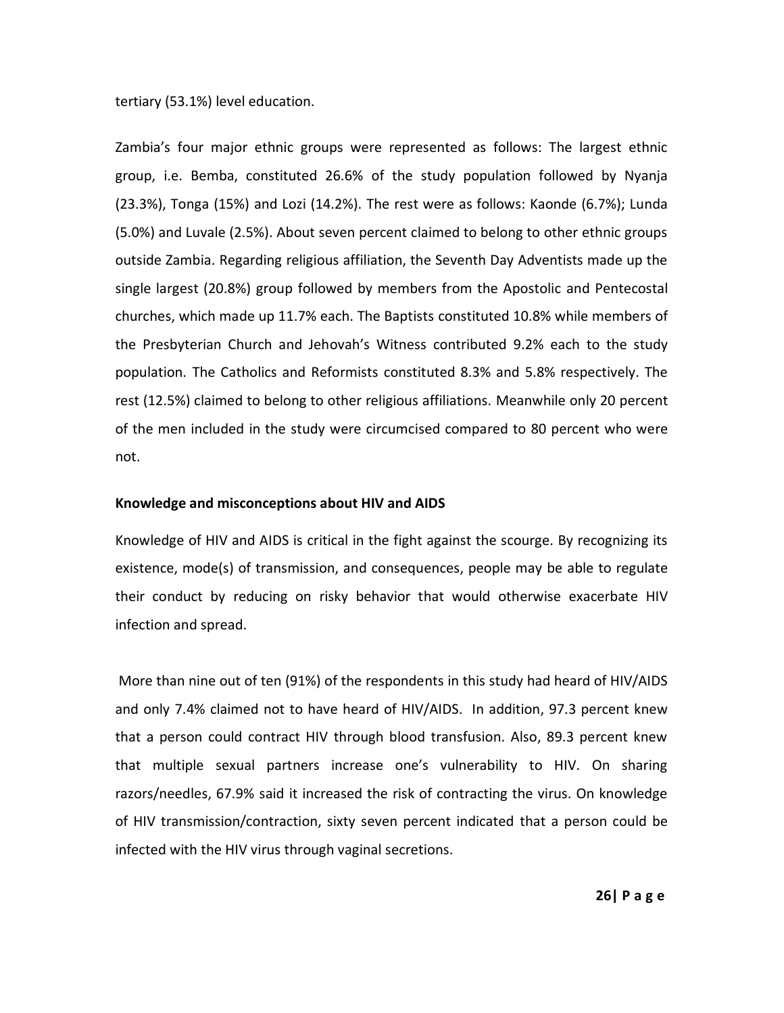tertiary (53.1%) level education.

Zambia's four major ethnic groups were represented as follows: The largest ethnic group, i.e. Bemba, constituted 26.6% of the study population followed by Nyanja (23.3%), Tonga (15%) and Lozi (14.2%). The rest were as follows: Kaonde (6.7%); Lunda (5.0%) and Luvale (2.5%). About seven percent claimed to belong to other ethnic groups outside Zambia. Regarding religious affiliation, the Seventh Day Adventists made up the single largest (20.8%) group followed by members from the Apostolic and Pentecostal churches, which made up 11.7% each. The Baptists constituted 10.8% while members of the Presbyterian Church and Jehovah's Witness contributed 9.2% each to the study population. The Catholics and Reformists constituted 8.3% and 5.8% respectively. The rest (12.5%) claimed to belong to other religious affiliations. Meanwhile only 20 percent of the men included in the study were circumcised compared to 80 percent who were not.

#### **Knowledge and misconceptions about HIV and AIDS**

Knowledge of HIV and AIDS is critical in the fight against the scourge. By recognizing its existence, mode(s) of transmission, and consequences, people may be able to regulate their conduct by reducing on risky behavior that would otherwise exacerbate HIV infection and spread.

More than nine out of ten (91%) of the respondents in this study had heard of HIV/AIDS and only 7.4% claimed not to have heard of HIV/AIDS. In addition, 97.3 percent knew that a person could contract HIV through blood transfusion. Also, 89.3 percent knew that multiple sexual partners increase one's vulnerability to HIV. On sharing razors/needles, 67.9% said it increased the risk of contracting the virus. On knowledge of HIV transmission/contraction, sixty seven percent indicated that a person could be infected with the HIV virus through vaginal secretions.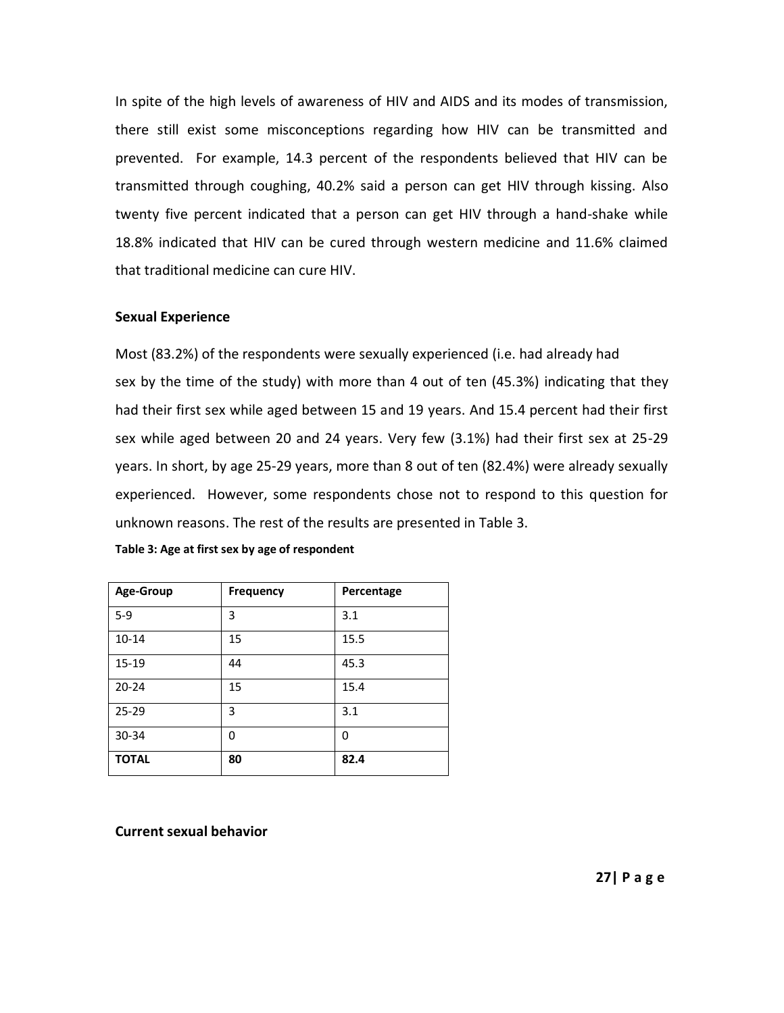In spite of the high levels of awareness of HIV and AIDS and its modes of transmission, there still exist some misconceptions regarding how HIV can be transmitted and prevented. For example, 14.3 percent of the respondents believed that HIV can be transmitted through coughing, 40.2% said a person can get HIV through kissing. Also twenty five percent indicated that a person can get HIV through a hand-shake while 18.8% indicated that HIV can be cured through western medicine and 11.6% claimed that traditional medicine can cure HIV.

#### **Sexual Experience**

Most (83.2%) of the respondents were sexually experienced (i.e. had already had sex by the time of the study) with more than 4 out of ten (45.3%) indicating that they had their first sex while aged between 15 and 19 years. And 15.4 percent had their first sex while aged between 20 and 24 years. Very few (3.1%) had their first sex at 25-29 years. In short, by age 25-29 years, more than 8 out of ten (82.4%) were already sexually experienced. However, some respondents chose not to respond to this question for unknown reasons. The rest of the results are presented in Table 3.

| Age-Group    | <b>Frequency</b> | Percentage |
|--------------|------------------|------------|
| $5-9$        | 3                | 3.1        |
| $10 - 14$    | 15               | 15.5       |
| $15 - 19$    | 44               | 45.3       |
| $20 - 24$    | 15               | 15.4       |
| $25 - 29$    | 3                | 3.1        |
| $30 - 34$    | 0                | 0          |
| <b>TOTAL</b> | 80               | 82.4       |

**Table 3: Age at first sex by age of respondent**

**Current sexual behavior**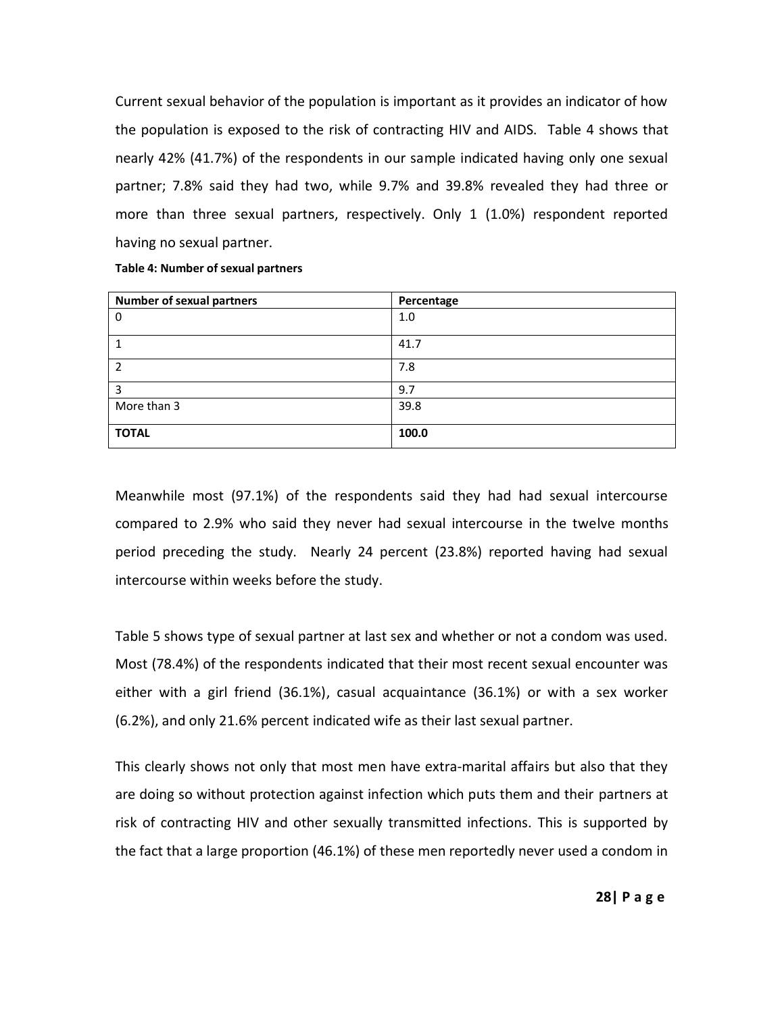Current sexual behavior of the population is important as it provides an indicator of how the population is exposed to the risk of contracting HIV and AIDS. Table 4 shows that nearly 42% (41.7%) of the respondents in our sample indicated having only one sexual partner; 7.8% said they had two, while 9.7% and 39.8% revealed they had three or more than three sexual partners, respectively. Only 1 (1.0%) respondent reported having no sexual partner.

| <b>Number of sexual partners</b> | Percentage |
|----------------------------------|------------|
| $\mathbf 0$                      | 1.0        |
| 1                                | 41.7       |
| 2                                | 7.8        |
| 3                                | 9.7        |
| More than 3                      | 39.8       |
| <b>TOTAL</b>                     | 100.0      |

**Table 4: Number of sexual partners**

Meanwhile most (97.1%) of the respondents said they had had sexual intercourse compared to 2.9% who said they never had sexual intercourse in the twelve months period preceding the study. Nearly 24 percent (23.8%) reported having had sexual intercourse within weeks before the study.

Table 5 shows type of sexual partner at last sex and whether or not a condom was used. Most (78.4%) of the respondents indicated that their most recent sexual encounter was either with a girl friend (36.1%), casual acquaintance (36.1%) or with a sex worker (6.2%), and only 21.6% percent indicated wife as their last sexual partner.

This clearly shows not only that most men have extra-marital affairs but also that they are doing so without protection against infection which puts them and their partners at risk of contracting HIV and other sexually transmitted infections. This is supported by the fact that a large proportion (46.1%) of these men reportedly never used a condom in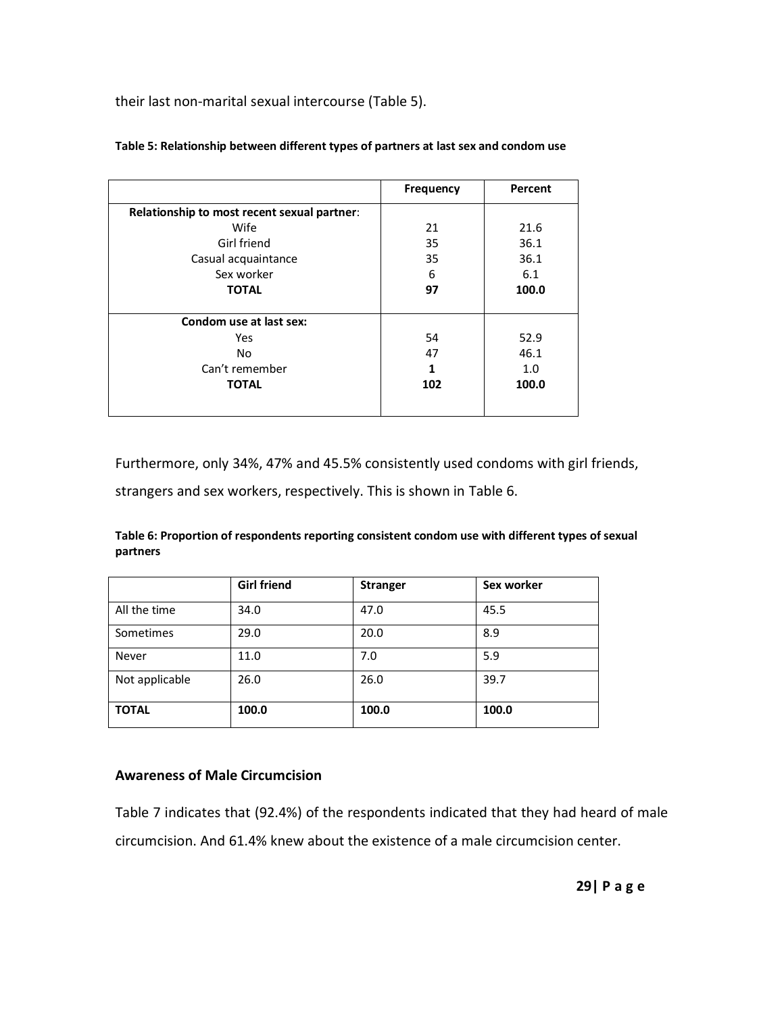their last non-marital sexual intercourse (Table 5).

|                                             | <b>Frequency</b> | Percent |
|---------------------------------------------|------------------|---------|
| Relationship to most recent sexual partner: |                  |         |
| Wife                                        | 21               | 21.6    |
| Girl friend                                 | 35               | 36.1    |
| Casual acquaintance                         | 35               | 36.1    |
| Sex worker                                  | 6                | 6.1     |
| <b>TOTAL</b>                                | 97               | 100.0   |
|                                             |                  |         |
| Condom use at last sex:                     |                  |         |
| Yes                                         | 54               | 52.9    |
| <b>No</b>                                   | 47               | 46.1    |
| Can't remember                              | 1                | 1.0     |
| <b>TOTAL</b>                                | 102              | 100.0   |
|                                             |                  |         |

### **Table 5: Relationship between different types of partners at last sex and condom use**

Furthermore, only 34%, 47% and 45.5% consistently used condoms with girl friends,

strangers and sex workers, respectively. This is shown in Table 6.

**Table 6: Proportion of respondents reporting consistent condom use with different types of sexual partners**

|                | <b>Girl friend</b> | <b>Stranger</b> | Sex worker |
|----------------|--------------------|-----------------|------------|
| All the time   | 34.0               | 47.0            | 45.5       |
| Sometimes      | 29.0               | 20.0            | 8.9        |
| Never          | 11.0               | 7.0             | 5.9        |
| Not applicable | 26.0               | 26.0            | 39.7       |
| <b>TOTAL</b>   | 100.0              | 100.0           | 100.0      |

## **Awareness of Male Circumcision**

Table 7 indicates that (92.4%) of the respondents indicated that they had heard of male circumcision. And 61.4% knew about the existence of a male circumcision center.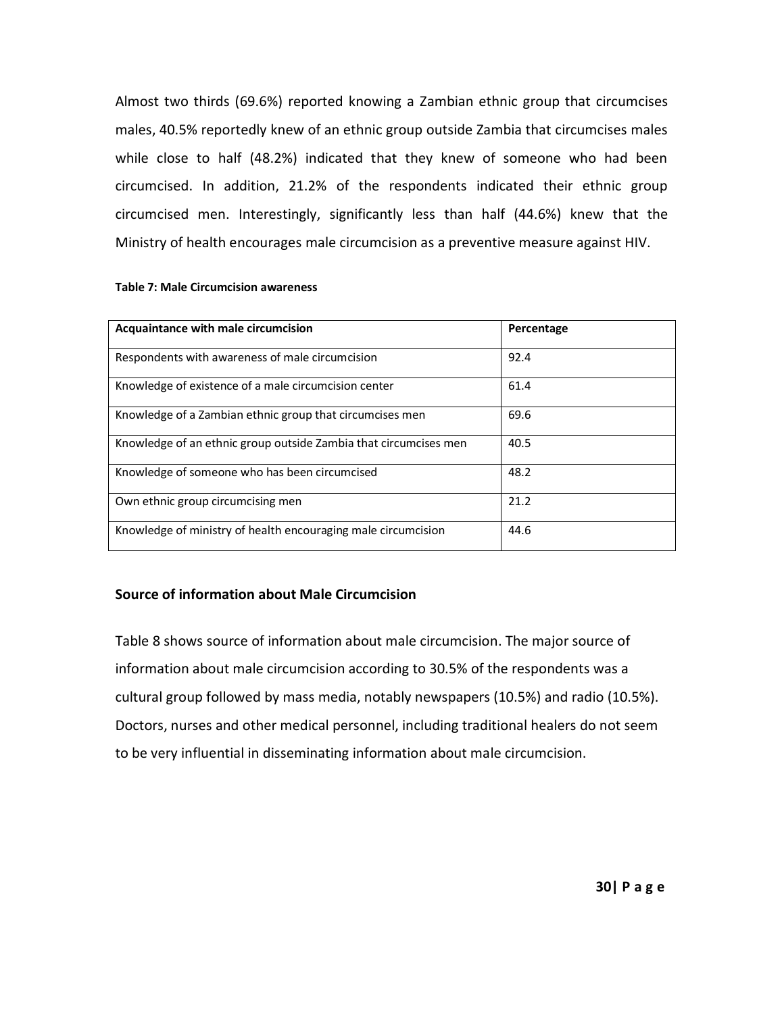Almost two thirds (69.6%) reported knowing a Zambian ethnic group that circumcises males, 40.5% reportedly knew of an ethnic group outside Zambia that circumcises males while close to half (48.2%) indicated that they knew of someone who had been circumcised. In addition, 21.2% of the respondents indicated their ethnic group circumcised men. Interestingly, significantly less than half (44.6%) knew that the Ministry of health encourages male circumcision as a preventive measure against HIV.

| Acquaintance with male circumcision                              | Percentage |
|------------------------------------------------------------------|------------|
| Respondents with awareness of male circumcision                  | 92.4       |
| Knowledge of existence of a male circumcision center             | 61.4       |
| Knowledge of a Zambian ethnic group that circumcises men         | 69.6       |
| Knowledge of an ethnic group outside Zambia that circumcises men | 40.5       |
| Knowledge of someone who has been circumcised                    | 48.2       |
| Own ethnic group circumcising men                                | 21.2       |
| Knowledge of ministry of health encouraging male circumcision    | 44.6       |

#### **Table 7: Male Circumcision awareness**

### **Source of information about Male Circumcision**

Table 8 shows source of information about male circumcision. The major source of information about male circumcision according to 30.5% of the respondents was a cultural group followed by mass media, notably newspapers (10.5%) and radio (10.5%). Doctors, nurses and other medical personnel, including traditional healers do not seem to be very influential in disseminating information about male circumcision.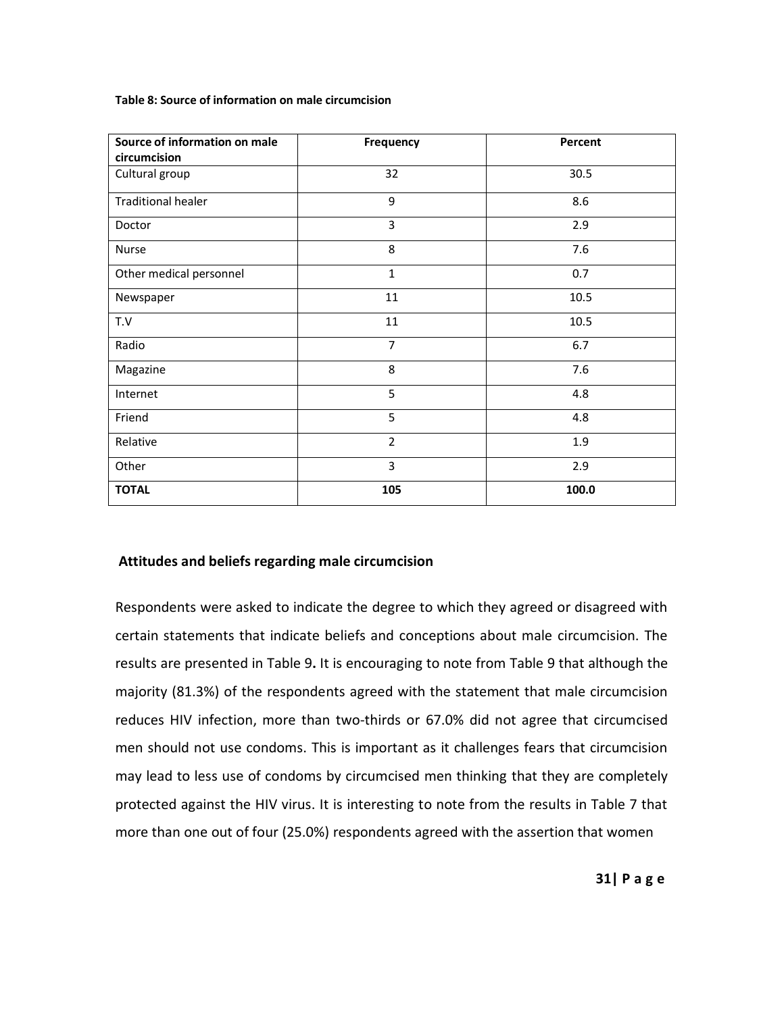**Table 8: Source of information on male circumcision**

| Source of information on male<br>circumcision | <b>Frequency</b> | Percent |
|-----------------------------------------------|------------------|---------|
| Cultural group                                | 32               | 30.5    |
| <b>Traditional healer</b>                     | 9                | 8.6     |
| Doctor                                        | 3                | 2.9     |
| <b>Nurse</b>                                  | 8                | 7.6     |
| Other medical personnel                       | $\mathbf{1}$     | 0.7     |
| Newspaper                                     | 11               | 10.5    |
| T.V                                           | 11               | 10.5    |
| Radio                                         | 7                | 6.7     |
| Magazine                                      | 8                | 7.6     |
| Internet                                      | 5                | 4.8     |
| Friend                                        | 5                | 4.8     |
| Relative                                      | $\overline{2}$   | 1.9     |
| Other                                         | 3                | 2.9     |
| <b>TOTAL</b>                                  | 105              | 100.0   |

### **Attitudes and beliefs regarding male circumcision**

Respondents were asked to indicate the degree to which they agreed or disagreed with certain statements that indicate beliefs and conceptions about male circumcision. The results are presented in Table 9**.** It is encouraging to note from Table 9 that although the majority (81.3%) of the respondents agreed with the statement that male circumcision reduces HIV infection, more than two-thirds or 67.0% did not agree that circumcised men should not use condoms. This is important as it challenges fears that circumcision may lead to less use of condoms by circumcised men thinking that they are completely protected against the HIV virus. It is interesting to note from the results in Table 7 that more than one out of four (25.0%) respondents agreed with the assertion that women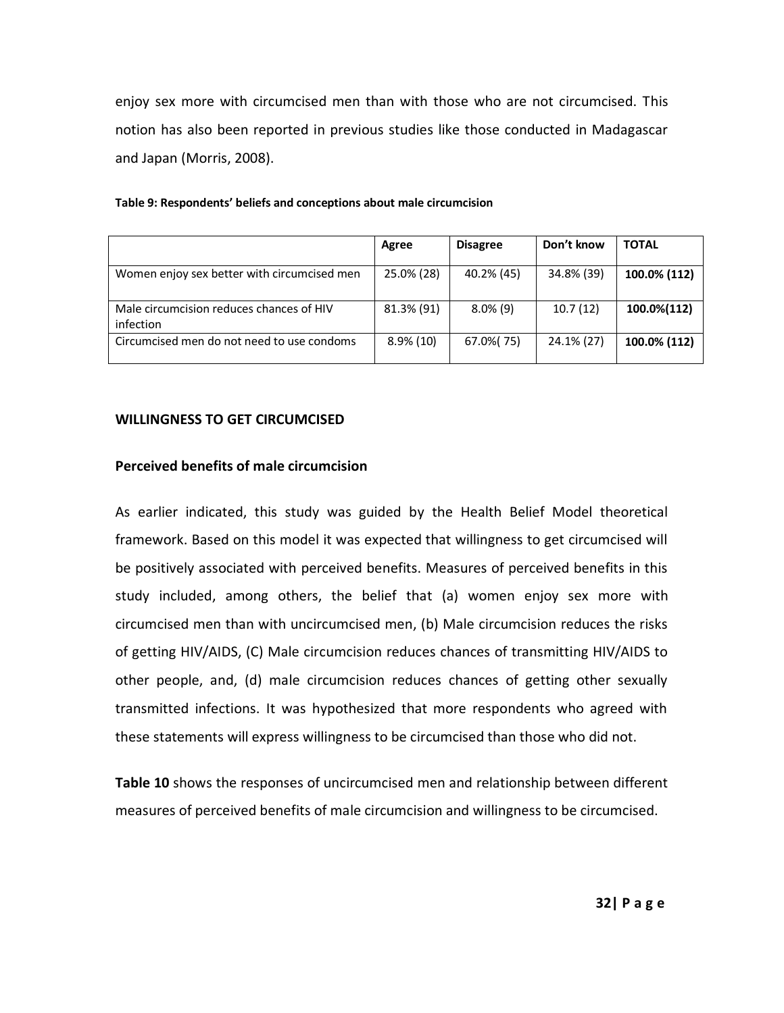enjoy sex more with circumcised men than with those who are not circumcised. This notion has also been reported in previous studies like those conducted in Madagascar and Japan (Morris, 2008).

|                                                       | Agree        | <b>Disagree</b> | Don't know | <b>TOTAL</b> |
|-------------------------------------------------------|--------------|-----------------|------------|--------------|
| Women enjoy sex better with circumcised men           | 25.0% (28)   | 40.2% (45)      | 34.8% (39) | 100.0% (112) |
| Male circumcision reduces chances of HIV<br>infection | 81.3% (91)   | $8.0\%$ (9)     | 10.7(12)   | 100.0%(112)  |
| Circumcised men do not need to use condoms            | $8.9\%$ (10) | 67.0% (75)      | 24.1% (27) | 100.0% (112) |

#### **Table 9: Respondents' beliefs and conceptions about male circumcision**

#### **WILLINGNESS TO GET CIRCUMCISED**

#### **Perceived benefits of male circumcision**

As earlier indicated, this study was guided by the Health Belief Model theoretical framework. Based on this model it was expected that willingness to get circumcised will be positively associated with perceived benefits. Measures of perceived benefits in this study included, among others, the belief that (a) women enjoy sex more with circumcised men than with uncircumcised men, (b) Male circumcision reduces the risks of getting HIV/AIDS, (C) Male circumcision reduces chances of transmitting HIV/AIDS to other people, and, (d) male circumcision reduces chances of getting other sexually transmitted infections. It was hypothesized that more respondents who agreed with these statements will express willingness to be circumcised than those who did not.

**Table 10** shows the responses of uncircumcised men and relationship between different measures of perceived benefits of male circumcision and willingness to be circumcised.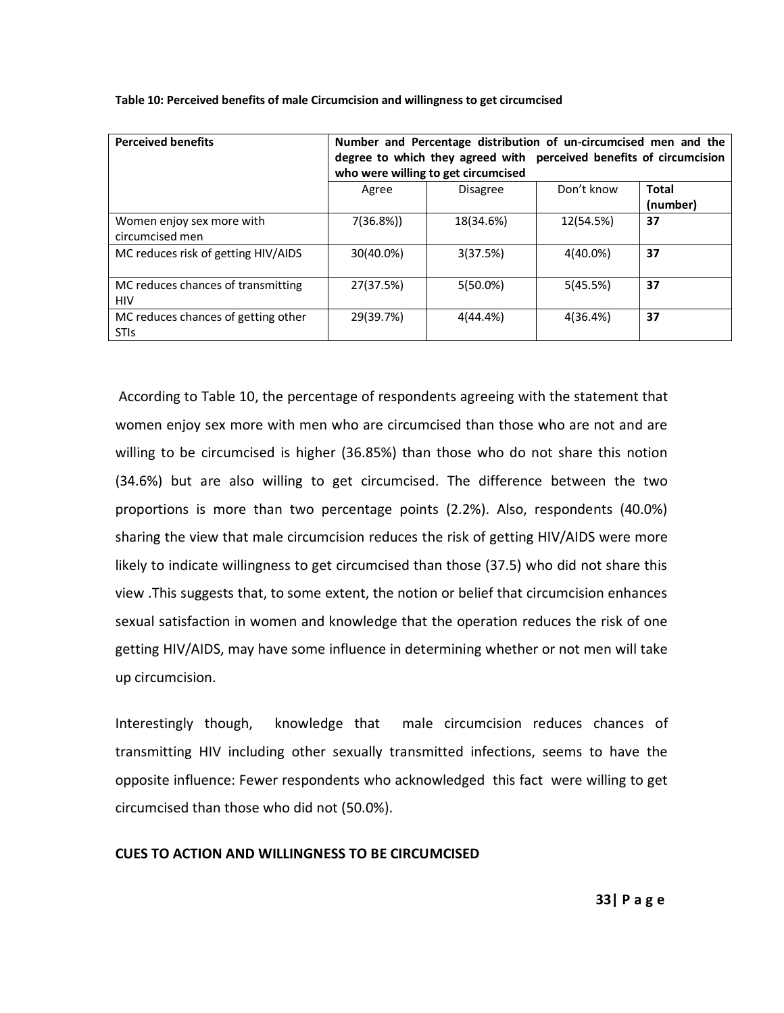| <b>Perceived benefits</b>                          | Number and Percentage distribution of un-circumcised men and the<br>degree to which they agreed with perceived benefits of circumcision<br>who were willing to get circumcised |                 |            |                          |
|----------------------------------------------------|--------------------------------------------------------------------------------------------------------------------------------------------------------------------------------|-----------------|------------|--------------------------|
|                                                    | Agree                                                                                                                                                                          | <b>Disagree</b> | Don't know | <b>Total</b><br>(number) |
| Women enjoy sex more with<br>circumcised men       | 7(36.8%)                                                                                                                                                                       | 18(34.6%)       | 12(54.5%)  | 37                       |
| MC reduces risk of getting HIV/AIDS                | 30(40.0%)                                                                                                                                                                      | 3(37.5%)        | 4(40.0%)   | 37                       |
| MC reduces chances of transmitting<br><b>HIV</b>   | 27(37.5%)                                                                                                                                                                      | $5(50.0\%)$     | 5(45.5%)   | 37                       |
| MC reduces chances of getting other<br><b>STIS</b> | 29(39.7%)                                                                                                                                                                      | 4(44.4%)        | 4(36.4%)   | 37                       |

**Table 10: Perceived benefits of male Circumcision and willingness to get circumcised**

According to Table 10, the percentage of respondents agreeing with the statement that women enjoy sex more with men who are circumcised than those who are not and are willing to be circumcised is higher (36.85%) than those who do not share this notion (34.6%) but are also willing to get circumcised. The difference between the two proportions is more than two percentage points (2.2%). Also, respondents (40.0%) sharing the view that male circumcision reduces the risk of getting HIV/AIDS were more likely to indicate willingness to get circumcised than those (37.5) who did not share this view .This suggests that, to some extent, the notion or belief that circumcision enhances sexual satisfaction in women and knowledge that the operation reduces the risk of one getting HIV/AIDS, may have some influence in determining whether or not men will take up circumcision.

Interestingly though, knowledge that male circumcision reduces chances of transmitting HIV including other sexually transmitted infections, seems to have the opposite influence: Fewer respondents who acknowledged this fact were willing to get circumcised than those who did not (50.0%).

## **CUES TO ACTION AND WILLINGNESS TO BE CIRCUMCISED**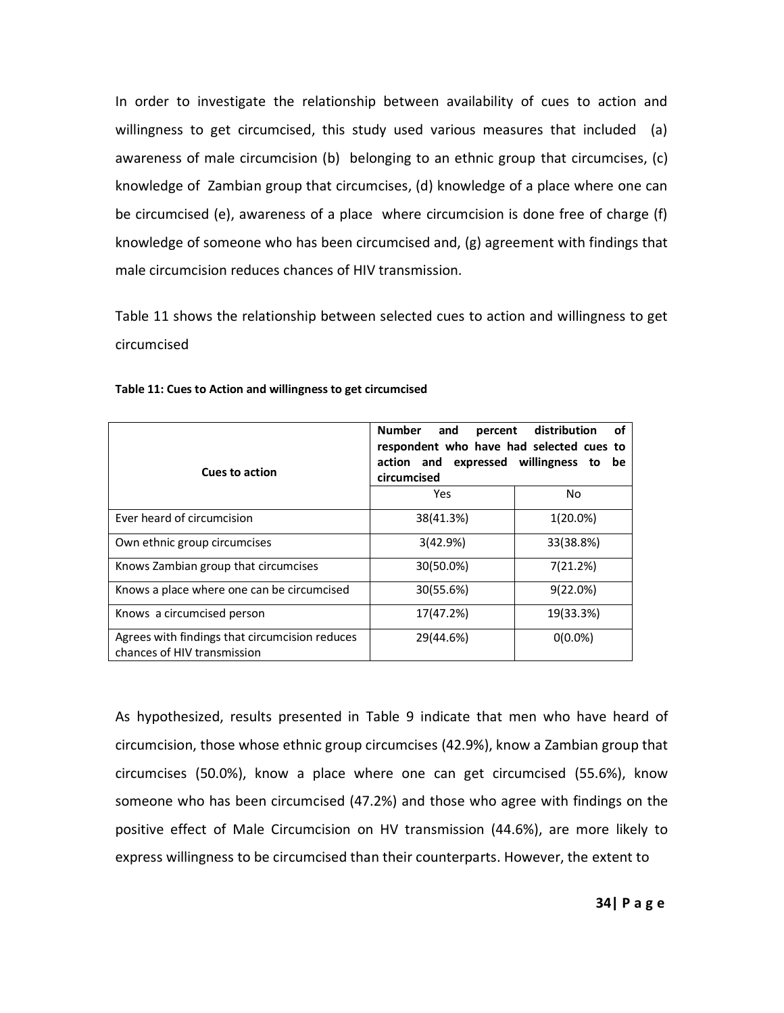In order to investigate the relationship between availability of cues to action and willingness to get circumcised, this study used various measures that included (a) awareness of male circumcision (b) belonging to an ethnic group that circumcises, (c) knowledge of Zambian group that circumcises, (d) knowledge of a place where one can be circumcised (e), awareness of a place where circumcision is done free of charge (f) knowledge of someone who has been circumcised and, (g) agreement with findings that male circumcision reduces chances of HIV transmission.

Table 11 shows the relationship between selected cues to action and willingness to get circumcised

| <b>Cues to action</b>                                                         | <b>Number</b><br>percent distribution<br>οf<br>and<br>respondent who have had selected cues to<br>action and expressed willingness to<br>be<br>circumcised |             |  |
|-------------------------------------------------------------------------------|------------------------------------------------------------------------------------------------------------------------------------------------------------|-------------|--|
|                                                                               | Yes                                                                                                                                                        | No          |  |
| Ever heard of circumcision                                                    | 38(41.3%)                                                                                                                                                  | $1(20.0\%)$ |  |
| Own ethnic group circumcises                                                  | 3(42.9%)                                                                                                                                                   | 33(38.8%)   |  |
| Knows Zambian group that circumcises                                          | 30(50.0%)                                                                                                                                                  | 7(21.2%)    |  |
| Knows a place where one can be circumcised                                    | 30(55.6%)                                                                                                                                                  | $9(22.0\%)$ |  |
| Knows a circumcised person                                                    | 17(47.2%)                                                                                                                                                  | 19(33.3%)   |  |
| Agrees with findings that circumcision reduces<br>chances of HIV transmission | 29(44.6%)                                                                                                                                                  | $0(0.0\%)$  |  |

#### **Table 11: Cues to Action and willingness to get circumcised**

As hypothesized, results presented in Table 9 indicate that men who have heard of circumcision, those whose ethnic group circumcises (42.9%), know a Zambian group that circumcises (50.0%), know a place where one can get circumcised (55.6%), know someone who has been circumcised (47.2%) and those who agree with findings on the positive effect of Male Circumcision on HV transmission (44.6%), are more likely to express willingness to be circumcised than their counterparts. However, the extent to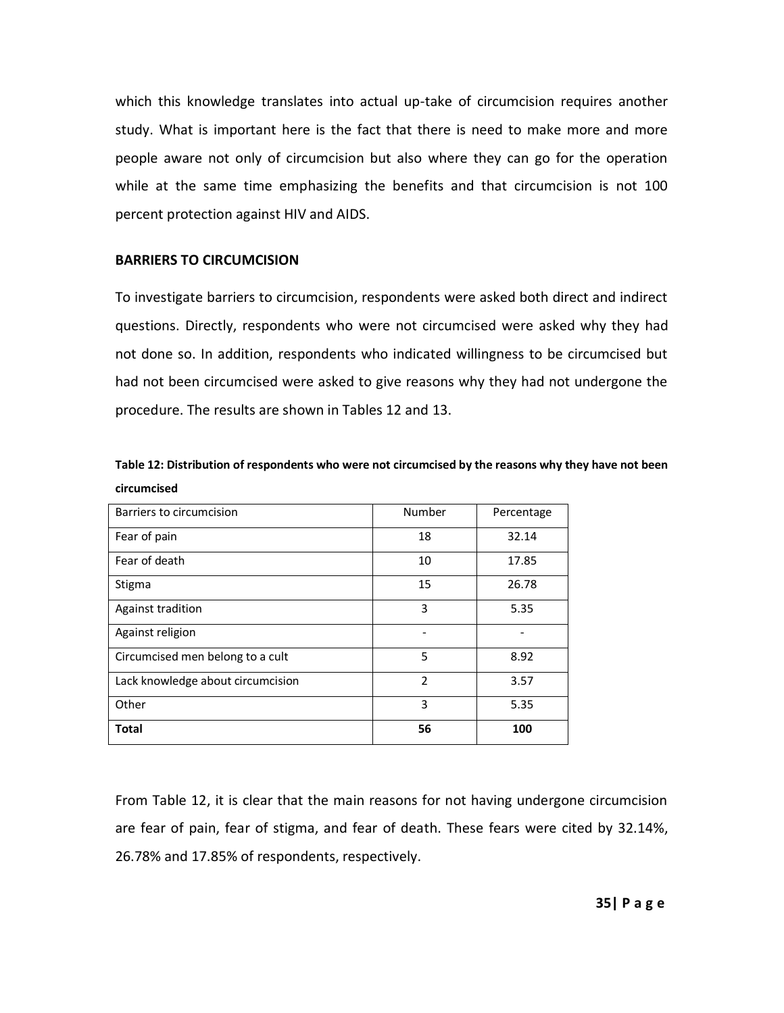which this knowledge translates into actual up-take of circumcision requires another study. What is important here is the fact that there is need to make more and more people aware not only of circumcision but also where they can go for the operation while at the same time emphasizing the benefits and that circumcision is not 100 percent protection against HIV and AIDS.

### **BARRIERS TO CIRCUMCISION**

To investigate barriers to circumcision, respondents were asked both direct and indirect questions. Directly, respondents who were not circumcised were asked why they had not done so. In addition, respondents who indicated willingness to be circumcised but had not been circumcised were asked to give reasons why they had not undergone the procedure. The results are shown in Tables 12 and 13.

| Table 12: Distribution of respondents who were not circumcised by the reasons why they have not been |  |
|------------------------------------------------------------------------------------------------------|--|
| circumcised                                                                                          |  |

| Barriers to circumcision          | Number                  | Percentage |
|-----------------------------------|-------------------------|------------|
| Fear of pain                      | 18                      | 32.14      |
| Fear of death                     | 10                      | 17.85      |
| Stigma                            | 15                      | 26.78      |
| Against tradition                 | 3                       | 5.35       |
| Against religion                  |                         |            |
| Circumcised men belong to a cult  | 5                       | 8.92       |
| Lack knowledge about circumcision | $\overline{\mathbf{c}}$ | 3.57       |
| Other                             | 3                       | 5.35       |
| <b>Total</b>                      | 56                      | 100        |

From Table 12, it is clear that the main reasons for not having undergone circumcision are fear of pain, fear of stigma, and fear of death. These fears were cited by 32.14%, 26.78% and 17.85% of respondents, respectively.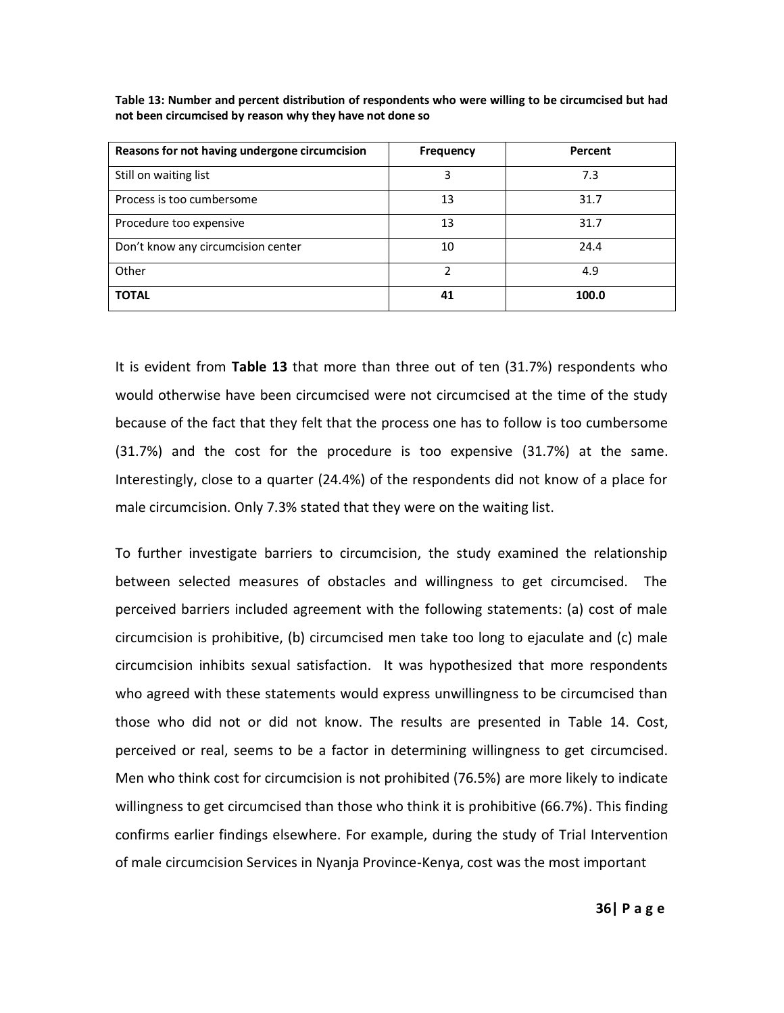| Reasons for not having undergone circumcision | <b>Frequency</b> | Percent |
|-----------------------------------------------|------------------|---------|
| Still on waiting list                         | 3                | 7.3     |
| Process is too cumbersome                     | 13               | 31.7    |
| Procedure too expensive                       | 13               | 31.7    |
| Don't know any circumcision center            | 10               | 24.4    |
| Other                                         |                  | 4.9     |
| <b>TOTAL</b>                                  | 41               | 100.0   |

**Table 13: Number and percent distribution of respondents who were willing to be circumcised but had not been circumcised by reason why they have not done so**

It is evident from **Table 13** that more than three out of ten (31.7%) respondents who would otherwise have been circumcised were not circumcised at the time of the study because of the fact that they felt that the process one has to follow is too cumbersome (31.7%) and the cost for the procedure is too expensive (31.7%) at the same. Interestingly, close to a quarter (24.4%) of the respondents did not know of a place for male circumcision. Only 7.3% stated that they were on the waiting list.

To further investigate barriers to circumcision, the study examined the relationship between selected measures of obstacles and willingness to get circumcised. The perceived barriers included agreement with the following statements: (a) cost of male circumcision is prohibitive, (b) circumcised men take too long to ejaculate and (c) male circumcision inhibits sexual satisfaction. It was hypothesized that more respondents who agreed with these statements would express unwillingness to be circumcised than those who did not or did not know. The results are presented in Table 14. Cost, perceived or real, seems to be a factor in determining willingness to get circumcised. Men who think cost for circumcision is not prohibited (76.5%) are more likely to indicate willingness to get circumcised than those who think it is prohibitive (66.7%). This finding confirms earlier findings elsewhere. For example, during the study of Trial Intervention of male circumcision Services in Nyanja Province-Kenya, cost was the most important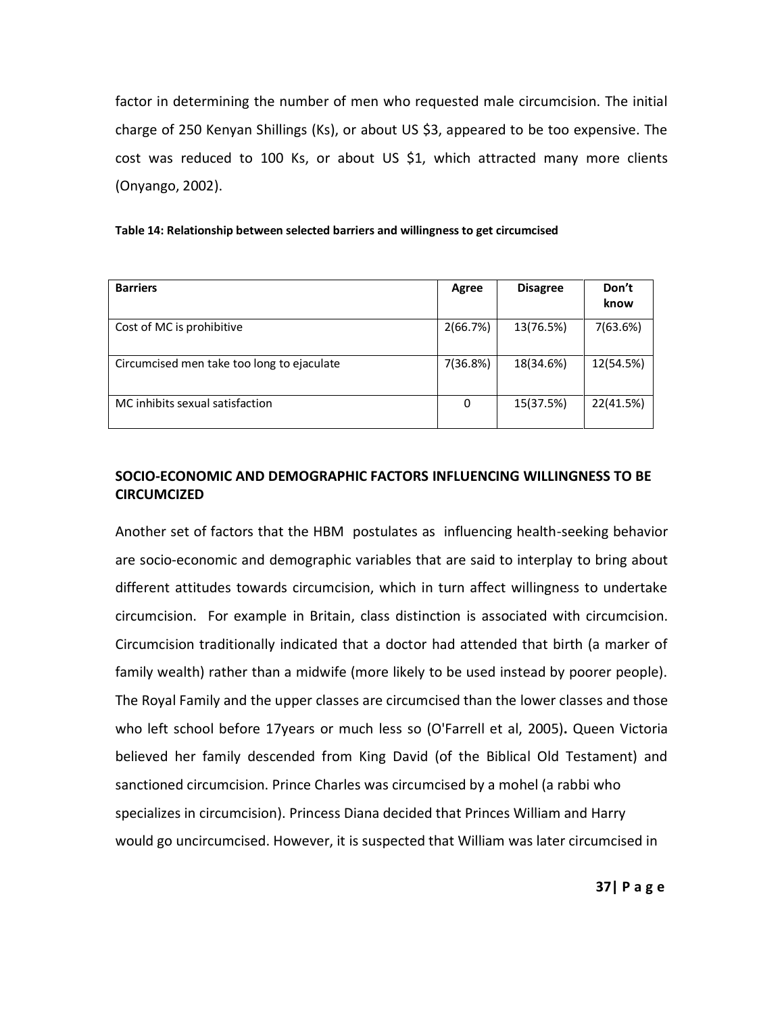factor in determining the number of men who requested male circumcision. The initial charge of 250 Kenyan Shillings (Ks), or about US \$3, appeared to be too expensive. The cost was reduced to 100 Ks, or about US \$1, which attracted many more clients (Onyango, 2002).

| <b>Barriers</b>                            | Agree    | <b>Disagree</b> | Don't<br>know |
|--------------------------------------------|----------|-----------------|---------------|
| Cost of MC is prohibitive                  | 2(66.7%) | 13(76.5%)       | 7(63.6%)      |
| Circumcised men take too long to ejaculate | 7(36.8%) | 18(34.6%)       | 12(54.5%)     |
| MC inhibits sexual satisfaction            | 0        | 15(37.5%)       | 22(41.5%)     |

## **SOCIO-ECONOMIC AND DEMOGRAPHIC FACTORS INFLUENCING WILLINGNESS TO BE CIRCUMCIZED**

Another set of factors that the HBM postulates as influencing health-seeking behavior are socio-economic and demographic variables that are said to interplay to bring about different attitudes towards circumcision, which in turn affect willingness to undertake circumcision. For example in Britain, class distinction is associated with circumcision. Circumcision traditionally indicated that a doctor had attended that birth (a marker of family wealth) rather than a midwife (more likely to be used instead by poorer people). The Royal Family and the upper classes are circumcised than the lower classes and those who left school before 17years or much less so (O'Farrell et al, 2005)**.** Queen Victoria believed her family descended from King David (of the Biblical Old Testament) and sanctioned circumcision. Prince Charles was circumcised by a mohel (a rabbi who specializes in circumcision). Princess Diana decided that Princes William and Harry would go uncircumcised. However, it is suspected that William was later circumcised in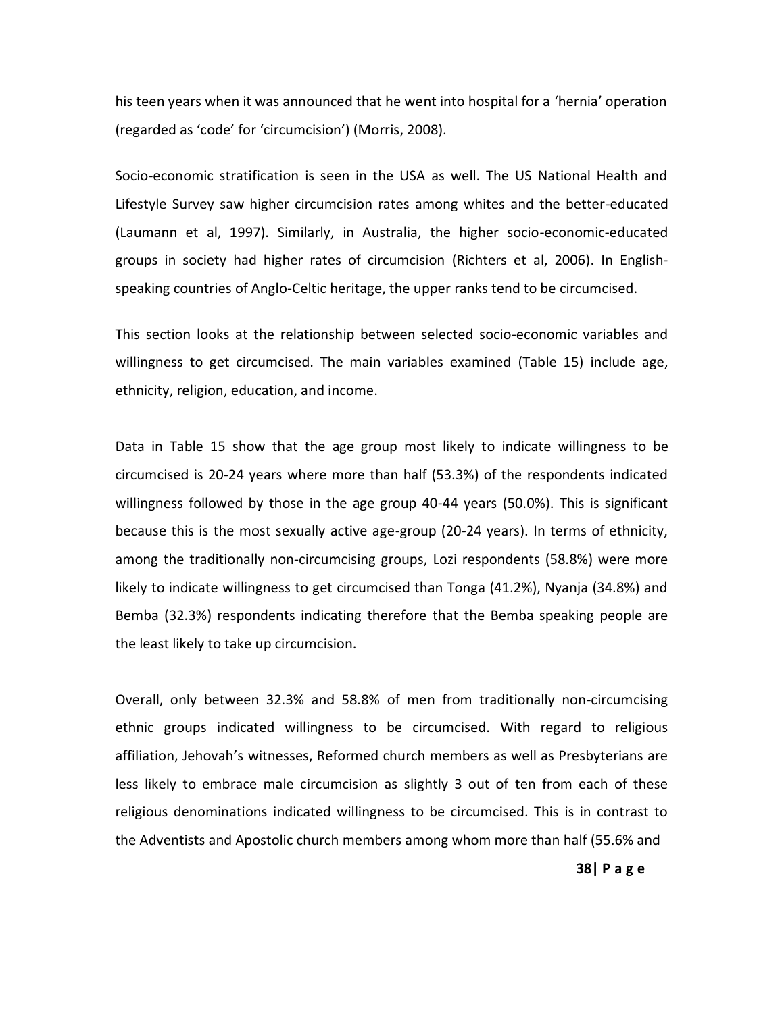his teen years when it was announced that he went into hospital for a 'hernia' operation (regarded as 'code' for 'circumcision') (Morris, 2008).

Socio-economic stratification is seen in the USA as well. The US National Health and Lifestyle Survey saw higher circumcision rates among whites and the better-educated (Laumann et al, 1997). Similarly, in Australia, the higher socio-economic-educated groups in society had higher rates of circumcision (Richters et al, 2006). In Englishspeaking countries of Anglo-Celtic heritage, the upper ranks tend to be circumcised.

This section looks at the relationship between selected socio-economic variables and willingness to get circumcised. The main variables examined (Table 15) include age, ethnicity, religion, education, and income.

Data in Table 15 show that the age group most likely to indicate willingness to be circumcised is 20-24 years where more than half (53.3%) of the respondents indicated willingness followed by those in the age group 40-44 years (50.0%). This is significant because this is the most sexually active age-group (20-24 years). In terms of ethnicity, among the traditionally non-circumcising groups, Lozi respondents (58.8%) were more likely to indicate willingness to get circumcised than Tonga (41.2%), Nyanja (34.8%) and Bemba (32.3%) respondents indicating therefore that the Bemba speaking people are the least likely to take up circumcision.

Overall, only between 32.3% and 58.8% of men from traditionally non-circumcising ethnic groups indicated willingness to be circumcised. With regard to religious affiliation, Jehovah's witnesses, Reformed church members as well as Presbyterians are less likely to embrace male circumcision as slightly 3 out of ten from each of these religious denominations indicated willingness to be circumcised. This is in contrast to the Adventists and Apostolic church members among whom more than half (55.6% and

**38| P a g e**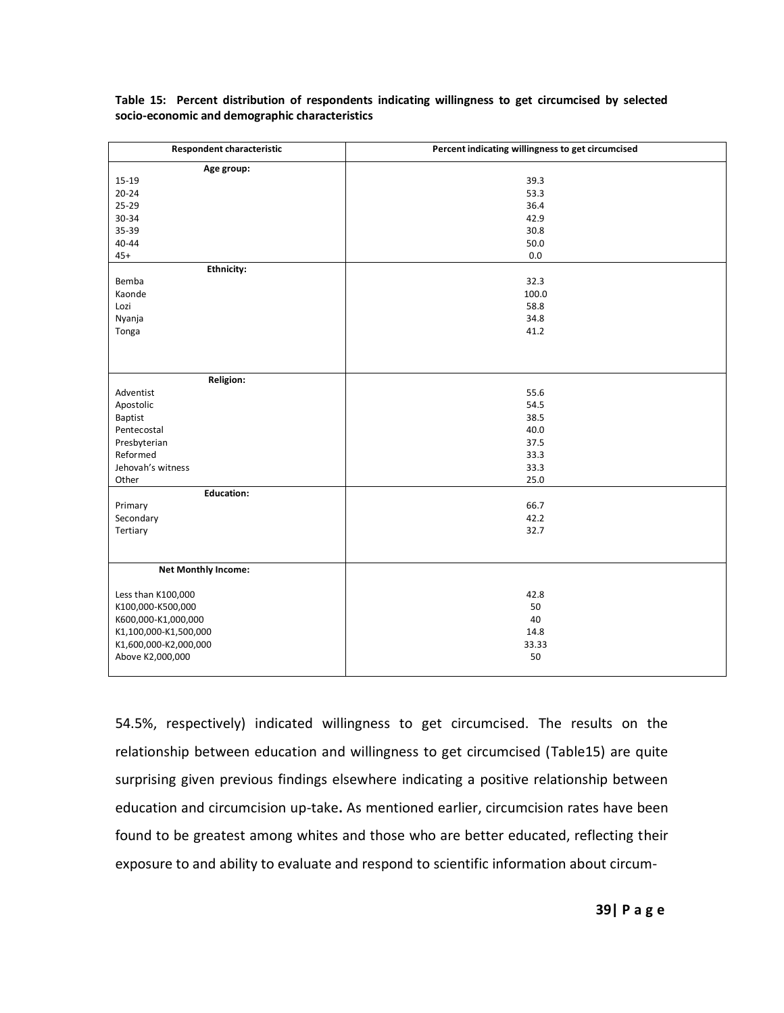| <b>Respondent characteristic</b> | Percent indicating willingness to get circumcised |
|----------------------------------|---------------------------------------------------|
| Age group:                       |                                                   |
| $15 - 19$                        | 39.3                                              |
| $20 - 24$                        | 53.3                                              |
| 25-29                            | 36.4                                              |
| 30-34                            | 42.9                                              |
| 35-39                            | 30.8                                              |
| $40 - 44$                        | 50.0                                              |
| $45+$                            | $0.0\,$                                           |
| <b>Ethnicity:</b>                |                                                   |
| Bemba                            | 32.3                                              |
| Kaonde                           | 100.0                                             |
| Lozi                             | 58.8                                              |
| Nyanja                           | 34.8                                              |
| Tonga                            | 41.2                                              |
|                                  |                                                   |
|                                  |                                                   |
| <b>Religion:</b>                 |                                                   |
|                                  |                                                   |
| Adventist                        | 55.6                                              |
| Apostolic                        | 54.5                                              |
| Baptist                          | 38.5<br>40.0                                      |
| Pentecostal                      |                                                   |
| Presbyterian                     | 37.5                                              |
| Reformed                         | 33.3                                              |
| Jehovah's witness                | 33.3                                              |
| Other                            | 25.0                                              |
| <b>Education:</b>                |                                                   |
| Primary                          | 66.7                                              |
| Secondary                        | 42.2                                              |
| Tertiary                         | 32.7                                              |
|                                  |                                                   |
|                                  |                                                   |
| <b>Net Monthly Income:</b>       |                                                   |
| Less than K100,000               | 42.8                                              |
| K100,000-K500,000                | 50                                                |
| K600,000-K1,000,000              | 40                                                |
| K1,100,000-K1,500,000            | 14.8                                              |
| K1,600,000-K2,000,000            | 33.33                                             |
| Above K2,000,000                 | 50                                                |
|                                  |                                                   |
|                                  |                                                   |

**Table 15: Percent distribution of respondents indicating willingness to get circumcised by selected socio-economic and demographic characteristics**

54.5%, respectively) indicated willingness to get circumcised. The results on the relationship between education and willingness to get circumcised (Table15) are quite surprising given previous findings elsewhere indicating a positive relationship between education and circumcision up-take**.** As mentioned earlier, circumcision rates have been found to be greatest among whites and those who are better educated, reflecting their exposure to and ability to evaluate and respond to scientific information about circum-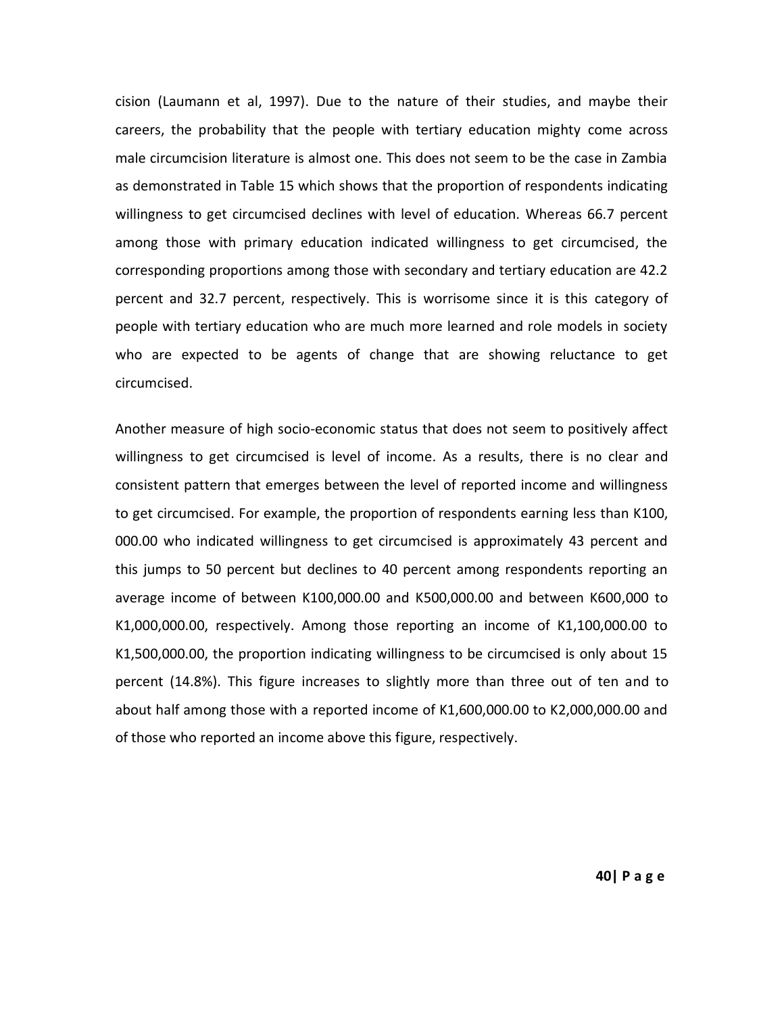cision (Laumann et al, 1997). Due to the nature of their studies, and maybe their careers, the probability that the people with tertiary education mighty come across male circumcision literature is almost one. This does not seem to be the case in Zambia as demonstrated in Table 15 which shows that the proportion of respondents indicating willingness to get circumcised declines with level of education. Whereas 66.7 percent among those with primary education indicated willingness to get circumcised, the corresponding proportions among those with secondary and tertiary education are 42.2 percent and 32.7 percent, respectively. This is worrisome since it is this category of people with tertiary education who are much more learned and role models in society who are expected to be agents of change that are showing reluctance to get circumcised.

Another measure of high socio-economic status that does not seem to positively affect willingness to get circumcised is level of income. As a results, there is no clear and consistent pattern that emerges between the level of reported income and willingness to get circumcised. For example, the proportion of respondents earning less than K100, 000.00 who indicated willingness to get circumcised is approximately 43 percent and this jumps to 50 percent but declines to 40 percent among respondents reporting an average income of between K100,000.00 and K500,000.00 and between K600,000 to K1,000,000.00, respectively. Among those reporting an income of K1,100,000.00 to K1,500,000.00, the proportion indicating willingness to be circumcised is only about 15 percent (14.8%). This figure increases to slightly more than three out of ten and to about half among those with a reported income of K1,600,000.00 to K2,000,000.00 and of those who reported an income above this figure, respectively.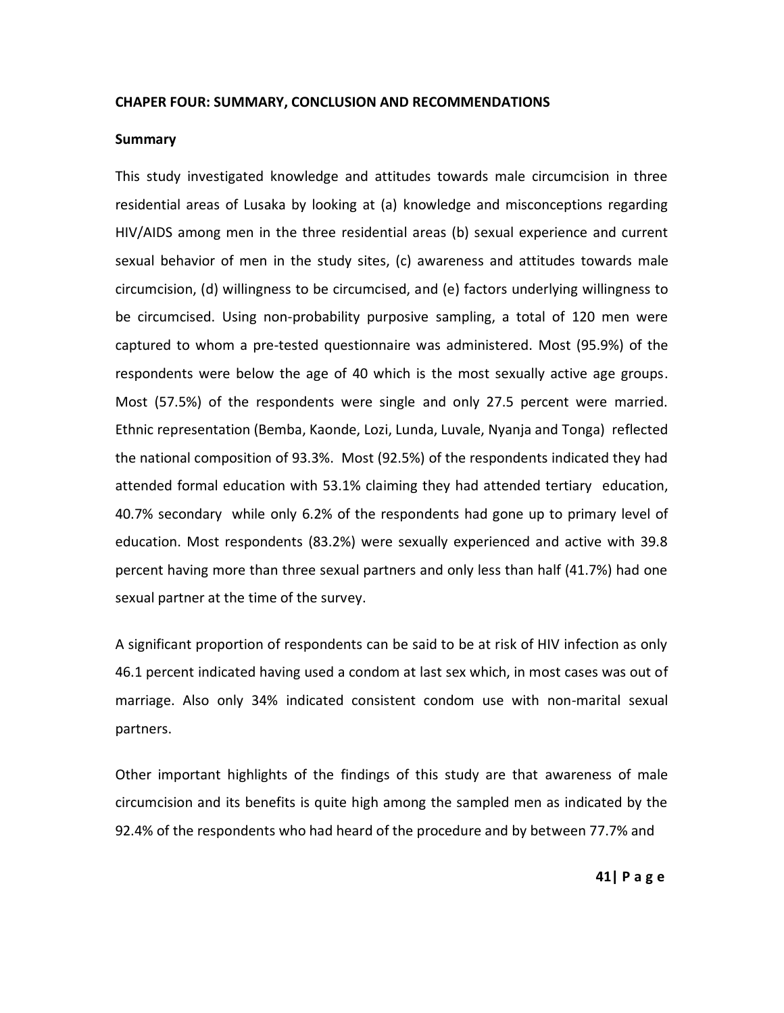#### **CHAPER FOUR: SUMMARY, CONCLUSION AND RECOMMENDATIONS**

#### **Summary**

This study investigated knowledge and attitudes towards male circumcision in three residential areas of Lusaka by looking at (a) knowledge and misconceptions regarding HIV/AIDS among men in the three residential areas (b) sexual experience and current sexual behavior of men in the study sites, (c) awareness and attitudes towards male circumcision, (d) willingness to be circumcised, and (e) factors underlying willingness to be circumcised. Using non-probability purposive sampling, a total of 120 men were captured to whom a pre-tested questionnaire was administered. Most (95.9%) of the respondents were below the age of 40 which is the most sexually active age groups. Most (57.5%) of the respondents were single and only 27.5 percent were married. Ethnic representation (Bemba, Kaonde, Lozi, Lunda, Luvale, Nyanja and Tonga) reflected the national composition of 93.3%. Most (92.5%) of the respondents indicated they had attended formal education with 53.1% claiming they had attended tertiary education, 40.7% secondary while only 6.2% of the respondents had gone up to primary level of education. Most respondents (83.2%) were sexually experienced and active with 39.8 percent having more than three sexual partners and only less than half (41.7%) had one sexual partner at the time of the survey.

A significant proportion of respondents can be said to be at risk of HIV infection as only 46.1 percent indicated having used a condom at last sex which, in most cases was out of marriage. Also only 34% indicated consistent condom use with non-marital sexual partners.

Other important highlights of the findings of this study are that awareness of male circumcision and its benefits is quite high among the sampled men as indicated by the 92.4% of the respondents who had heard of the procedure and by between 77.7% and

**41| P a g e**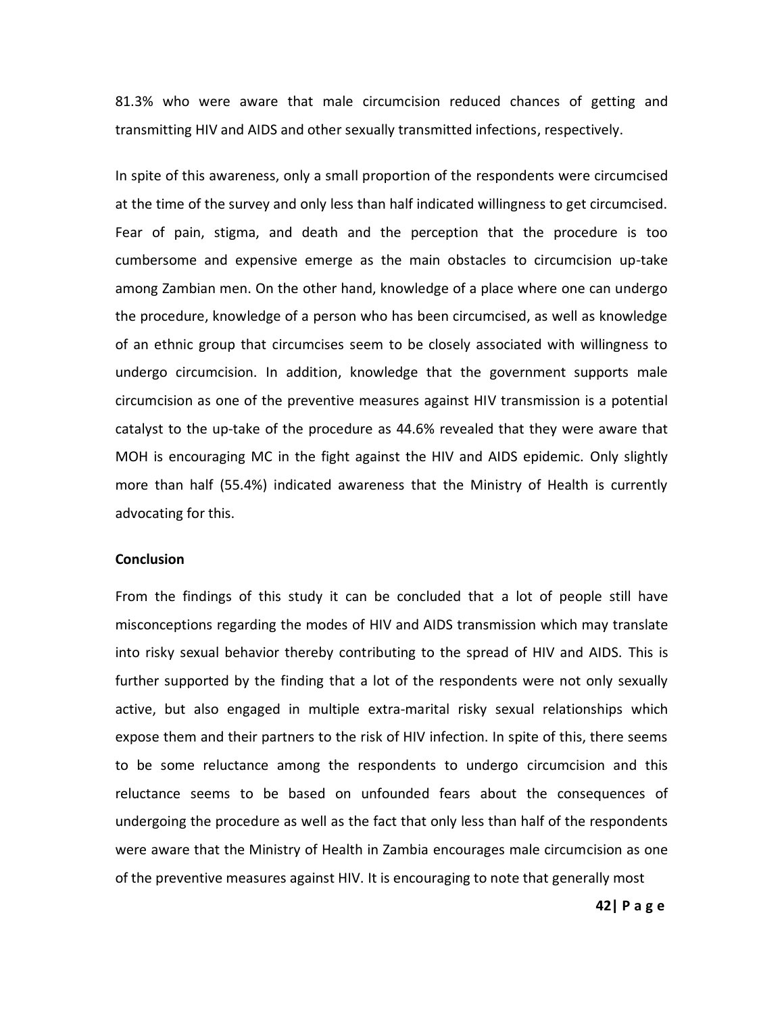81.3% who were aware that male circumcision reduced chances of getting and transmitting HIV and AIDS and other sexually transmitted infections, respectively.

In spite of this awareness, only a small proportion of the respondents were circumcised at the time of the survey and only less than half indicated willingness to get circumcised. Fear of pain, stigma, and death and the perception that the procedure is too cumbersome and expensive emerge as the main obstacles to circumcision up-take among Zambian men. On the other hand, knowledge of a place where one can undergo the procedure, knowledge of a person who has been circumcised, as well as knowledge of an ethnic group that circumcises seem to be closely associated with willingness to undergo circumcision. In addition, knowledge that the government supports male circumcision as one of the preventive measures against HIV transmission is a potential catalyst to the up-take of the procedure as 44.6% revealed that they were aware that MOH is encouraging MC in the fight against the HIV and AIDS epidemic. Only slightly more than half (55.4%) indicated awareness that the Ministry of Health is currently advocating for this.

#### **Conclusion**

From the findings of this study it can be concluded that a lot of people still have misconceptions regarding the modes of HIV and AIDS transmission which may translate into risky sexual behavior thereby contributing to the spread of HIV and AIDS. This is further supported by the finding that a lot of the respondents were not only sexually active, but also engaged in multiple extra-marital risky sexual relationships which expose them and their partners to the risk of HIV infection. In spite of this, there seems to be some reluctance among the respondents to undergo circumcision and this reluctance seems to be based on unfounded fears about the consequences of undergoing the procedure as well as the fact that only less than half of the respondents were aware that the Ministry of Health in Zambia encourages male circumcision as one of the preventive measures against HIV. It is encouraging to note that generally most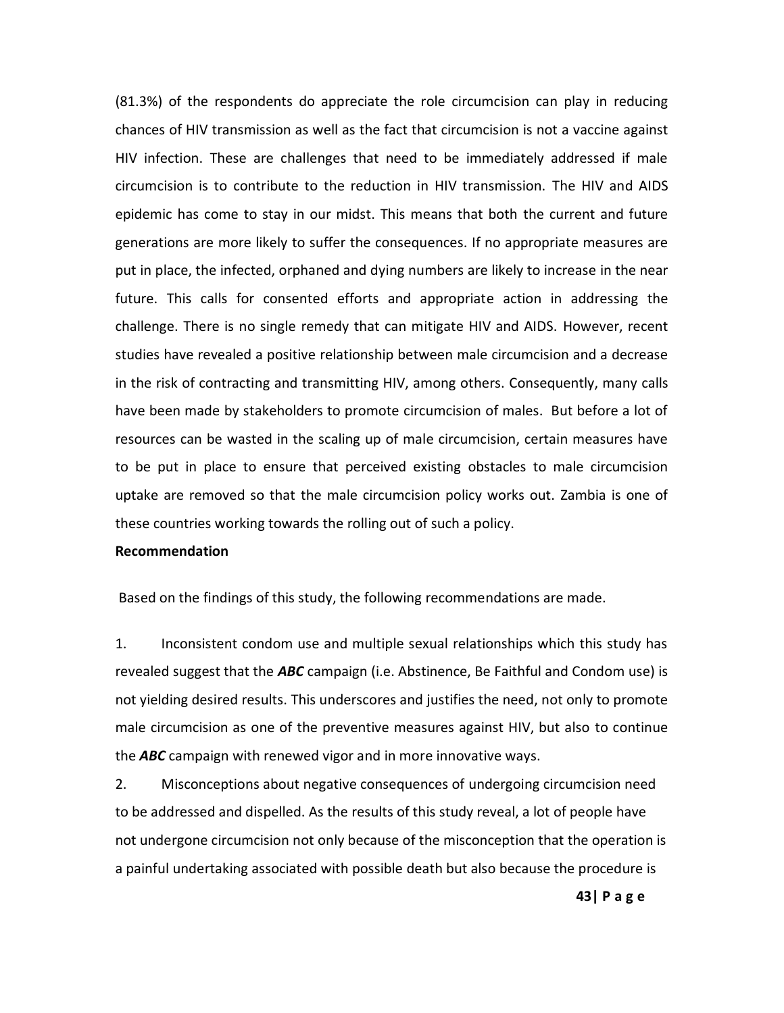(81.3%) of the respondents do appreciate the role circumcision can play in reducing chances of HIV transmission as well as the fact that circumcision is not a vaccine against HIV infection. These are challenges that need to be immediately addressed if male circumcision is to contribute to the reduction in HIV transmission. The HIV and AIDS epidemic has come to stay in our midst. This means that both the current and future generations are more likely to suffer the consequences. If no appropriate measures are put in place, the infected, orphaned and dying numbers are likely to increase in the near future. This calls for consented efforts and appropriate action in addressing the challenge. There is no single remedy that can mitigate HIV and AIDS. However, recent studies have revealed a positive relationship between male circumcision and a decrease in the risk of contracting and transmitting HIV, among others. Consequently, many calls have been made by stakeholders to promote circumcision of males. But before a lot of resources can be wasted in the scaling up of male circumcision, certain measures have to be put in place to ensure that perceived existing obstacles to male circumcision uptake are removed so that the male circumcision policy works out. Zambia is one of these countries working towards the rolling out of such a policy.

### **Recommendation**

Based on the findings of this study, the following recommendations are made.

1. Inconsistent condom use and multiple sexual relationships which this study has revealed suggest that the *ABC* campaign (i.e. Abstinence, Be Faithful and Condom use) is not yielding desired results. This underscores and justifies the need, not only to promote male circumcision as one of the preventive measures against HIV, but also to continue the *ABC* campaign with renewed vigor and in more innovative ways.

2. Misconceptions about negative consequences of undergoing circumcision need to be addressed and dispelled. As the results of this study reveal, a lot of people have not undergone circumcision not only because of the misconception that the operation is a painful undertaking associated with possible death but also because the procedure is

**43| P a g e**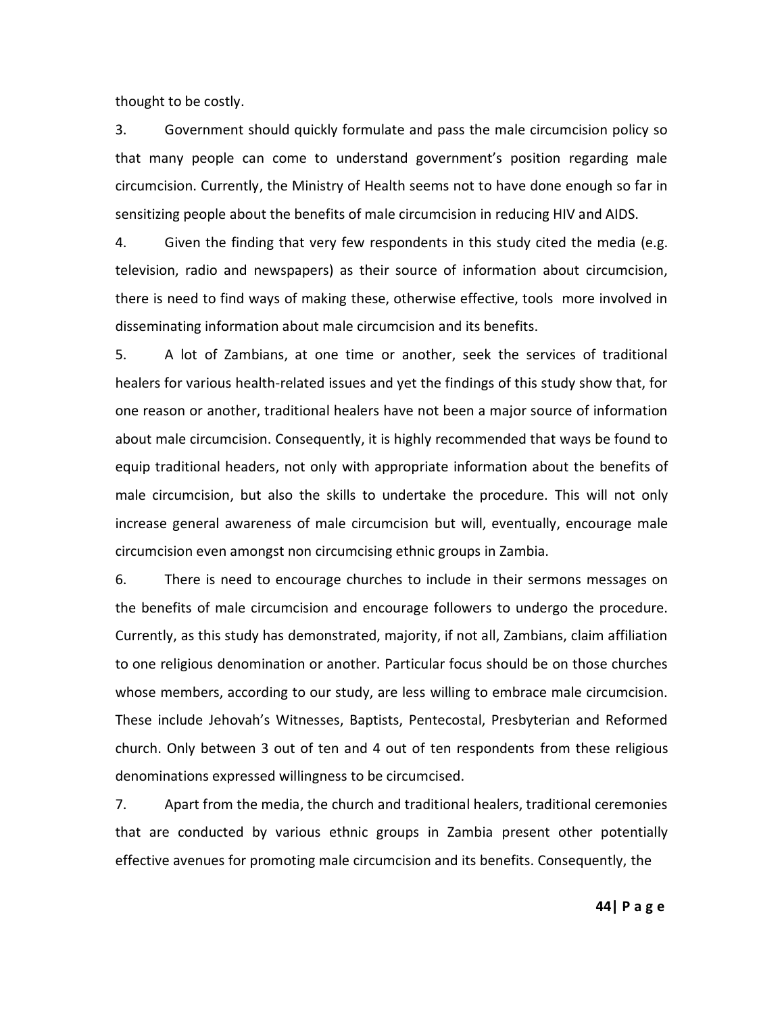thought to be costly.

3. Government should quickly formulate and pass the male circumcision policy so that many people can come to understand government's position regarding male circumcision. Currently, the Ministry of Health seems not to have done enough so far in sensitizing people about the benefits of male circumcision in reducing HIV and AIDS.

4. Given the finding that very few respondents in this study cited the media (e.g. television, radio and newspapers) as their source of information about circumcision, there is need to find ways of making these, otherwise effective, tools more involved in disseminating information about male circumcision and its benefits.

5. A lot of Zambians, at one time or another, seek the services of traditional healers for various health-related issues and yet the findings of this study show that, for one reason or another, traditional healers have not been a major source of information about male circumcision. Consequently, it is highly recommended that ways be found to equip traditional headers, not only with appropriate information about the benefits of male circumcision, but also the skills to undertake the procedure. This will not only increase general awareness of male circumcision but will, eventually, encourage male circumcision even amongst non circumcising ethnic groups in Zambia.

6. There is need to encourage churches to include in their sermons messages on the benefits of male circumcision and encourage followers to undergo the procedure. Currently, as this study has demonstrated, majority, if not all, Zambians, claim affiliation to one religious denomination or another. Particular focus should be on those churches whose members, according to our study, are less willing to embrace male circumcision. These include Jehovah's Witnesses, Baptists, Pentecostal, Presbyterian and Reformed church. Only between 3 out of ten and 4 out of ten respondents from these religious denominations expressed willingness to be circumcised.

7. Apart from the media, the church and traditional healers, traditional ceremonies that are conducted by various ethnic groups in Zambia present other potentially effective avenues for promoting male circumcision and its benefits. Consequently, the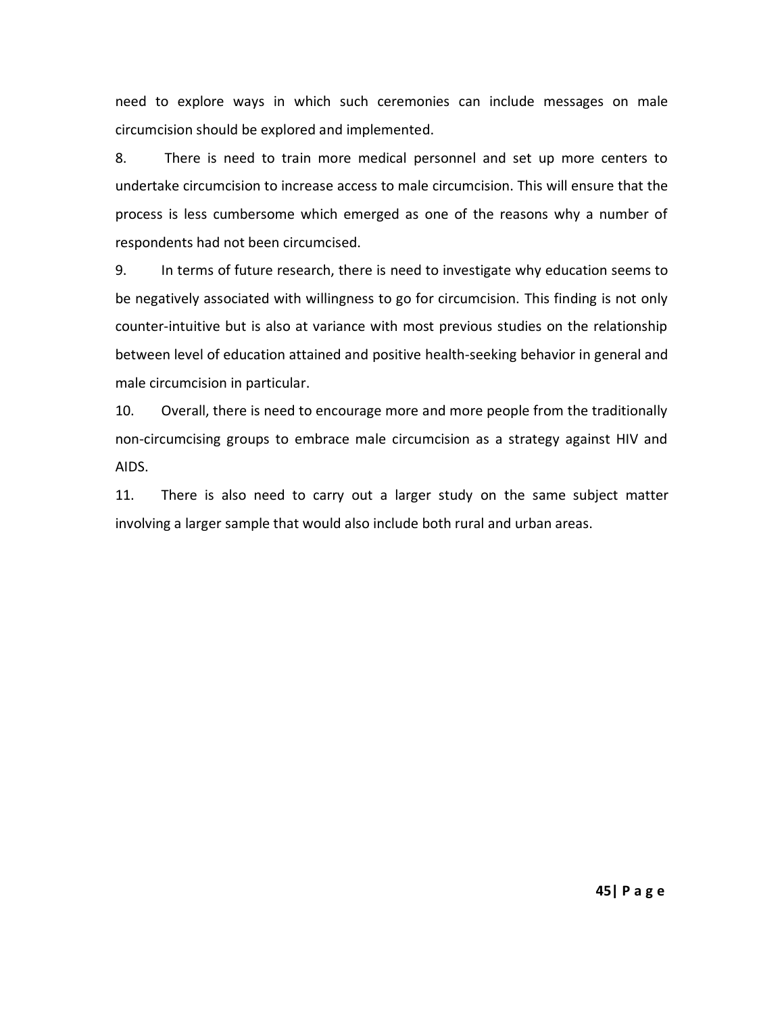need to explore ways in which such ceremonies can include messages on male circumcision should be explored and implemented.

8. There is need to train more medical personnel and set up more centers to undertake circumcision to increase access to male circumcision. This will ensure that the process is less cumbersome which emerged as one of the reasons why a number of respondents had not been circumcised.

9. In terms of future research, there is need to investigate why education seems to be negatively associated with willingness to go for circumcision. This finding is not only counter-intuitive but is also at variance with most previous studies on the relationship between level of education attained and positive health-seeking behavior in general and male circumcision in particular.

10. Overall, there is need to encourage more and more people from the traditionally non-circumcising groups to embrace male circumcision as a strategy against HIV and AIDS.

11. There is also need to carry out a larger study on the same subject matter involving a larger sample that would also include both rural and urban areas.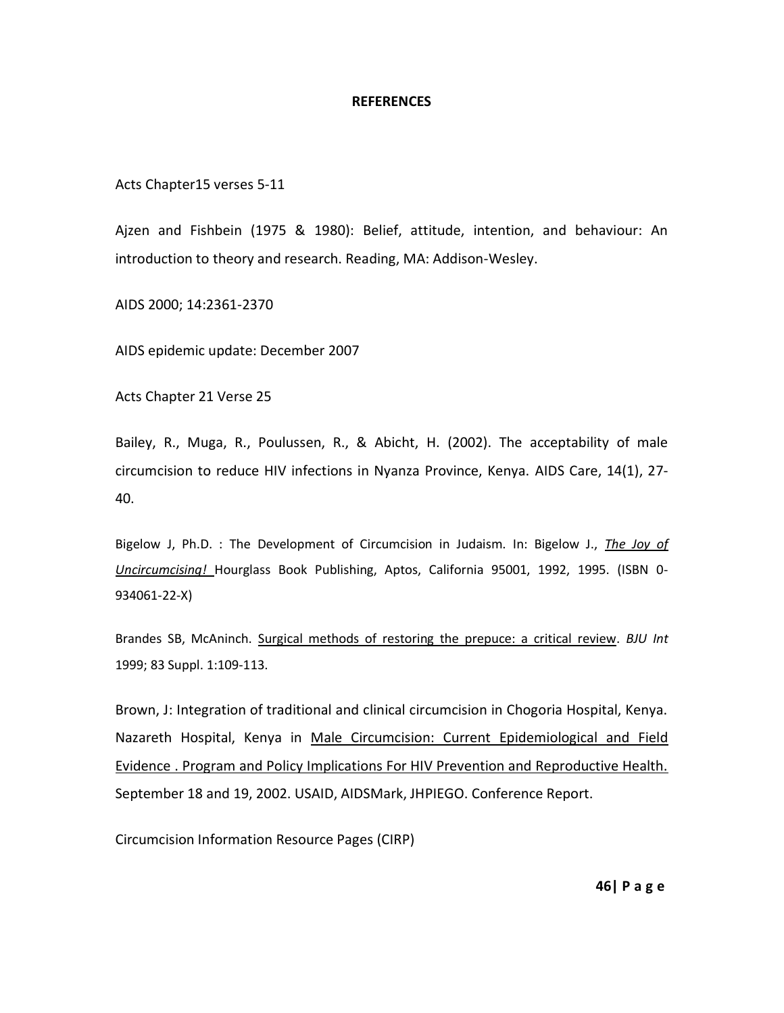#### **REFERENCES**

Acts Chapter15 verses 5-11

Ajzen and Fishbein (1975 & 1980): Belief, attitude, intention, and behaviour: An introduction to theory and research. Reading, MA: Addison-Wesley.

AIDS 2000; 14:2361-2370

AIDS epidemic update: December 2007

[Acts Chapter 21 Verse 25](http://www.cirp.org/pages/cultural/christian.html#ACTS21)

Bailey, R., Muga, R., Poulussen, R., & Abicht, H. (2002). The acceptability of male circumcision to reduce HIV infections in Nyanza Province, Kenya. AIDS Care, 14(1), 27- 40.

Bigelow J, Ph.D. : The Development of Circumcision in Judaism. In: Bigelow J., *The Joy of Uncircumcising!* Hourglass Book Publishing, Aptos, California 95001, 1992, 1995. (ISBN 0- 934061-22-X)

Brandes SB, McAninch. [Surgical methods of restoring the prepuce: a critical review.](http://www.cirp.org/library/restoration/brandes1/) *BJU Int* 1999; 83 Suppl. 1:109-113.

Brown, J: Integration of traditional and clinical circumcision in Chogoria Hospital, Kenya. Nazareth Hospital, Kenya in Male Circumcision: Current Epidemiological and Field Evidence . Program and Policy Implications For HIV Prevention and Reproductive Health. September 18 and 19, 2002. USAID, AIDSMark, JHPIEGO. Conference Report.

Circumcision Information Resource Pages (CIRP)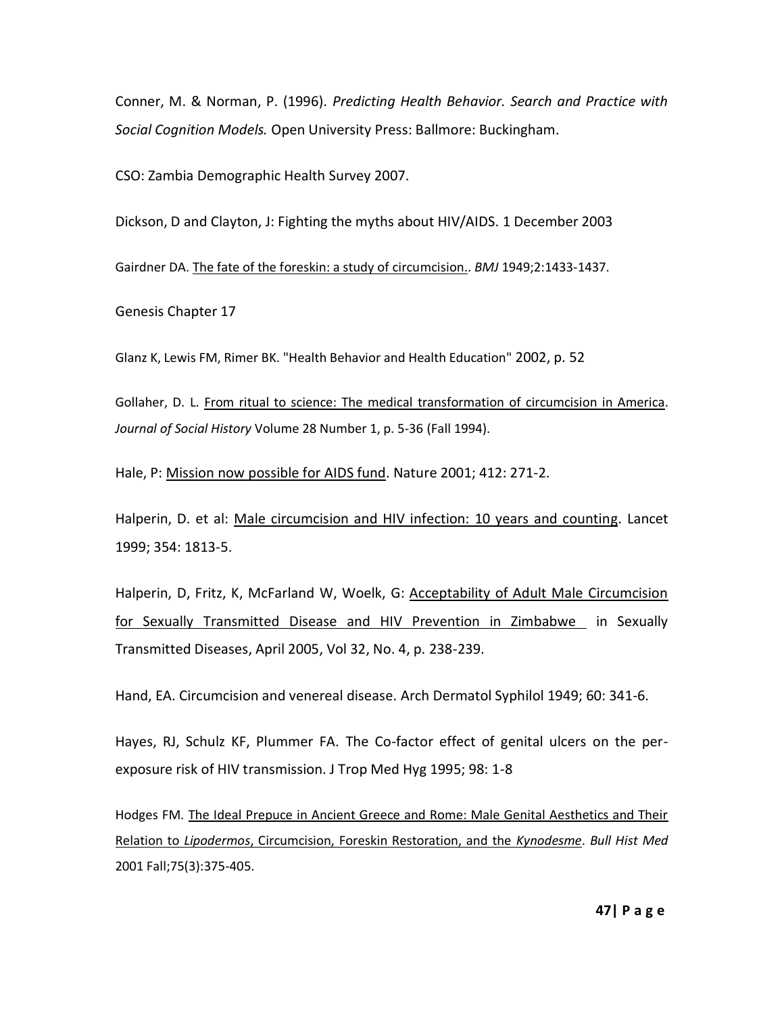Conner, M. & Norman, P. (1996). *Predicting Health Behavior. Search and Practice with Social Cognition Models.* Open University Press: Ballmore: Buckingham.

CSO: Zambia Demographic Health Survey 2007.

Dickson, D and Clayton, J: Fighting the myths about HIV/AIDS. 1 December 2003

Gairdner DA. [The fate of the foreskin: a study](http://www.cirp.org/library/general/gairdner/) of circumcision.. *BMJ* 1949;2:1433-1437.

Genesis Chapter 17

Glanz K, Lewis FM, Rimer BK. "Health Behavior and Health Education" 2002, p. 52

Gollaher, D. L. [From ritual to science: The medical transformation of circumcision in America.](http://www.cirp.org/library/history/gollaher/) *Journal of Social History* Volume 28 Number 1, p. 5-36 (Fall 1994).

Hale, P: Mission now possible for AIDS fund. Nature 2001; 412: 271-2.

Halperin, D. et al: Male circumcision and HIV infection: 10 years and counting. Lancet 1999; 354: 1813-5.

Halperin, D, Fritz, K, McFarland W, Woelk, G: Acceptability of Adult Male Circumcision for Sexually Transmitted Disease and HIV Prevention in Zimbabwe in Sexually Transmitted Diseases, April 2005, Vol 32, No. 4, p. 238-239.

Hand, EA. Circumcision and venereal disease. Arch Dermatol Syphilol 1949; 60: 341-6.

Hayes, RJ, Schulz KF, Plummer FA. The Co-factor effect of genital ulcers on the perexposure risk of HIV transmission. J Trop Med Hyg 1995; 98: 1-8

Hodges FM. [The Ideal Prepuce in Ancient Greece and Rome: Male Genital Aesthetics and Their](http://www.cirp.org/library/history/hodges2/)  Relation to *Lipodermos*[, Circumcision, Foreskin Restoration, and the](http://www.cirp.org/library/history/hodges2/) *Kynodesme*. *Bull Hist Med* 2001 Fall;75(3):375-405.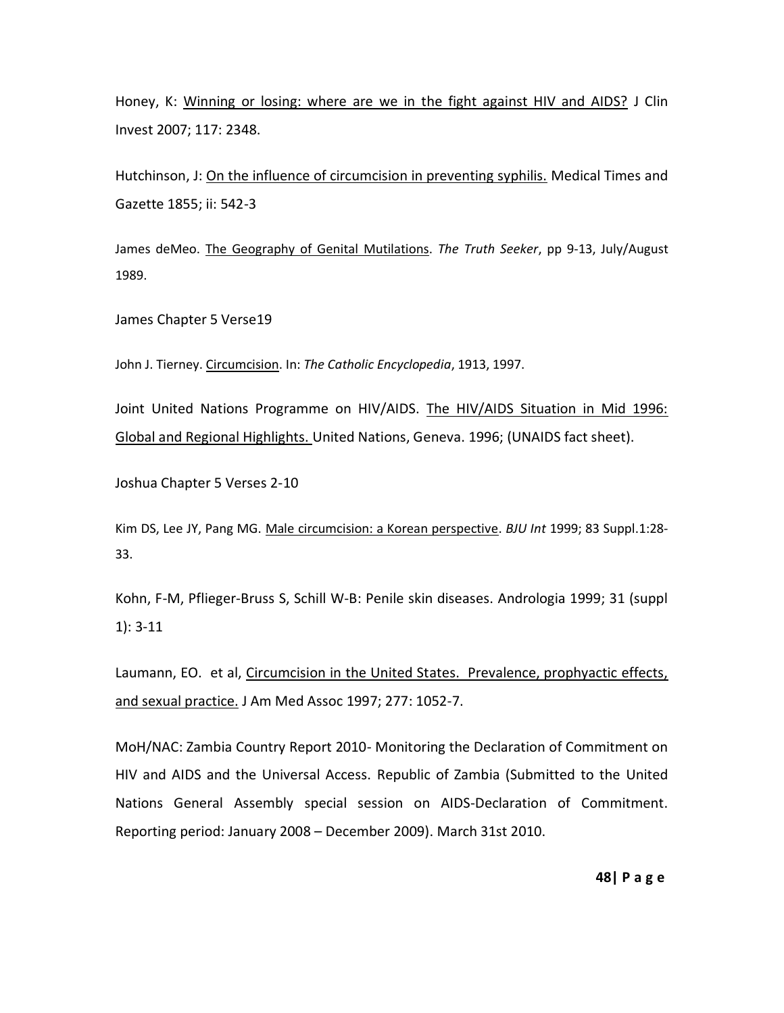Honey, K: Winning or losing: where are we in the fight against HIV and AIDS? J Clin Invest 2007; 117: 2348.

Hutchinson, J: On the influence of circumcision in preventing syphilis. Medical Times and Gazette 1855; ii: 542-3

James deMeo. [The Geography of Genital Mutilations.](http://www.noharmm.org/geography.htm) *The Truth Seeker*, pp 9-13, July/August 1989.

James Chapter 5 Verse19

John J. Tierney. [Circumcision.](http://www.newadvent.org/cathen/03777a.htm) In: *The Catholic Encyclopedia*, 1913, 1997.

Joint United Nations Programme on HIV/AIDS. The HIV/AIDS Situation in Mid 1996: Global and Regional Highlights. United Nations, Geneva. 1996; (UNAIDS fact sheet).

Joshua Chapter 5 Verses 2-10

Kim DS, Lee JY, Pang MG. [Male circumcision: a Korean perspective.](http://www.cirp.org/library/cultural/kim1/) *BJU Int* 1999; 83 Suppl.1:28- 33.

Kohn, F-M, Pflieger-Bruss S, Schill W-B: Penile skin diseases. Andrologia 1999; 31 (suppl 1): 3-11

Laumann, EO. et al, Circumcision in the United States. Prevalence, prophyactic effects, and sexual practice. J Am Med Assoc 1997; 277: 1052-7.

MoH/NAC: Zambia Country Report 2010- Monitoring the Declaration of Commitment on HIV and AIDS and the Universal Access. Republic of Zambia (Submitted to the United Nations General Assembly special session on AIDS-Declaration of Commitment. Reporting period: January 2008 – December 2009). March 31st 2010.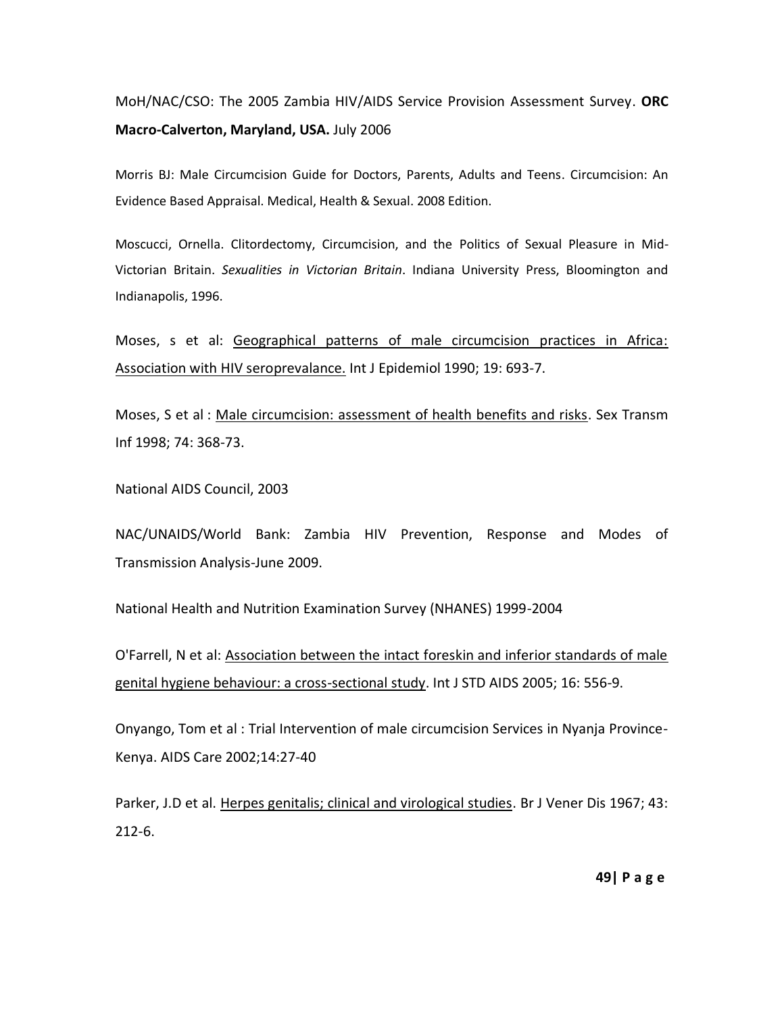# MoH/NAC/CSO: The 2005 Zambia HIV/AIDS Service Provision Assessment Survey. **ORC Macro-Calverton, Maryland, USA.** July 2006

Morris BJ: Male Circumcision Guide for Doctors, Parents, Adults and Teens. Circumcision: An Evidence Based Appraisal. Medical, Health & Sexual. 2008 Edition.

Moscucci, Ornella. Clitordectomy, Circumcision, and the Politics of Sexual Pleasure in Mid-Victorian Britain. *Sexualities in Victorian Britain*. Indiana University Press, Bloomington and Indianapolis, 1996.

Moses, s et al: Geographical patterns of male circumcision practices in Africa: Association with HIV seroprevalance. Int J Epidemiol 1990; 19: 693-7.

Moses, S et al : Male circumcision: assessment of health benefits and risks. Sex Transm Inf 1998; 74: 368-73.

National AIDS Council, 2003

NAC/UNAIDS/World Bank: Zambia HIV Prevention, Response and Modes of Transmission Analysis-June 2009.

National Health and Nutrition Examination Survey (NHANES) 1999-2004

O'Farrell, N et al: Association between the intact foreskin and inferior standards of male genital hygiene behaviour: a cross-sectional study. Int J STD AIDS 2005; 16: 556-9.

Onyango, Tom et al : Trial Intervention of male circumcision Services in Nyanja Province-Kenya. AIDS Care 2002;14:27-40

Parker, J.D et al. Herpes genitalis; clinical and virological studies. Br J Vener Dis 1967; 43: 212-6.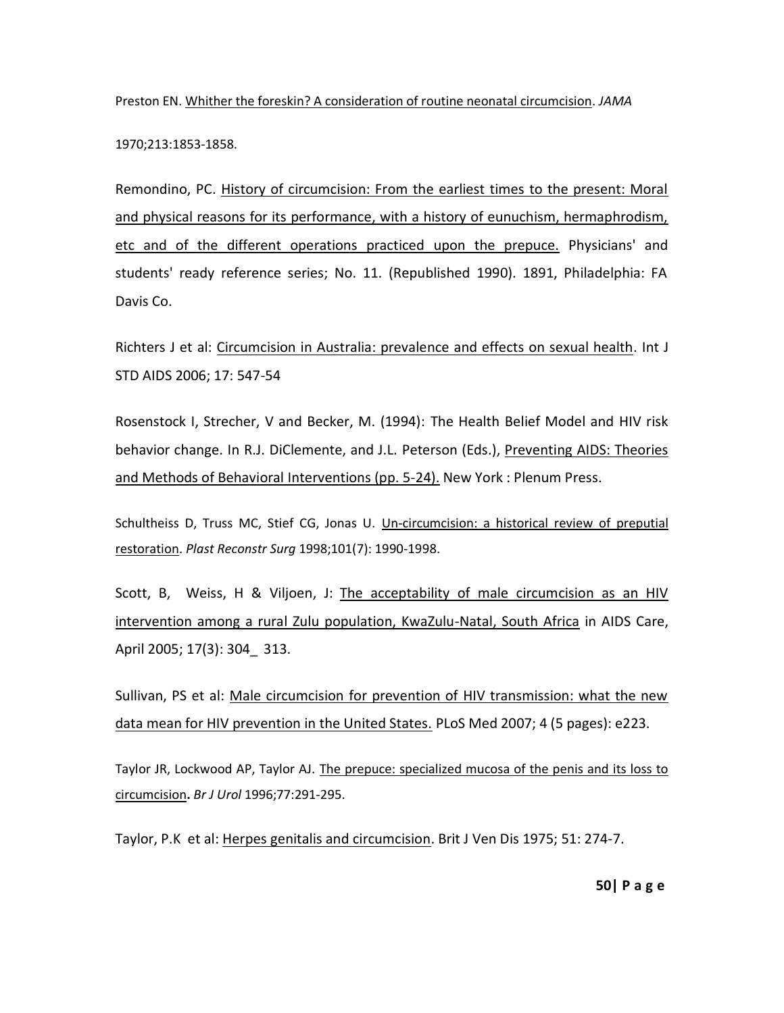Preston EN. [Whither the foreskin? A consideration of routine neonatal circumcision.](http://www.cirp.org/library/general/preston/) *JAMA*

1970;213:1853-1858.

Remondino, PC. History of circumcision: From the earliest times to the present: Moral and physical reasons for its performance, with a history of eunuchism, hermaphrodism, etc and of the different operations practiced upon the prepuce. Physicians' and students' ready reference series; No. 11. (Republished 1990). 1891, Philadelphia: FA Davis Co.

Richters J et al: Circumcision in Australia: prevalence and effects on sexual health. Int J STD AIDS 2006; 17: 547-54

Rosenstock I, Strecher, V and Becker, M. (1994): The Health Belief Model and HIV risk behavior change. In R.J. DiClemente, and J.L. Peterson (Eds.), Preventing AIDS: Theories and Methods of Behavioral Interventions (pp. 5-24). New York : Plenum Press.

Schultheiss D, Truss MC, Stief CG, Jonas U. [Un-circumcision: a historical review of preputial](http://www.cirp.org/library/restoration/schultheiss/)  [restoration.](http://www.cirp.org/library/restoration/schultheiss/) *Plast Reconstr Surg* 1998;101(7): 1990-1998.

Scott, B, Weiss, H & Viljoen, J: The acceptability of male circumcision as an HIV intervention among a rural Zulu population, KwaZulu-Natal, South Africa in AIDS Care, April 2005; 17(3): 304 313.

Sullivan, PS et al: Male circumcision for prevention of HIV transmission: what the new data mean for HIV prevention in the United States. PLoS Med 2007; 4 (5 pages): e223.

Taylor JR, Lockwood AP, Taylor AJ. The prepuce: specialized mucosa of the penis and its loss to [circumcision](http://www.cirp.org/library/anatomy/taylor/)**.** *Br J Urol* 1996;77:291-295.

Taylor, P.K et al: Herpes genitalis and circumcision. Brit J Ven Dis 1975; 51: 274-7.

**50| P a g e**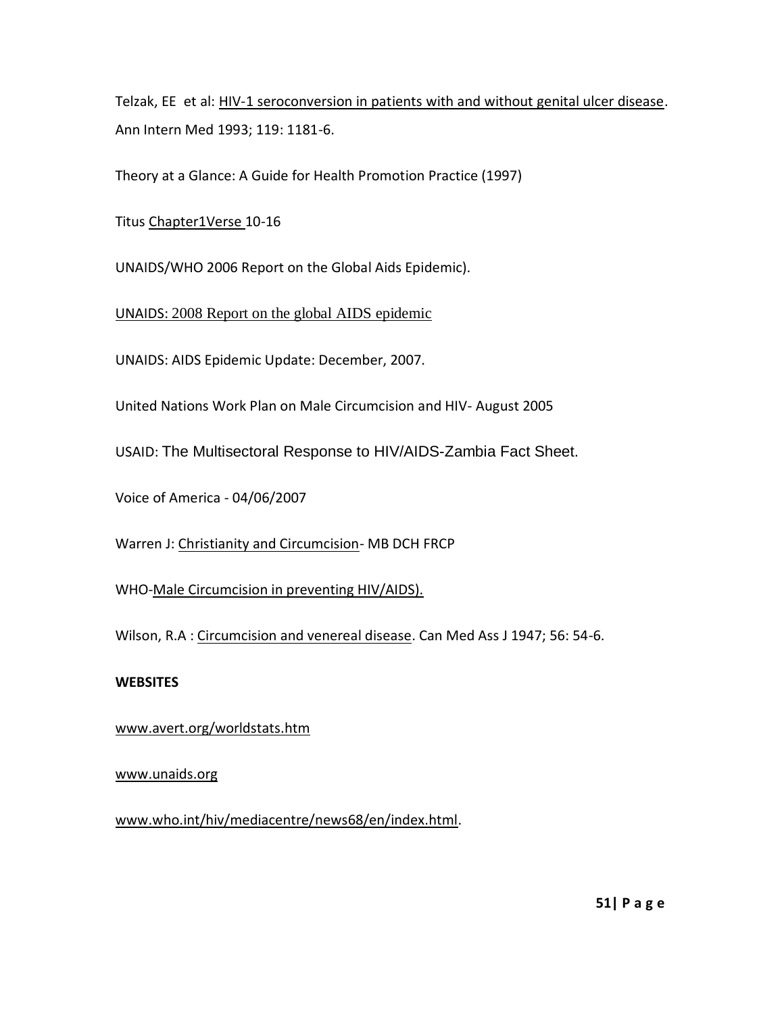Telzak, EE et al: HIV-1 seroconversion in patients with and without genital ulcer disease. Ann Intern Med 1993; 119: 1181-6.

Theory at a Glance: A Guide for Health Promotion Practice (1997)

[Titus Chapter1Verse 10-16](http://www.cirp.org/pages/cultural/christian.html#TIT1)

UNAIDS/WHO 2006 Report on the Global Aids Epidemic).

UNAIDS: 2008 Report on the global AIDS epidemic

UNAIDS: AIDS Epidemic Update: December, 2007.

United Nations Work Plan on Male Circumcision and HIV- August 2005

USAID: The Multisectoral Response to HIV/AIDS-Zambia Fact Sheet.

Voice of America - 04/06/2007

Warren J: Christianity and Circumcision- MB DCH FRCP

WHO-Male Circumcision in preventing HIV/AIDS).

Wilson, R.A : Circumcision and venereal disease. Can Med Ass J 1947; 56: 54-6.

## **WEBSITES**

## [www.avert.org/worldstats.htm](http://www.avert.org/worldstats.htm)

## [www.unaids.org](http://www.unaids.org/)

[www.who.int/hiv/mediacentre/news68/en/index.html.](http://www.who.int/hiv/mediacentre/news68/en/index.html)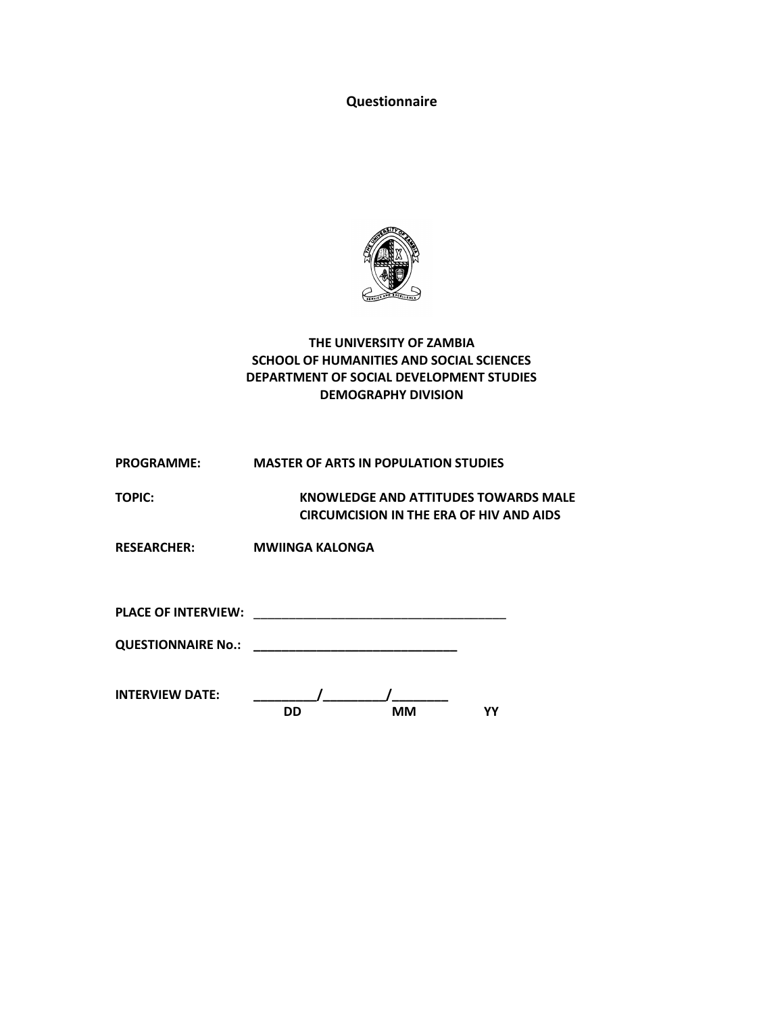**Questionnaire**



## **THE UNIVERSITY OF ZAMBIA SCHOOL OF HUMANITIES AND SOCIAL SCIENCES DEPARTMENT OF SOCIAL DEVELOPMENT STUDIES DEMOGRAPHY DIVISION**

| <b>PROGRAMME:</b>          | <b>MASTER OF ARTS IN POPULATION STUDIES</b>                                     |
|----------------------------|---------------------------------------------------------------------------------|
| TOPIC:                     | KNOWLEDGE AND ATTITUDES TOWARDS MALE<br>CIRCUMCISION IN THE ERA OF HIV AND AIDS |
| <b>RESEARCHER:</b>         | <b>MWIINGA KALONGA</b>                                                          |
| <b>PLACE OF INTERVIEW:</b> | <u> 1980 - John Stein, Amerikaansk politiker (* 1900)</u>                       |
|                            |                                                                                 |
|                            |                                                                                 |

| <b>INTERVIEW DATE:</b> |    |    |  |
|------------------------|----|----|--|
|                        | חח | мм |  |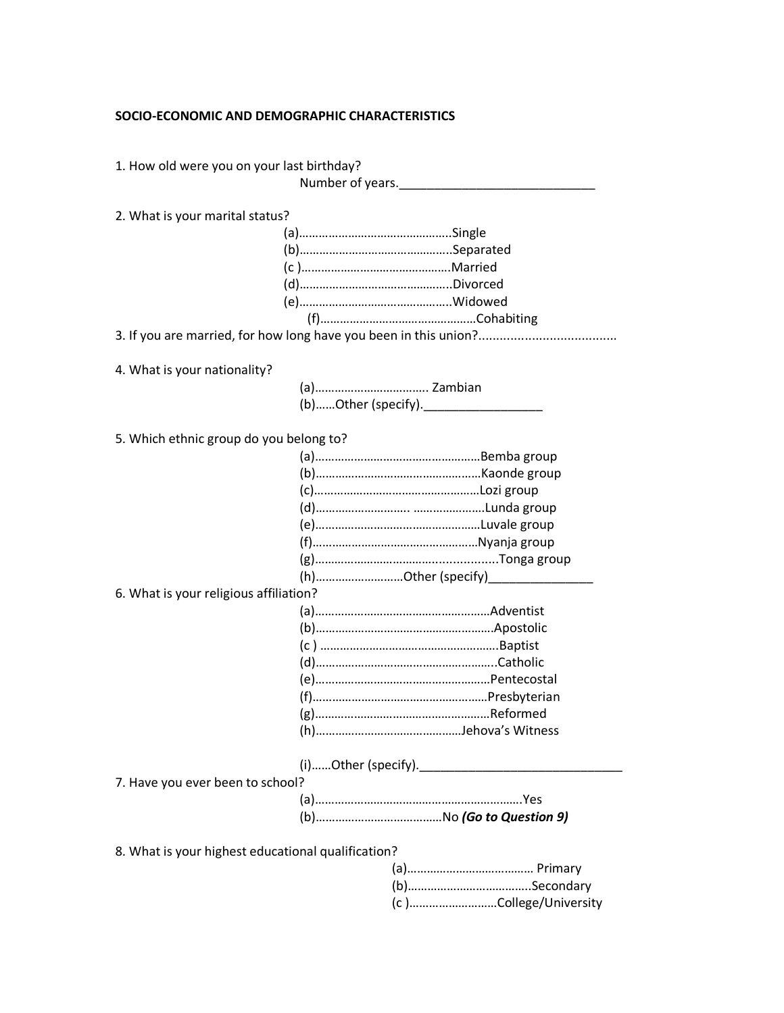#### **SOCIO-ECONOMIC AND DEMOGRAPHIC CHARACTERISTICS**

1. How old were you on your last birthday?

Number of years.\_\_\_\_\_\_\_\_\_\_\_\_\_\_\_\_\_\_\_\_\_\_\_\_\_\_\_\_

2. What is your marital status?

4. What is your nationality?

(a)…………………………….. Zambian (b)……Other (specify).\_\_\_\_\_\_\_\_\_\_\_\_\_\_\_\_\_

5. Which ethnic group do you belong to?

| (h)Other (specify)___________________________________ |
|-------------------------------------------------------|
| 6. What is your religious affiliation?                |
|                                                       |
|                                                       |
|                                                       |
|                                                       |
|                                                       |
|                                                       |
|                                                       |
|                                                       |
|                                                       |
| (i)Other (specify).___________                        |
| 7. Have you ever been to school?                      |
|                                                       |
|                                                       |
|                                                       |
| 8. What is your highest educational qualification?    |
|                                                       |
|                                                       |
|                                                       |

(c )………………………College/University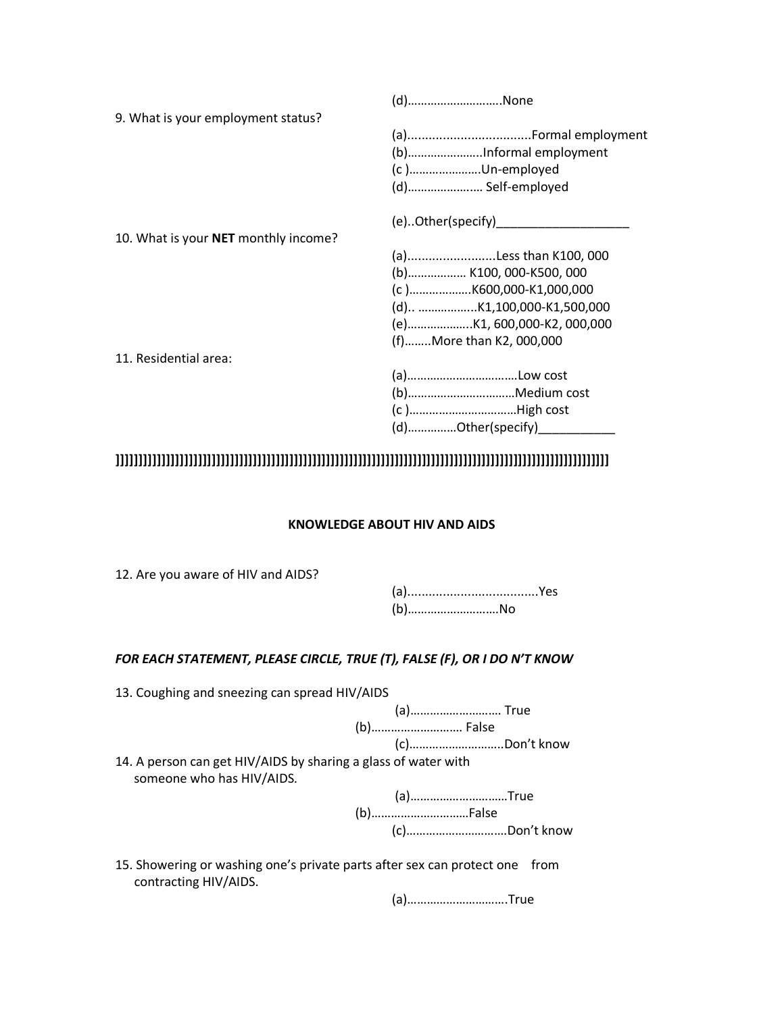|                                      | (d)None                    |
|--------------------------------------|----------------------------|
| 9. What is your employment status?   |                            |
|                                      |                            |
|                                      |                            |
|                                      | (c)Un-employed             |
|                                      | (d) Self-employed          |
|                                      | (e)Other(specify)          |
| 10. What is your NET monthly income? |                            |
|                                      | (a)Less than K100, 000     |
|                                      | (b) K100, 000-K500, 000    |
|                                      | (c)K600,000-K1,000,000     |
|                                      | (d) K1,100,000-K1,500,000  |
|                                      | (e)K1, 600,000-K2, 000,000 |
|                                      | (f)More than K2, 000,000   |
| 11. Residential area:                |                            |
|                                      |                            |
|                                      |                            |
|                                      | (c)High cost               |
|                                      | (d)Other(specify)_         |

# **]]]]]]]]]]]]]]]]]]]]]]]]]]]]]]]]]]]]]]]]]]]]]]]]]]]]]]]]]]]]]]]]]]]]]]]]]]]]]]]]]]]]]]]]]]]]]]]]]]]]]]]]]]]]**

### **KNOWLEDGE ABOUT HIV AND AIDS**

12. Are you aware of HIV and AIDS?

contracting HIV/AIDS.

(a).....................................Yes (b)……………………….No

## *FOR EACH STATEMENT, PLEASE CIRCLE, TRUE (T), FALSE (F), OR I DO N'T KNOW*

| 13. Coughing and sneezing can spread HIV/AIDS                                               |               |
|---------------------------------------------------------------------------------------------|---------------|
|                                                                                             | (a) True      |
|                                                                                             |               |
|                                                                                             | (c)Don't know |
| 14. A person can get HIV/AIDS by sharing a glass of water with<br>someone who has HIV/AIDS. |               |
|                                                                                             | (a)True       |
|                                                                                             | (b)False      |
|                                                                                             |               |
| 15. Showering or washing one's private parts after sex can protect one from                 |               |

(a)………………………….True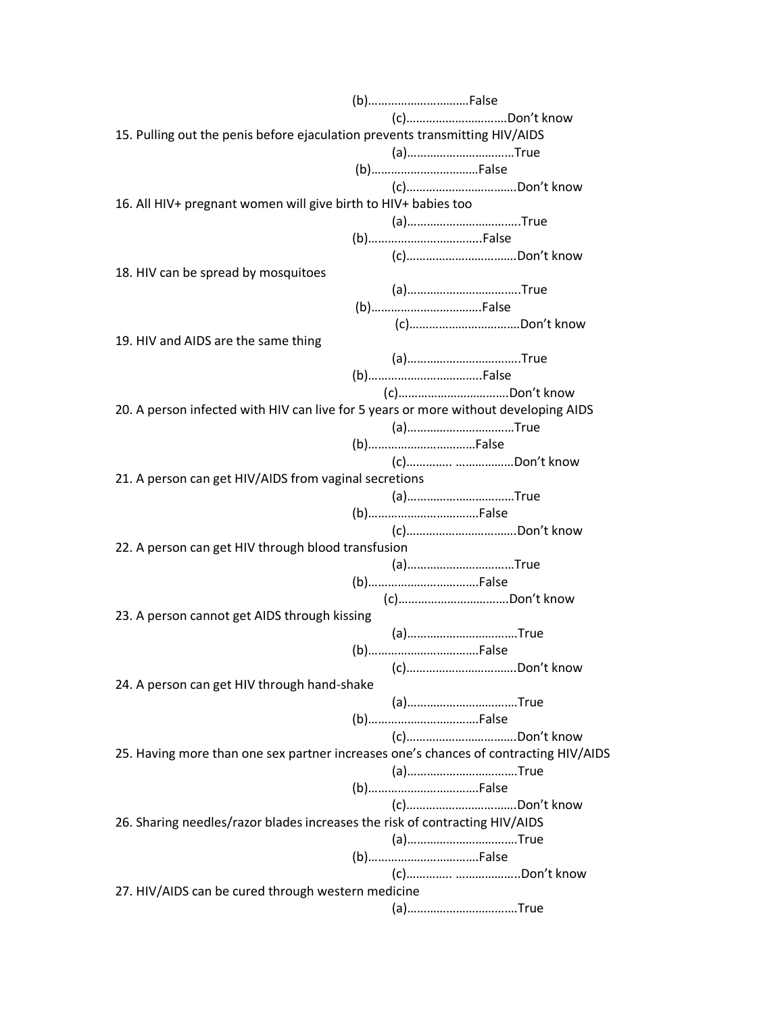(b)………………………….False (c)………………………….Don't know 15. Pulling out the penis before ejaculation prevents transmitting HIV/AIDS (a)……………………………True (b)……………………………False (c)…………………………….Don't know 16. All HIV+ pregnant women will give birth to HIV+ babies too (a)……………………………..True (b)……………………………..False (c)…………………………….Don't know 18. HIV can be spread by mosquitoes (a)……………………………..True (b)…………………………….False (c)…………………………….Don't know 19. HIV and AIDS are the same thing (a)……………………………..True (b)……………………………..False (c)…………………………….Don't know 20. A person infected with HIV can live for 5 years or more without developing AIDS (a)……………………………True (b)……………………………False (c)………….. ………………Don't know 21. A person can get HIV/AIDS from vaginal secretions (a)……………………………True (b)…………………………….False (c)…………………………….Don't know 22. A person can get HIV through blood transfusion (a)……………………………True (b)…………………………….False (c)…………………………….Don't know 23. A person cannot get AIDS through kissing (a)…………………………….True (b)…………………………….False (c)…………………………….Don't know 24. A person can get HIV through hand-shake (a)…………………………….True (b)…………………………….False (c)…………………………….Don't know 25. Having more than one sex partner increases one's chances of contracting HIV/AIDS (a)…………………………….True (b)…………………………….False (c)…………………………….Don't know 26. Sharing needles/razor blades increases the risk of contracting HIV/AIDS (a)…………………………….True (b)…………………………….False (c)………….. ………………..Don't know 27. HIV/AIDS can be cured through western medicine (a)…………………………….True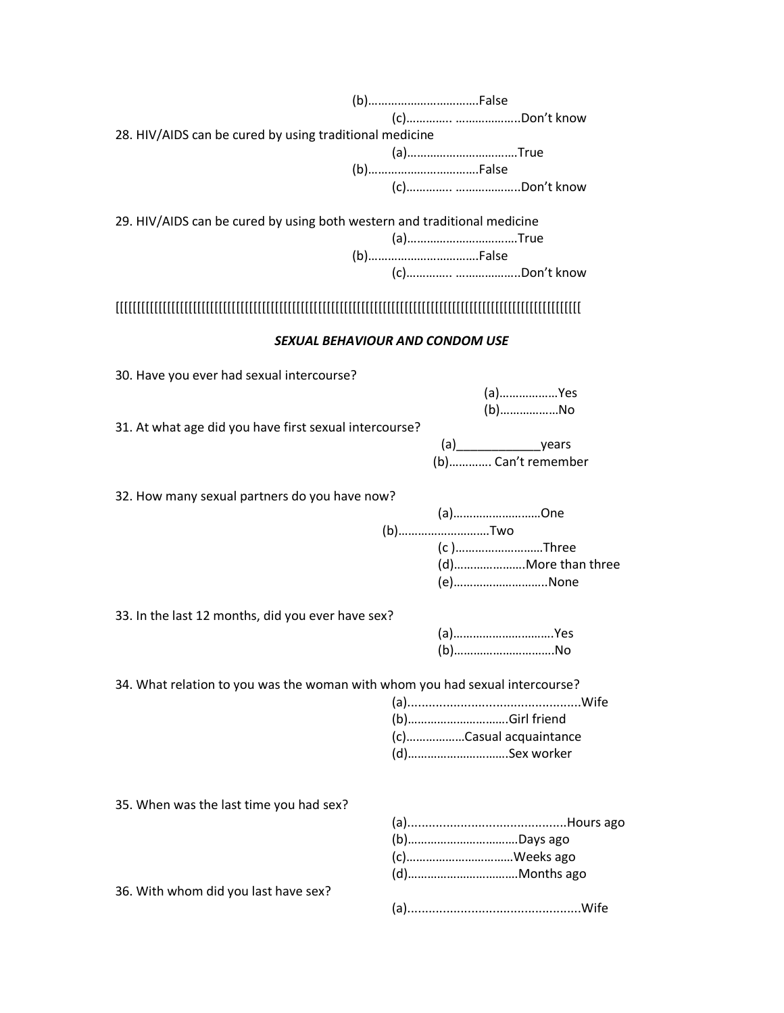| 28. HIV/AIDS can be cured by using traditional medicine                                             | (a)True                                  |
|-----------------------------------------------------------------------------------------------------|------------------------------------------|
| 29. HIV/AIDS can be cured by using both western and traditional medicine                            | (a)True<br>(b)False                      |
|                                                                                                     |                                          |
|                                                                                                     | SEXUAL BEHAVIOUR AND CONDOM USE          |
| 30. Have you ever had sexual intercourse?<br>31. At what age did you have first sexual intercourse? | (a)Yes<br>$(b)$ No<br>(b) Can't remember |
| 32. How many sexual partners do you have now?                                                       | (a)One<br>(b)Two<br>(c)Three<br>(e)None  |
| 33. In the last 12 months, did you ever have sex?                                                   | (a)Yes<br>$(b)$ No                       |
| 34. What relation to you was the woman with whom you had sexual intercourse?                        | (c)Casual acquaintance<br>(d)Sex worker  |
| 35. When was the last time you had sex?                                                             | (b)Days ago<br>(c)Weeks ago              |
| 36. With whom did you last have sex?                                                                |                                          |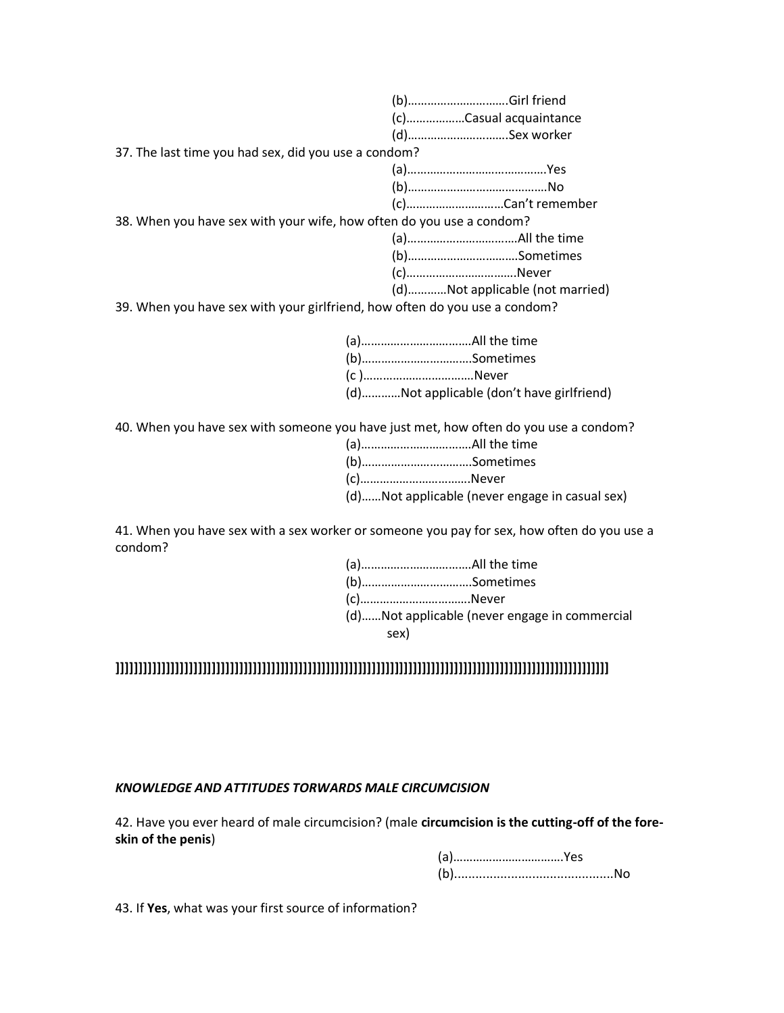|                                                                            | (c)Casual acquaintance          |  |
|----------------------------------------------------------------------------|---------------------------------|--|
|                                                                            | (d)Sex worker                   |  |
| 37. The last time you had sex, did you use a condom?                       |                                 |  |
|                                                                            |                                 |  |
|                                                                            |                                 |  |
|                                                                            | (c)Can't remember               |  |
| 38. When you have sex with your wife, how often do you use a condom?       |                                 |  |
|                                                                            |                                 |  |
|                                                                            | (b)Sometimes                    |  |
|                                                                            | (c)Never                        |  |
|                                                                            | (d)Not applicable (not married) |  |
| 39. When you have sex with your girlfriend, how often do you use a condom? |                                 |  |
|                                                                            |                                 |  |

| (c)Never                                  |
|-------------------------------------------|
| (d)Not applicable (don't have girlfriend) |

40. When you have sex with someone you have just met, how often do you use a condom?

| (b)Sometimes                                   |
|------------------------------------------------|
| (c)Never                                       |
| (d)Not applicable (never engage in casual sex) |

41. When you have sex with a sex worker or someone you pay for sex, how often do you use a condom?

| (c)Never |                                               |
|----------|-----------------------------------------------|
| sex)     | (d)Not applicable (never engage in commercial |
|          |                                               |

# **]]]]]]]]]]]]]]]]]]]]]]]]]]]]]]]]]]]]]]]]]]]]]]]]]]]]]]]]]]]]]]]]]]]]]]]]]]]]]]]]]]]]]]]]]]]]]]]]]]]]]]]]]]]]**

### *KNOWLEDGE AND ATTITUDES TORWARDS MALE CIRCUMCISION*

42. Have you ever heard of male circumcision? (male **circumcision is the cutting-off of the foreskin of the penis**)

43. If **Yes**, what was your first source of information?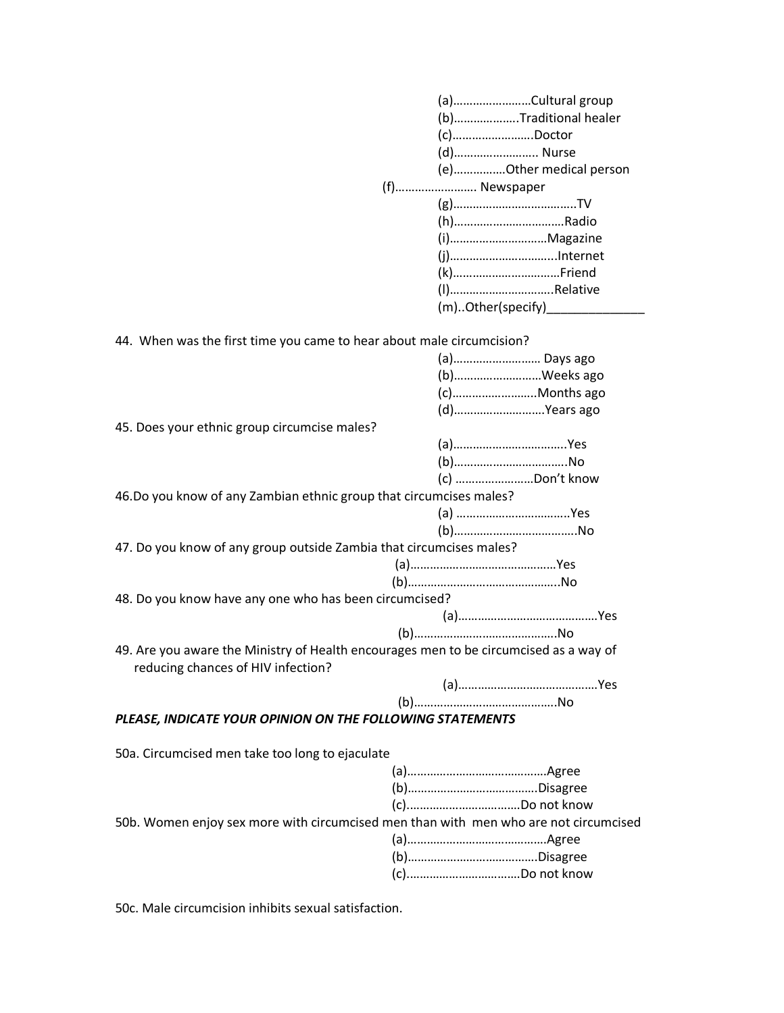|                                                                                                                             | (a)Cultural group       |
|-----------------------------------------------------------------------------------------------------------------------------|-------------------------|
|                                                                                                                             | (b)Traditional healer   |
|                                                                                                                             | $(c)$ Doctor            |
|                                                                                                                             | (d) Nurse               |
|                                                                                                                             | (e)Other medical person |
|                                                                                                                             | (f) Newspaper           |
|                                                                                                                             |                         |
|                                                                                                                             | (h)Radio                |
|                                                                                                                             | (i)Magazine             |
|                                                                                                                             |                         |
|                                                                                                                             |                         |
|                                                                                                                             | (I)Relative             |
|                                                                                                                             |                         |
|                                                                                                                             |                         |
|                                                                                                                             |                         |
| 44. When was the first time you came to hear about male circumcision?                                                       |                         |
|                                                                                                                             | (a) Days ago            |
|                                                                                                                             | (b)Weeks ago            |
|                                                                                                                             | (c)Months ago           |
|                                                                                                                             | (d)Years ago            |
| 45. Does your ethnic group circumcise males?                                                                                |                         |
|                                                                                                                             |                         |
|                                                                                                                             | (b)No                   |
|                                                                                                                             | (c) Don't know          |
| 46.Do you know of any Zambian ethnic group that circumcises males?                                                          |                         |
|                                                                                                                             |                         |
|                                                                                                                             |                         |
| 47. Do you know of any group outside Zambia that circumcises males?                                                         |                         |
|                                                                                                                             |                         |
|                                                                                                                             |                         |
| 48. Do you know have any one who has been circumcised?                                                                      |                         |
|                                                                                                                             |                         |
|                                                                                                                             |                         |
| 49. Are you aware the Ministry of Health encourages men to be circumcised as a way of<br>reducing chances of HIV infection? |                         |
|                                                                                                                             |                         |
|                                                                                                                             |                         |
| PLEASE, INDICATE YOUR OPINION ON THE FOLLOWING STATEMENTS                                                                   |                         |
|                                                                                                                             |                         |
| 50a. Circumcised men take too long to ejaculate                                                                             |                         |
|                                                                                                                             |                         |
|                                                                                                                             |                         |
|                                                                                                                             |                         |
| 50b. Women enjoy sex more with circumcised men than with men who are not circumcised                                        |                         |
|                                                                                                                             |                         |
|                                                                                                                             |                         |
|                                                                                                                             |                         |

50c. Male circumcision inhibits sexual satisfaction.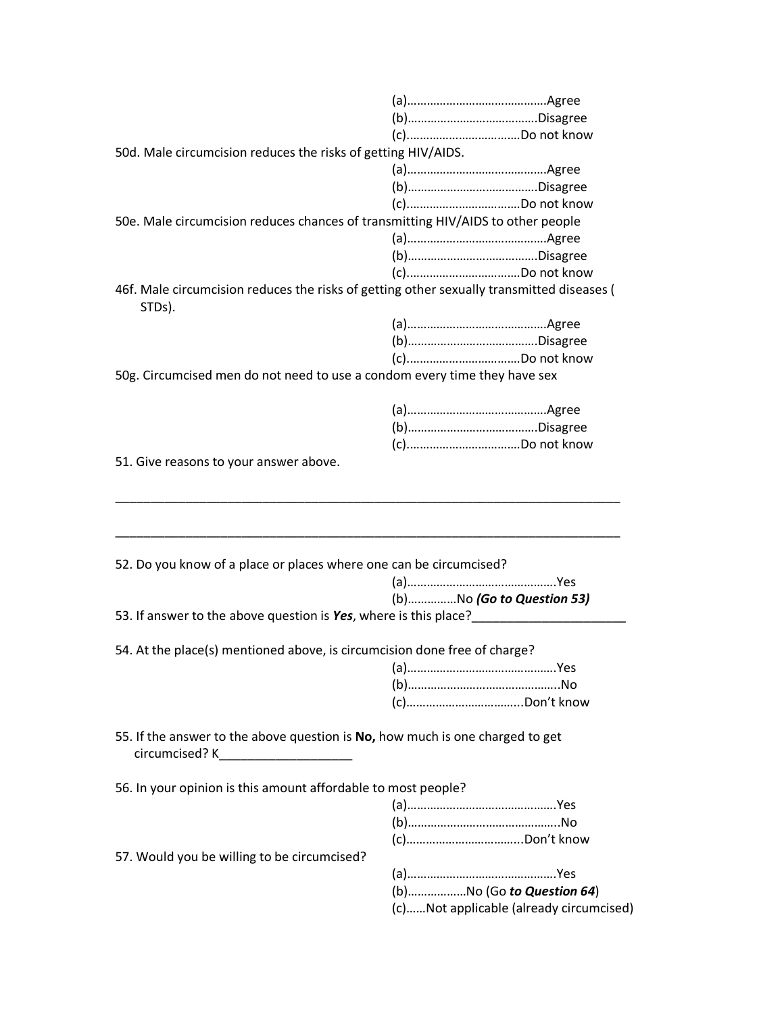| 50d. Male circumcision reduces the risks of getting HIV/AIDS.                                                                          |                                                                      |
|----------------------------------------------------------------------------------------------------------------------------------------|----------------------------------------------------------------------|
|                                                                                                                                        |                                                                      |
|                                                                                                                                        |                                                                      |
|                                                                                                                                        |                                                                      |
| 50e. Male circumcision reduces chances of transmitting HIV/AIDS to other people                                                        |                                                                      |
|                                                                                                                                        |                                                                      |
|                                                                                                                                        |                                                                      |
|                                                                                                                                        |                                                                      |
| 46f. Male circumcision reduces the risks of getting other sexually transmitted diseases (<br>STDs).                                    |                                                                      |
|                                                                                                                                        |                                                                      |
|                                                                                                                                        |                                                                      |
|                                                                                                                                        |                                                                      |
| 50g. Circumcised men do not need to use a condom every time they have sex                                                              |                                                                      |
|                                                                                                                                        |                                                                      |
|                                                                                                                                        |                                                                      |
|                                                                                                                                        |                                                                      |
| 51. Give reasons to your answer above.                                                                                                 |                                                                      |
| 52. Do you know of a place or places where one can be circumcised?                                                                     |                                                                      |
|                                                                                                                                        |                                                                      |
|                                                                                                                                        | (b)No (Go to Question 53)                                            |
| 53. If answer to the above question is Yes, where is this place?                                                                       |                                                                      |
|                                                                                                                                        |                                                                      |
| 54. At the place(s) mentioned above, is circumcision done free of charge?                                                              |                                                                      |
|                                                                                                                                        |                                                                      |
|                                                                                                                                        |                                                                      |
|                                                                                                                                        |                                                                      |
|                                                                                                                                        |                                                                      |
| 55. If the answer to the above question is No, how much is one charged to get<br>circumcised? K<br><u> 1980 - Jan Barbarat, manala</u> |                                                                      |
|                                                                                                                                        |                                                                      |
| 56. In your opinion is this amount affordable to most people?                                                                          |                                                                      |
|                                                                                                                                        |                                                                      |
|                                                                                                                                        |                                                                      |
|                                                                                                                                        |                                                                      |
| 57. Would you be willing to be circumcised?                                                                                            |                                                                      |
|                                                                                                                                        |                                                                      |
|                                                                                                                                        | (b)No (Go to Question 64)<br>(c)Not applicable (already circumcised) |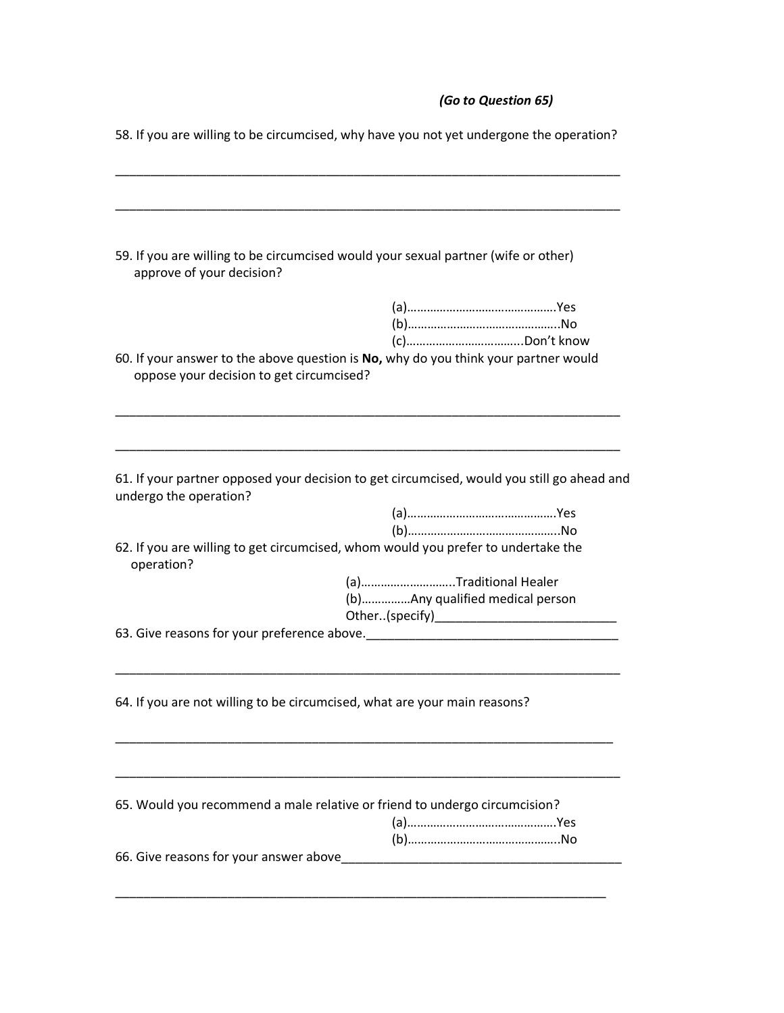# *(Go to Question 65)*

|                                          | 58. If you are willing to be circumcised, why have you not yet undergone the operation?                 |
|------------------------------------------|---------------------------------------------------------------------------------------------------------|
| approve of your decision?                | 59. If you are willing to be circumcised would your sexual partner (wife or other)                      |
| oppose your decision to get circumcised? | 60. If your answer to the above question is No, why do you think your partner would                     |
| undergo the operation?                   | 61. If your partner opposed your decision to get circumcised, would you still go ahead and              |
| operation?                               | 62. If you are willing to get circumcised, whom would you prefer to undertake the                       |
|                                          | (a)Traditional Healer<br>(b)Any qualified medical person<br>63. Give reasons for your preference above. |
|                                          | 64. If you are not willing to be circumcised, what are your main reasons?                               |
|                                          | 65. Would you recommend a male relative or friend to undergo circumcision?                              |
| 66. Give reasons for your answer above   |                                                                                                         |

58. If you are willing to be circumcised, why have you not yet undergone the operation?